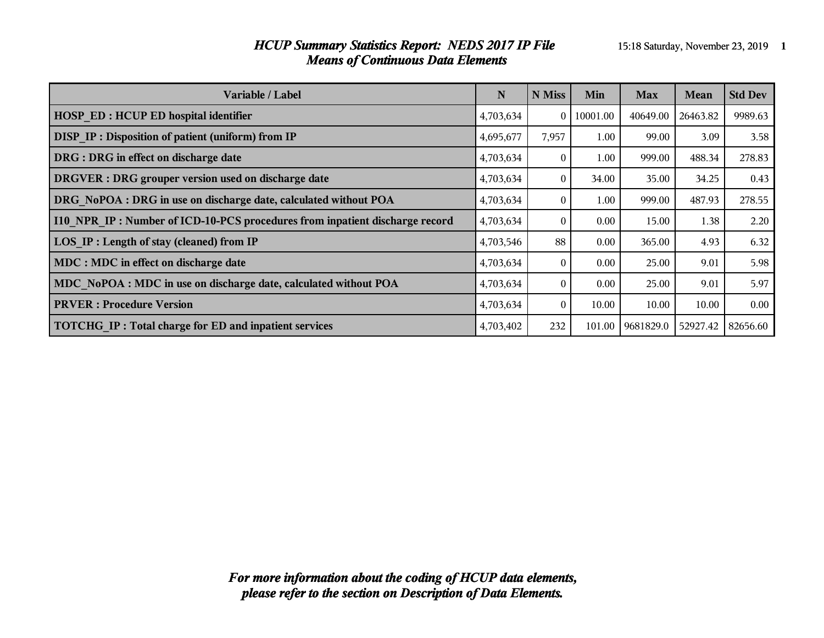#### *HCUP Summary Statistics Report: NEDS 2017 IP File* 15:18 Saturday, November 23, 2019 **1** *Means of Continuous Data Elements*

| <b>Variable / Label</b>                                                     | N         | N Miss | Min      | <b>Max</b> | <b>Mean</b> | <b>Std Dev</b> |
|-----------------------------------------------------------------------------|-----------|--------|----------|------------|-------------|----------------|
| <b>HOSP ED: HCUP ED hospital identifier</b>                                 | 4,703,634 | 0      | 10001.00 | 40649.00   | 26463.82    | 9989.63        |
| DISP IP : Disposition of patient (uniform) from IP                          | 4,695,677 | 7,957  | 1.00     | 99.00      | 3.09        | 3.58           |
| DRG : DRG in effect on discharge date                                       | 4,703,634 |        | 1.00     | 999.00     | 488.34      | 278.83         |
| DRGVER : DRG grouper version used on discharge date                         | 4,703,634 | 0      | 34.00    | 35.00      | 34.25       | 0.43           |
| DRG NoPOA : DRG in use on discharge date, calculated without POA            | 4,703,634 | 0      | 1.00     | 999.00     | 487.93      | 278.55         |
| 110 NPR IP: Number of ICD-10-PCS procedures from inpatient discharge record | 4,703,634 |        | $0.00\,$ | 15.00      | 1.38        | 2.20           |
| LOS IP : Length of stay (cleaned) from IP                                   | 4,703,546 | 88     | $0.00\,$ | 365.00     | 4.93        | 6.32           |
| MDC : MDC in effect on discharge date                                       | 4,703,634 |        | $0.00\,$ | 25.00      | 9.01        | 5.98           |
| MDC NoPOA : MDC in use on discharge date, calculated without POA            | 4,703,634 |        | $0.00\,$ | 25.00      | 9.01        | 5.97           |
| <b>PRVER</b> : Procedure Version                                            | 4,703,634 |        | 10.00    | 10.00      | 10.00       | 0.00           |
| TOTCHG IP: Total charge for ED and inpatient services                       | 4,703,402 | 232    | 101.00   | 9681829.0  | 52927.42    | 82656.60       |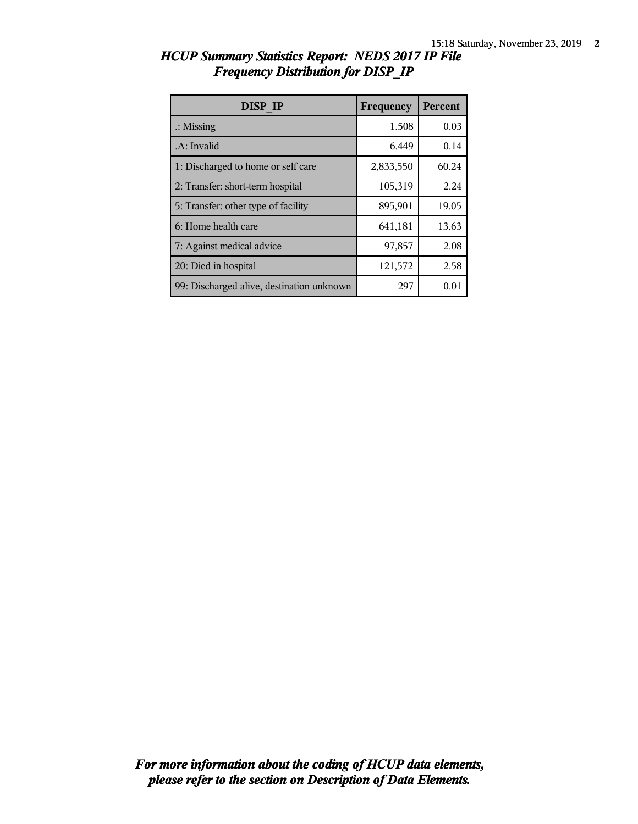| DISP IP                                   | Frequency | <b>Percent</b> |
|-------------------------------------------|-----------|----------------|
| $\therefore$ Missing                      | 1,508     | 0.03           |
| .A: Invalid                               | 6,449     | 0.14           |
| 1: Discharged to home or self care        | 2,833,550 | 60.24          |
| 2: Transfer: short-term hospital          | 105,319   | 2.24           |
| 5: Transfer: other type of facility       | 895,901   | 19.05          |
| 6: Home health care                       | 641,181   | 13.63          |
| 7: Against medical advice                 | 97,857    | 2.08           |
| 20: Died in hospital                      | 121,572   | 2.58           |
| 99: Discharged alive, destination unknown | 297       | 0.01           |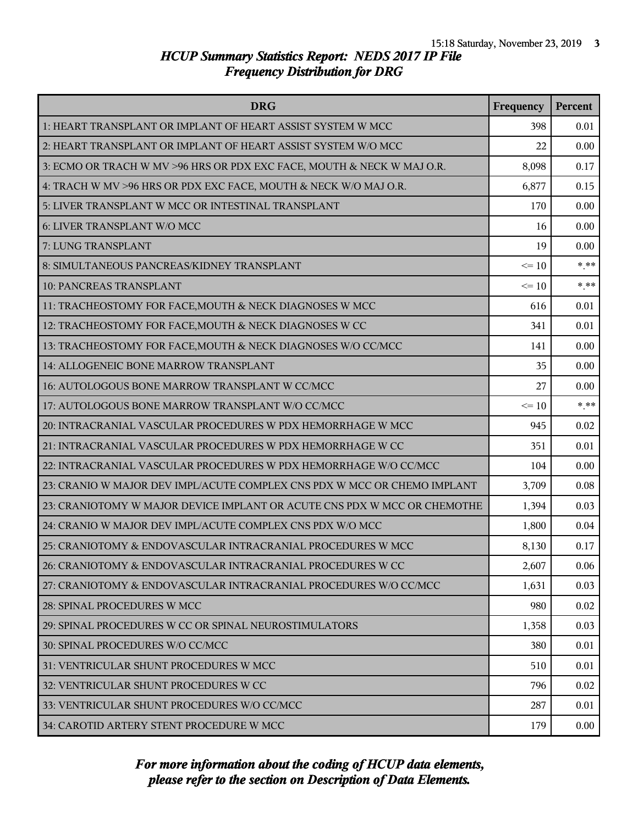| <b>DRG</b>                                                               | Frequency | Percent |
|--------------------------------------------------------------------------|-----------|---------|
| 1: HEART TRANSPLANT OR IMPLANT OF HEART ASSIST SYSTEM W MCC              | 398       | 0.01    |
| 2: HEART TRANSPLANT OR IMPLANT OF HEART ASSIST SYSTEM W/O MCC            | 22        | 0.00    |
| 3: ECMO OR TRACH W MV >96 HRS OR PDX EXC FACE, MOUTH & NECK W MAJ O.R.   | 8,098     | 0.17    |
| 4: TRACH W MV >96 HRS OR PDX EXC FACE, MOUTH & NECK W/O MAJ O.R.         | 6,877     | 0.15    |
| 5: LIVER TRANSPLANT W MCC OR INTESTINAL TRANSPLANT                       | 170       | 0.00    |
| 6: LIVER TRANSPLANT W/O MCC                                              | 16        | 0.00    |
| 7: LUNG TRANSPLANT                                                       | 19        | 0.00    |
| 8: SIMULTANEOUS PANCREAS/KIDNEY TRANSPLANT                               | $\leq 10$ | $***$   |
| 10: PANCREAS TRANSPLANT                                                  | $\leq 10$ | $***$   |
| 11: TRACHEOSTOMY FOR FACE, MOUTH & NECK DIAGNOSES W MCC                  | 616       | 0.01    |
| 12: TRACHEOSTOMY FOR FACE, MOUTH & NECK DIAGNOSES W CC                   | 341       | 0.01    |
| 13: TRACHEOSTOMY FOR FACE, MOUTH & NECK DIAGNOSES W/O CC/MCC             | 141       | 0.00    |
| 14: ALLOGENEIC BONE MARROW TRANSPLANT                                    | 35        | 0.00    |
| 16: AUTOLOGOUS BONE MARROW TRANSPLANT W CC/MCC                           | 27        | 0.00    |
| 17: AUTOLOGOUS BONE MARROW TRANSPLANT W/O CC/MCC                         | $\leq 10$ | $***$   |
| 20: INTRACRANIAL VASCULAR PROCEDURES W PDX HEMORRHAGE W MCC              | 945       | 0.02    |
| 21: INTRACRANIAL VASCULAR PROCEDURES W PDX HEMORRHAGE W CC               | 351       | 0.01    |
| 22: INTRACRANIAL VASCULAR PROCEDURES W PDX HEMORRHAGE W/O CC/MCC         | 104       | 0.00    |
| 23: CRANIO W MAJOR DEV IMPL/ACUTE COMPLEX CNS PDX W MCC OR CHEMO IMPLANT | 3,709     | 0.08    |
| 23: CRANIOTOMY W MAJOR DEVICE IMPLANT OR ACUTE CNS PDX W MCC OR CHEMOTHE | 1,394     | 0.03    |
| 24: CRANIO W MAJOR DEV IMPL/ACUTE COMPLEX CNS PDX W/O MCC                | 1,800     | 0.04    |
| 25: CRANIOTOMY & ENDOVASCULAR INTRACRANIAL PROCEDURES W MCC              | 8,130     | 0.17    |
| 26: CRANIOTOMY & ENDOVASCULAR INTRACRANIAL PROCEDURES W CC               | 2,607     | 0.06    |
| 27: CRANIOTOMY & ENDOVASCULAR INTRACRANIAL PROCEDURES W/O CC/MCC         | 1,631     | 0.03    |
| 28: SPINAL PROCEDURES W MCC                                              | 980       | 0.02    |
| 29: SPINAL PROCEDURES W CC OR SPINAL NEUROSTIMULATORS                    | 1,358     | 0.03    |
| 30: SPINAL PROCEDURES W/O CC/MCC                                         | 380       | 0.01    |
| 31: VENTRICULAR SHUNT PROCEDURES W MCC                                   | 510       | 0.01    |
| 32: VENTRICULAR SHUNT PROCEDURES W CC                                    | 796       | 0.02    |
| 33: VENTRICULAR SHUNT PROCEDURES W/O CC/MCC                              | 287       | 0.01    |
| 34: CAROTID ARTERY STENT PROCEDURE W MCC                                 | 179       | 0.00    |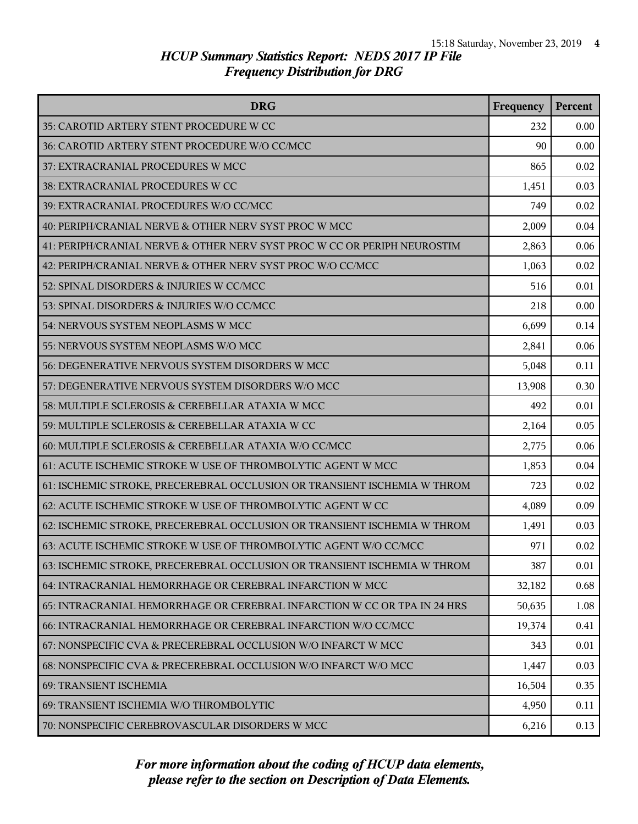| <b>DRG</b>                                                               | Frequency | Percent |
|--------------------------------------------------------------------------|-----------|---------|
| 35: CAROTID ARTERY STENT PROCEDURE W CC                                  | 232       | 0.00    |
| 36: CAROTID ARTERY STENT PROCEDURE W/O CC/MCC                            | 90        | 0.00    |
| 37: EXTRACRANIAL PROCEDURES W MCC                                        | 865       | 0.02    |
| 38: EXTRACRANIAL PROCEDURES W CC                                         | 1,451     | 0.03    |
| 39: EXTRACRANIAL PROCEDURES W/O CC/MCC                                   | 749       | 0.02    |
| 40: PERIPH/CRANIAL NERVE & OTHER NERV SYST PROC W MCC                    | 2,009     | 0.04    |
| 41: PERIPH/CRANIAL NERVE & OTHER NERV SYST PROC W CC OR PERIPH NEUROSTIM | 2,863     | 0.06    |
| 42: PERIPH/CRANIAL NERVE & OTHER NERV SYST PROC W/O CC/MCC               | 1,063     | 0.02    |
| 52: SPINAL DISORDERS & INJURIES W CC/MCC                                 | 516       | 0.01    |
| 53: SPINAL DISORDERS & INJURIES W/O CC/MCC                               | 218       | 0.00    |
| 54: NERVOUS SYSTEM NEOPLASMS W MCC                                       | 6,699     | 0.14    |
| 55: NERVOUS SYSTEM NEOPLASMS W/O MCC                                     | 2,841     | 0.06    |
| 56: DEGENERATIVE NERVOUS SYSTEM DISORDERS W MCC                          | 5,048     | 0.11    |
| 57: DEGENERATIVE NERVOUS SYSTEM DISORDERS W/O MCC                        | 13,908    | 0.30    |
| 58: MULTIPLE SCLEROSIS & CEREBELLAR ATAXIA W MCC                         | 492       | 0.01    |
| 59: MULTIPLE SCLEROSIS & CEREBELLAR ATAXIA W CC                          | 2,164     | 0.05    |
| 60: MULTIPLE SCLEROSIS & CEREBELLAR ATAXIA W/O CC/MCC                    | 2,775     | 0.06    |
| 61: ACUTE ISCHEMIC STROKE W USE OF THROMBOLYTIC AGENT W MCC              | 1,853     | 0.04    |
| 61: ISCHEMIC STROKE, PRECEREBRAL OCCLUSION OR TRANSIENT ISCHEMIA W THROM | 723       | 0.02    |
| 62: ACUTE ISCHEMIC STROKE W USE OF THROMBOLYTIC AGENT W CC               | 4,089     | 0.09    |
| 62: ISCHEMIC STROKE, PRECEREBRAL OCCLUSION OR TRANSIENT ISCHEMIA W THROM | 1,491     | 0.03    |
| 63: ACUTE ISCHEMIC STROKE W USE OF THROMBOLYTIC AGENT W/O CC/MCC         | 971       | 0.02    |
| 63: ISCHEMIC STROKE, PRECEREBRAL OCCLUSION OR TRANSIENT ISCHEMIA W THROM | 387       | 0.01    |
| 64: INTRACRANIAL HEMORRHAGE OR CEREBRAL INFARCTION W MCC                 | 32,182    | 0.68    |
| 65: INTRACRANIAL HEMORRHAGE OR CEREBRAL INFARCTION W CC OR TPA IN 24 HRS | 50,635    | 1.08    |
| 66: INTRACRANIAL HEMORRHAGE OR CEREBRAL INFARCTION W/O CC/MCC            | 19,374    | 0.41    |
| 67: NONSPECIFIC CVA & PRECEREBRAL OCCLUSION W/O INFARCT W MCC            | 343       | 0.01    |
| 68: NONSPECIFIC CVA & PRECEREBRAL OCCLUSION W/O INFARCT W/O MCC          | 1,447     | 0.03    |
| 69: TRANSIENT ISCHEMIA                                                   | 16,504    | 0.35    |
| 69: TRANSIENT ISCHEMIA W/O THROMBOLYTIC                                  | 4,950     | 0.11    |
| 70: NONSPECIFIC CEREBROVASCULAR DISORDERS W MCC                          | 6,216     | 0.13    |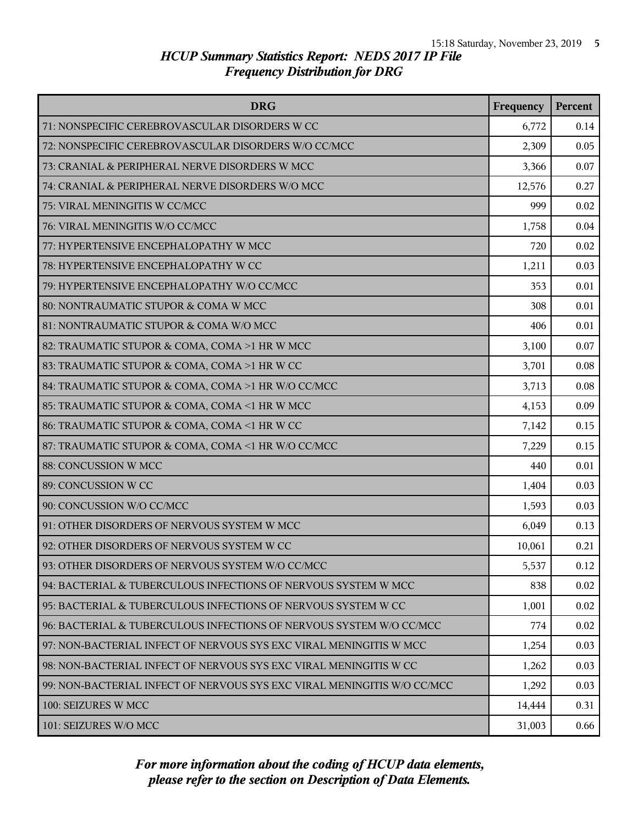| <b>DRG</b>                                                              | Frequency | Percent |
|-------------------------------------------------------------------------|-----------|---------|
| 71: NONSPECIFIC CEREBROVASCULAR DISORDERS W CC                          | 6,772     | 0.14    |
| 72: NONSPECIFIC CEREBROVASCULAR DISORDERS W/O CC/MCC                    | 2,309     | 0.05    |
| 73: CRANIAL & PERIPHERAL NERVE DISORDERS W MCC                          | 3,366     | 0.07    |
| 74: CRANIAL & PERIPHERAL NERVE DISORDERS W/O MCC                        | 12,576    | 0.27    |
| 75: VIRAL MENINGITIS W CC/MCC                                           | 999       | 0.02    |
| 76: VIRAL MENINGITIS W/O CC/MCC                                         | 1,758     | 0.04    |
| 77: HYPERTENSIVE ENCEPHALOPATHY W MCC                                   | 720       | 0.02    |
| 78: HYPERTENSIVE ENCEPHALOPATHY W CC                                    | 1,211     | 0.03    |
| 79: HYPERTENSIVE ENCEPHALOPATHY W/O CC/MCC                              | 353       | 0.01    |
| 80: NONTRAUMATIC STUPOR & COMA W MCC                                    | 308       | 0.01    |
| 81: NONTRAUMATIC STUPOR & COMA W/O MCC                                  | 406       | 0.01    |
| 82: TRAUMATIC STUPOR & COMA, COMA >1 HR W MCC                           | 3,100     | 0.07    |
| 83: TRAUMATIC STUPOR & COMA, COMA >1 HR W CC                            | 3,701     | 0.08    |
| 84: TRAUMATIC STUPOR & COMA, COMA >1 HR W/O CC/MCC                      | 3,713     | 0.08    |
| 85: TRAUMATIC STUPOR & COMA, COMA <1 HR W MCC                           | 4,153     | 0.09    |
| 86: TRAUMATIC STUPOR & COMA, COMA <1 HR W CC                            | 7,142     | 0.15    |
| 87: TRAUMATIC STUPOR & COMA, COMA <1 HR W/O CC/MCC                      | 7,229     | 0.15    |
| 88: CONCUSSION W MCC                                                    | 440       | 0.01    |
| 89: CONCUSSION W CC                                                     | 1,404     | 0.03    |
| 90: CONCUSSION W/O CC/MCC                                               | 1,593     | 0.03    |
| 91: OTHER DISORDERS OF NERVOUS SYSTEM W MCC                             | 6,049     | 0.13    |
| 92: OTHER DISORDERS OF NERVOUS SYSTEM W CC                              | 10,061    | 0.21    |
| 93: OTHER DISORDERS OF NERVOUS SYSTEM W/O CC/MCC                        | 5,537     | 0.12    |
| 94: BACTERIAL & TUBERCULOUS INFECTIONS OF NERVOUS SYSTEM W MCC          | 838       | 0.02    |
| 95: BACTERIAL & TUBERCULOUS INFECTIONS OF NERVOUS SYSTEM W CC           | 1,001     | 0.02    |
| 96: BACTERIAL & TUBERCULOUS INFECTIONS OF NERVOUS SYSTEM W/O CC/MCC     | 774       | 0.02    |
| 97: NON-BACTERIAL INFECT OF NERVOUS SYS EXC VIRAL MENINGITIS W MCC      | 1,254     | 0.03    |
| 98: NON-BACTERIAL INFECT OF NERVOUS SYS EXC VIRAL MENINGITIS W CC       | 1,262     | 0.03    |
| 99: NON-BACTERIAL INFECT OF NERVOUS SYS EXC VIRAL MENINGITIS W/O CC/MCC | 1,292     | 0.03    |
| 100: SEIZURES W MCC                                                     | 14,444    | 0.31    |
| 101: SEIZURES W/O MCC                                                   | 31,003    | 0.66    |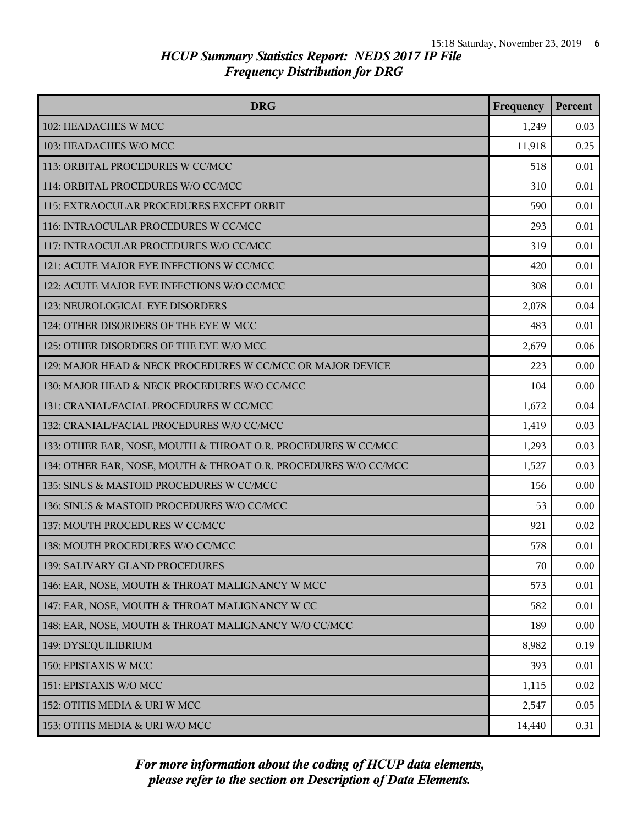| <b>DRG</b>                                                      | Frequency | Percent  |
|-----------------------------------------------------------------|-----------|----------|
| 102: HEADACHES W MCC                                            | 1,249     | 0.03     |
| 103: HEADACHES W/O MCC                                          | 11,918    | 0.25     |
| 113: ORBITAL PROCEDURES W CC/MCC                                | 518       | 0.01     |
| 114: ORBITAL PROCEDURES W/O CC/MCC                              | 310       | 0.01     |
| 115: EXTRAOCULAR PROCEDURES EXCEPT ORBIT                        | 590       | 0.01     |
| 116: INTRAOCULAR PROCEDURES W CC/MCC                            | 293       | 0.01     |
| 117: INTRAOCULAR PROCEDURES W/O CC/MCC                          | 319       | 0.01     |
| 121: ACUTE MAJOR EYE INFECTIONS W CC/MCC                        | 420       | 0.01     |
| 122: ACUTE MAJOR EYE INFECTIONS W/O CC/MCC                      | 308       | 0.01     |
| 123: NEUROLOGICAL EYE DISORDERS                                 | 2,078     | 0.04     |
| 124: OTHER DISORDERS OF THE EYE W MCC                           | 483       | 0.01     |
| 125: OTHER DISORDERS OF THE EYE W/O MCC                         | 2,679     | 0.06     |
| 129: MAJOR HEAD & NECK PROCEDURES W CC/MCC OR MAJOR DEVICE      | 223       | 0.00     |
| 130: MAJOR HEAD & NECK PROCEDURES W/O CC/MCC                    | 104       | 0.00     |
| 131: CRANIAL/FACIAL PROCEDURES W CC/MCC                         | 1,672     | 0.04     |
| 132: CRANIAL/FACIAL PROCEDURES W/O CC/MCC                       | 1,419     | 0.03     |
| 133: OTHER EAR, NOSE, MOUTH & THROAT O.R. PROCEDURES W CC/MCC   | 1,293     | 0.03     |
| 134: OTHER EAR, NOSE, MOUTH & THROAT O.R. PROCEDURES W/O CC/MCC | 1,527     | 0.03     |
| 135: SINUS & MASTOID PROCEDURES W CC/MCC                        | 156       | 0.00     |
| 136: SINUS & MASTOID PROCEDURES W/O CC/MCC                      | 53        | 0.00     |
| 137: MOUTH PROCEDURES W CC/MCC                                  | 921       | 0.02     |
| 138: MOUTH PROCEDURES W/O CC/MCC                                | 578       | 0.01     |
| 139: SALIVARY GLAND PROCEDURES                                  | 70        | 0.00     |
| 146: EAR, NOSE, MOUTH & THROAT MALIGNANCY W MCC                 | 573       | 0.01     |
| 147: EAR, NOSE, MOUTH & THROAT MALIGNANCY W CC                  | 582       | 0.01     |
| 148: EAR, NOSE, MOUTH & THROAT MALIGNANCY W/O CC/MCC            | 189       | 0.00     |
| 149: DYSEQUILIBRIUM                                             | 8,982     | 0.19     |
| 150: EPISTAXIS W MCC                                            | 393       | 0.01     |
| 151: EPISTAXIS W/O MCC                                          | 1,115     | $0.02\,$ |
| 152: OTITIS MEDIA & URI W MCC                                   | 2,547     | 0.05     |
| 153: OTITIS MEDIA & URI W/O MCC                                 | 14,440    | 0.31     |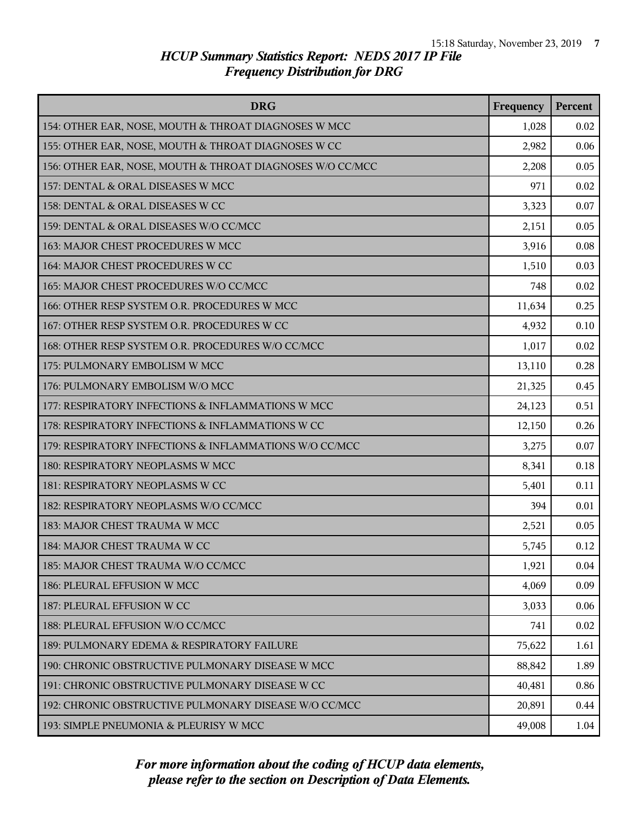| <b>DRG</b>                                                | Frequency | <b>Percent</b> |
|-----------------------------------------------------------|-----------|----------------|
| 154: OTHER EAR, NOSE, MOUTH & THROAT DIAGNOSES W MCC      | 1,028     | 0.02           |
| 155: OTHER EAR, NOSE, MOUTH & THROAT DIAGNOSES W CC       | 2,982     | 0.06           |
| 156: OTHER EAR, NOSE, MOUTH & THROAT DIAGNOSES W/O CC/MCC | 2,208     | 0.05           |
| 157: DENTAL & ORAL DISEASES W MCC                         | 971       | 0.02           |
| 158: DENTAL & ORAL DISEASES W CC                          | 3,323     | 0.07           |
| 159: DENTAL & ORAL DISEASES W/O CC/MCC                    | 2,151     | 0.05           |
| 163: MAJOR CHEST PROCEDURES W MCC                         | 3,916     | 0.08           |
| 164: MAJOR CHEST PROCEDURES W CC                          | 1,510     | 0.03           |
| 165: MAJOR CHEST PROCEDURES W/O CC/MCC                    | 748       | 0.02           |
| 166: OTHER RESP SYSTEM O.R. PROCEDURES W MCC              | 11,634    | 0.25           |
| 167: OTHER RESP SYSTEM O.R. PROCEDURES W CC               | 4,932     | 0.10           |
| 168: OTHER RESP SYSTEM O.R. PROCEDURES W/O CC/MCC         | 1,017     | 0.02           |
| 175: PULMONARY EMBOLISM W MCC                             | 13,110    | 0.28           |
| 176: PULMONARY EMBOLISM W/O MCC                           | 21,325    | 0.45           |
| 177: RESPIRATORY INFECTIONS & INFLAMMATIONS W MCC         | 24,123    | 0.51           |
| 178: RESPIRATORY INFECTIONS & INFLAMMATIONS W CC          | 12,150    | 0.26           |
| 179: RESPIRATORY INFECTIONS & INFLAMMATIONS W/O CC/MCC    | 3,275     | 0.07           |
| 180: RESPIRATORY NEOPLASMS W MCC                          | 8,341     | 0.18           |
| 181: RESPIRATORY NEOPLASMS W CC                           | 5,401     | 0.11           |
| 182: RESPIRATORY NEOPLASMS W/O CC/MCC                     | 394       | 0.01           |
| 183: MAJOR CHEST TRAUMA W MCC                             | 2,521     | 0.05           |
| 184: MAJOR CHEST TRAUMA W CC                              | 5,745     | 0.12           |
| 185: MAJOR CHEST TRAUMA W/O CC/MCC                        | 1,921     | 0.04           |
| 186: PLEURAL EFFUSION W MCC                               | 4,069     | 0.09           |
| 187: PLEURAL EFFUSION W CC                                | 3,033     | 0.06           |
| 188: PLEURAL EFFUSION W/O CC/MCC                          | 741       | 0.02           |
| 189: PULMONARY EDEMA & RESPIRATORY FAILURE                | 75,622    | 1.61           |
| 190: CHRONIC OBSTRUCTIVE PULMONARY DISEASE W MCC          | 88,842    | 1.89           |
| 191: CHRONIC OBSTRUCTIVE PULMONARY DISEASE W CC           | 40,481    | 0.86           |
| 192: CHRONIC OBSTRUCTIVE PULMONARY DISEASE W/O CC/MCC     | 20,891    | 0.44           |
| 193: SIMPLE PNEUMONIA & PLEURISY W MCC                    | 49,008    | 1.04           |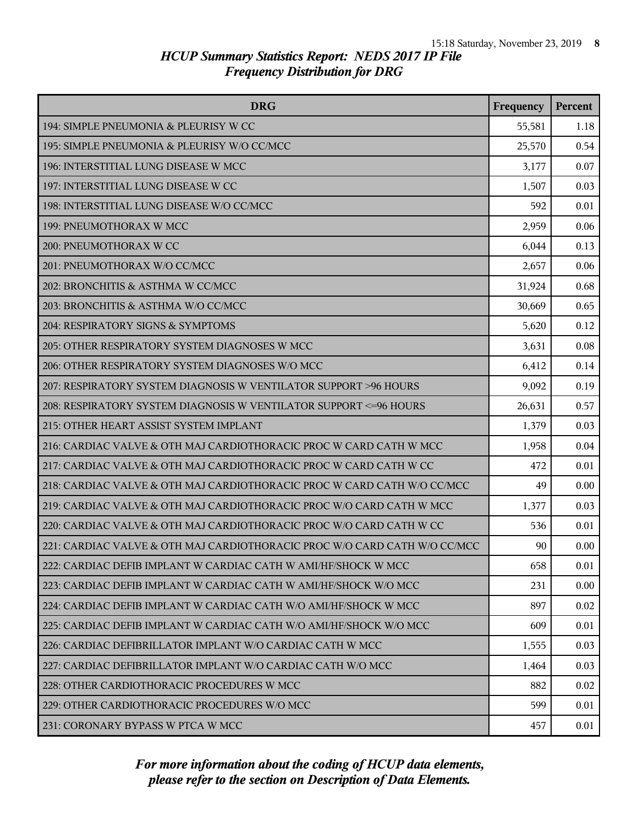| <b>DRG</b>                                                                | Frequency | <b>Percent</b> |
|---------------------------------------------------------------------------|-----------|----------------|
| 194: SIMPLE PNEUMONIA & PLEURISY W CC                                     | 55,581    | 1.18           |
| 195: SIMPLE PNEUMONIA & PLEURISY W/O CC/MCC                               | 25,570    | 0.54           |
| 196: INTERSTITIAL LUNG DISEASE W MCC                                      | 3,177     | 0.07           |
| 197: INTERSTITIAL LUNG DISEASE W CC                                       | 1,507     | 0.03           |
| 198: INTERSTITIAL LUNG DISEASE W/O CC/MCC                                 | 592       | 0.01           |
| 199: PNEUMOTHORAX W MCC                                                   | 2,959     | 0.06           |
| 200: PNEUMOTHORAX W CC                                                    | 6,044     | 0.13           |
| 201: PNEUMOTHORAX W/O CC/MCC                                              | 2,657     | 0.06           |
| 202: BRONCHITIS & ASTHMA W CC/MCC                                         | 31,924    | 0.68           |
| 203: BRONCHITIS & ASTHMA W/O CC/MCC                                       | 30,669    | 0.65           |
| 204: RESPIRATORY SIGNS & SYMPTOMS                                         | 5,620     | 0.12           |
| 205: OTHER RESPIRATORY SYSTEM DIAGNOSES W MCC                             | 3,631     | 0.08           |
| 206: OTHER RESPIRATORY SYSTEM DIAGNOSES W/O MCC                           | 6,412     | 0.14           |
| 207: RESPIRATORY SYSTEM DIAGNOSIS W VENTILATOR SUPPORT >96 HOURS          | 9,092     | 0.19           |
| 208: RESPIRATORY SYSTEM DIAGNOSIS W VENTILATOR SUPPORT <= 96 HOURS        | 26,631    | 0.57           |
| 215: OTHER HEART ASSIST SYSTEM IMPLANT                                    | 1,379     | 0.03           |
| 216: CARDIAC VALVE & OTH MAJ CARDIOTHORACIC PROC W CARD CATH W MCC        | 1,958     | 0.04           |
| 217: CARDIAC VALVE & OTH MAJ CARDIOTHORACIC PROC W CARD CATH W CC         | 472       | 0.01           |
| 218: CARDIAC VALVE & OTH MAJ CARDIOTHORACIC PROC W CARD CATH W/O CC/MCC   | 49        | 0.00           |
| 219: CARDIAC VALVE & OTH MAJ CARDIOTHORACIC PROC W/O CARD CATH W MCC      | 1,377     | 0.03           |
| 220: CARDIAC VALVE & OTH MAJ CARDIOTHORACIC PROC W/O CARD CATH W CC       | 536       | 0.01           |
| 221: CARDIAC VALVE & OTH MAJ CARDIOTHORACIC PROC W/O CARD CATH W/O CC/MCC | 90        | 0.00           |
| 222: CARDIAC DEFIB IMPLANT W CARDIAC CATH W AMI/HF/SHOCK W MCC            | 658       | 0.01           |
| 223: CARDIAC DEFIB IMPLANT W CARDIAC CATH W AMI/HF/SHOCK W/O MCC          | 231       | 0.00           |
| 224: CARDIAC DEFIB IMPLANT W CARDIAC CATH W/O AMI/HF/SHOCK W MCC          | 897       | 0.02           |
| 225: CARDIAC DEFIB IMPLANT W CARDIAC CATH W/O AMI/HF/SHOCK W/O MCC        | 609       | 0.01           |
| 226: CARDIAC DEFIBRILLATOR IMPLANT W/O CARDIAC CATH W MCC                 | 1,555     | 0.03           |
| 227: CARDIAC DEFIBRILLATOR IMPLANT W/O CARDIAC CATH W/O MCC               | 1,464     | 0.03           |
| 228: OTHER CARDIOTHORACIC PROCEDURES W MCC                                | 882       | 0.02           |
| 229: OTHER CARDIOTHORACIC PROCEDURES W/O MCC                              | 599       | 0.01           |
| 231: CORONARY BYPASS W PTCA W MCC                                         | 457       | 0.01           |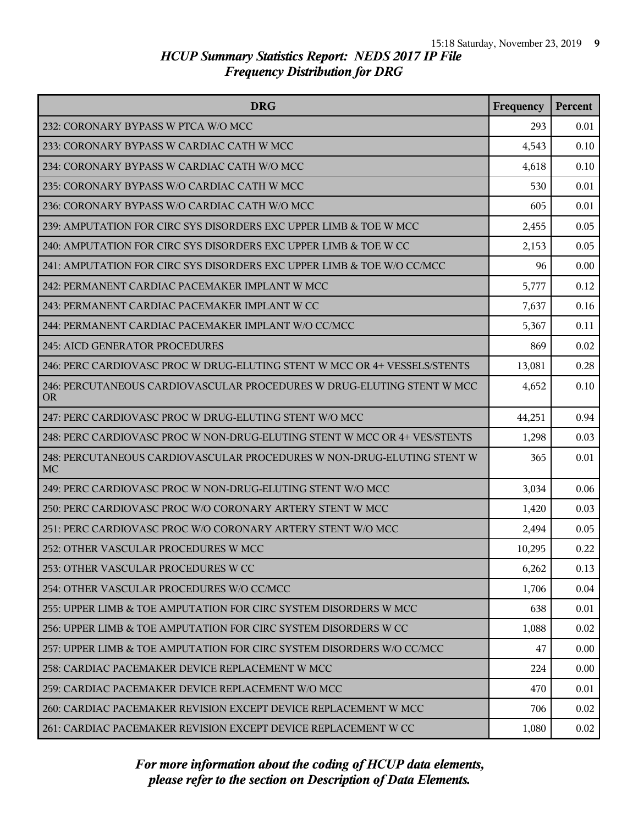| <b>DRG</b>                                                                          | Frequency | <b>Percent</b> |
|-------------------------------------------------------------------------------------|-----------|----------------|
| 232: CORONARY BYPASS W PTCA W/O MCC                                                 | 293       | 0.01           |
| 233: CORONARY BYPASS W CARDIAC CATH W MCC                                           | 4,543     | 0.10           |
| 234: CORONARY BYPASS W CARDIAC CATH W/O MCC                                         | 4,618     | 0.10           |
| 235: CORONARY BYPASS W/O CARDIAC CATH W MCC                                         | 530       | 0.01           |
| 236: CORONARY BYPASS W/O CARDIAC CATH W/O MCC                                       | 605       | 0.01           |
| 239: AMPUTATION FOR CIRC SYS DISORDERS EXC UPPER LIMB & TOE W MCC                   | 2,455     | 0.05           |
| 240: AMPUTATION FOR CIRC SYS DISORDERS EXC UPPER LIMB & TOE W CC                    | 2,153     | 0.05           |
| 241: AMPUTATION FOR CIRC SYS DISORDERS EXC UPPER LIMB & TOE W/O CC/MCC              | 96        | 0.00           |
| 242: PERMANENT CARDIAC PACEMAKER IMPLANT W MCC                                      | 5,777     | 0.12           |
| 243: PERMANENT CARDIAC PACEMAKER IMPLANT W CC                                       | 7,637     | 0.16           |
| 244: PERMANENT CARDIAC PACEMAKER IMPLANT W/O CC/MCC                                 | 5,367     | 0.11           |
| <b>245: AICD GENERATOR PROCEDURES</b>                                               | 869       | 0.02           |
| 246: PERC CARDIOVASC PROC W DRUG-ELUTING STENT W MCC OR 4+ VESSELS/STENTS           | 13,081    | 0.28           |
| 246: PERCUTANEOUS CARDIOVASCULAR PROCEDURES W DRUG-ELUTING STENT W MCC<br><b>OR</b> | 4,652     | 0.10           |
| 247: PERC CARDIOVASC PROC W DRUG-ELUTING STENT W/O MCC                              | 44,251    | 0.94           |
| 248: PERC CARDIOVASC PROC W NON-DRUG-ELUTING STENT W MCC OR 4+ VES/STENTS           | 1,298     | 0.03           |
| 248: PERCUTANEOUS CARDIOVASCULAR PROCEDURES W NON-DRUG-ELUTING STENT W<br>MC        | 365       | 0.01           |
| 249: PERC CARDIOVASC PROC W NON-DRUG-ELUTING STENT W/O MCC                          | 3,034     | 0.06           |
| 250: PERC CARDIOVASC PROC W/O CORONARY ARTERY STENT W MCC                           | 1,420     | 0.03           |
| 251: PERC CARDIOVASC PROC W/O CORONARY ARTERY STENT W/O MCC                         | 2,494     | 0.05           |
| 252: OTHER VASCULAR PROCEDURES W MCC                                                | 10,295    | 0.22           |
| 253: OTHER VASCULAR PROCEDURES W CC                                                 | 6,262     | 0.13           |
| 254: OTHER VASCULAR PROCEDURES W/O CC/MCC                                           | 1,706     | 0.04           |
| 255: UPPER LIMB & TOE AMPUTATION FOR CIRC SYSTEM DISORDERS W MCC                    | 638       | 0.01           |
| 256: UPPER LIMB & TOE AMPUTATION FOR CIRC SYSTEM DISORDERS W CC                     | 1,088     | 0.02           |
| 257: UPPER LIMB & TOE AMPUTATION FOR CIRC SYSTEM DISORDERS W/O CC/MCC               | 47        | 0.00           |
| 258: CARDIAC PACEMAKER DEVICE REPLACEMENT W MCC                                     | 224       | 0.00           |
| 259: CARDIAC PACEMAKER DEVICE REPLACEMENT W/O MCC                                   | 470       | 0.01           |
| 260: CARDIAC PACEMAKER REVISION EXCEPT DEVICE REPLACEMENT W MCC                     | 706       | 0.02           |
| 261: CARDIAC PACEMAKER REVISION EXCEPT DEVICE REPLACEMENT W CC                      | 1,080     | 0.02           |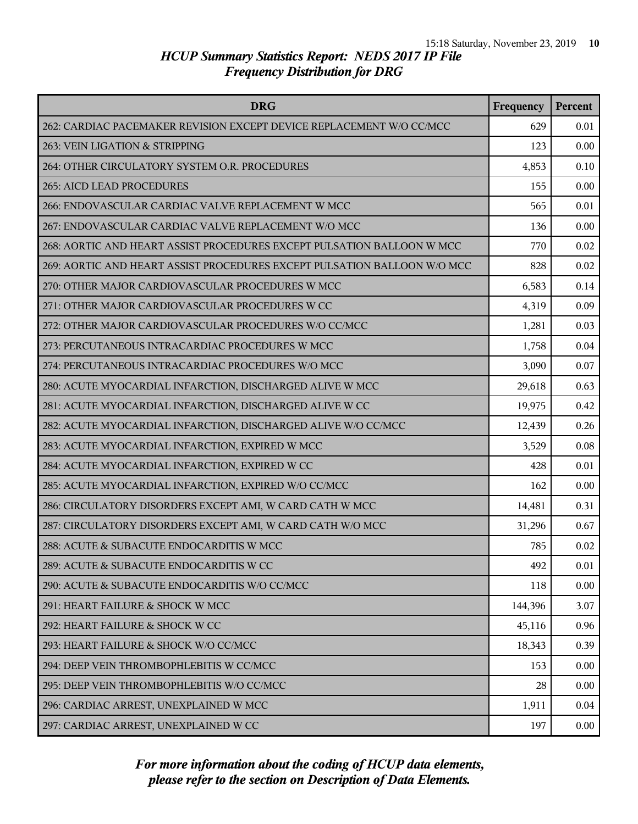| <b>DRG</b>                                                               | Frequency | Percent |
|--------------------------------------------------------------------------|-----------|---------|
| 262: CARDIAC PACEMAKER REVISION EXCEPT DEVICE REPLACEMENT W/O CC/MCC     | 629       | 0.01    |
| 263: VEIN LIGATION & STRIPPING                                           | 123       | 0.00    |
| 264: OTHER CIRCULATORY SYSTEM O.R. PROCEDURES                            | 4,853     | 0.10    |
| 265: AICD LEAD PROCEDURES                                                | 155       | 0.00    |
| 266: ENDOVASCULAR CARDIAC VALVE REPLACEMENT W MCC                        | 565       | 0.01    |
| 267: ENDOVASCULAR CARDIAC VALVE REPLACEMENT W/O MCC                      | 136       | 0.00    |
| 268: AORTIC AND HEART ASSIST PROCEDURES EXCEPT PULSATION BALLOON W MCC   | 770       | 0.02    |
| 269: AORTIC AND HEART ASSIST PROCEDURES EXCEPT PULSATION BALLOON W/O MCC | 828       | 0.02    |
| 270: OTHER MAJOR CARDIOVASCULAR PROCEDURES W MCC                         | 6,583     | 0.14    |
| 271: OTHER MAJOR CARDIOVASCULAR PROCEDURES W CC                          | 4,319     | 0.09    |
| 272: OTHER MAJOR CARDIOVASCULAR PROCEDURES W/O CC/MCC                    | 1,281     | 0.03    |
| 273: PERCUTANEOUS INTRACARDIAC PROCEDURES W MCC                          | 1,758     | 0.04    |
| 274: PERCUTANEOUS INTRACARDIAC PROCEDURES W/O MCC                        | 3,090     | 0.07    |
| 280: ACUTE MYOCARDIAL INFARCTION, DISCHARGED ALIVE W MCC                 | 29,618    | 0.63    |
| 281: ACUTE MYOCARDIAL INFARCTION, DISCHARGED ALIVE W CC                  | 19,975    | 0.42    |
| 282: ACUTE MYOCARDIAL INFARCTION, DISCHARGED ALIVE W/O CC/MCC            | 12,439    | 0.26    |
| 283: ACUTE MYOCARDIAL INFARCTION, EXPIRED W MCC                          | 3,529     | 0.08    |
| 284: ACUTE MYOCARDIAL INFARCTION, EXPIRED W CC                           | 428       | 0.01    |
| 285: ACUTE MYOCARDIAL INFARCTION, EXPIRED W/O CC/MCC                     | 162       | 0.00    |
| 286: CIRCULATORY DISORDERS EXCEPT AMI, W CARD CATH W MCC                 | 14,481    | 0.31    |
| 287: CIRCULATORY DISORDERS EXCEPT AMI, W CARD CATH W/O MCC               | 31,296    | 0.67    |
| 288: ACUTE & SUBACUTE ENDOCARDITIS W MCC                                 | 785       | 0.02    |
| 289: ACUTE & SUBACUTE ENDOCARDITIS W CC                                  | 492       | 0.01    |
| 290: ACUTE & SUBACUTE ENDOCARDITIS W/O CC/MCC                            | 118       | 0.00    |
| 291: HEART FAILURE & SHOCK W MCC                                         | 144,396   | 3.07    |
| 292: HEART FAILURE & SHOCK W CC                                          | 45,116    | 0.96    |
| 293: HEART FAILURE & SHOCK W/O CC/MCC                                    | 18,343    | 0.39    |
| 294: DEEP VEIN THROMBOPHLEBITIS W CC/MCC                                 | 153       | 0.00    |
| 295: DEEP VEIN THROMBOPHLEBITIS W/O CC/MCC                               | 28        | 0.00    |
| 296: CARDIAC ARREST, UNEXPLAINED W MCC                                   | 1,911     | 0.04    |
| 297: CARDIAC ARREST, UNEXPLAINED W CC                                    | 197       | 0.00    |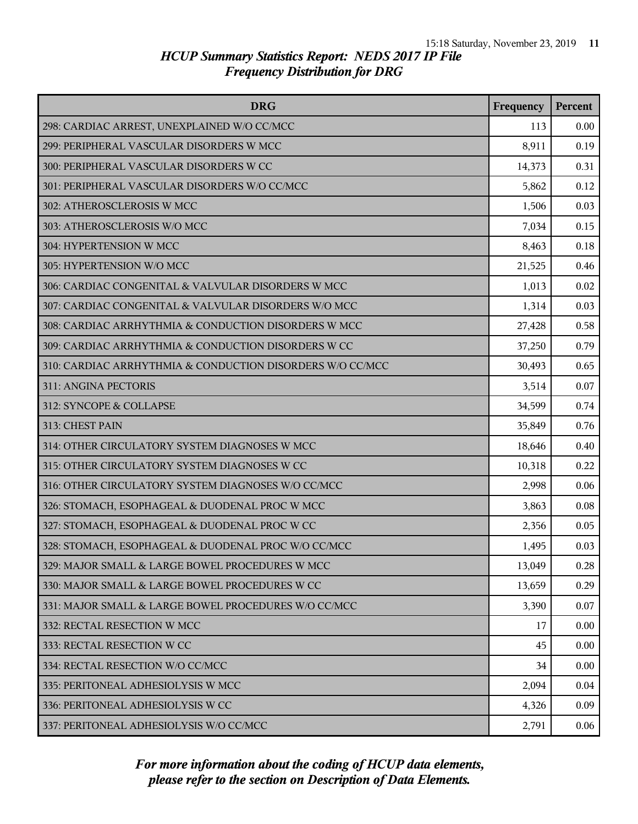| <b>DRG</b>                                                | Frequency | Percent |
|-----------------------------------------------------------|-----------|---------|
| 298: CARDIAC ARREST, UNEXPLAINED W/O CC/MCC               | 113       | 0.00    |
| 299: PERIPHERAL VASCULAR DISORDERS W MCC                  | 8,911     | 0.19    |
| 300: PERIPHERAL VASCULAR DISORDERS W CC                   | 14,373    | 0.31    |
| 301: PERIPHERAL VASCULAR DISORDERS W/O CC/MCC             | 5,862     | 0.12    |
| 302: ATHEROSCLEROSIS W MCC                                | 1,506     | 0.03    |
| 303: ATHEROSCLEROSIS W/O MCC                              | 7,034     | 0.15    |
| 304: HYPERTENSION W MCC                                   | 8,463     | 0.18    |
| 305: HYPERTENSION W/O MCC                                 | 21,525    | 0.46    |
| 306: CARDIAC CONGENITAL & VALVULAR DISORDERS W MCC        | 1,013     | 0.02    |
| 307: CARDIAC CONGENITAL & VALVULAR DISORDERS W/O MCC      | 1,314     | 0.03    |
| 308: CARDIAC ARRHYTHMIA & CONDUCTION DISORDERS W MCC      | 27,428    | 0.58    |
| 309: CARDIAC ARRHYTHMIA & CONDUCTION DISORDERS W CC       | 37,250    | 0.79    |
| 310: CARDIAC ARRHYTHMIA & CONDUCTION DISORDERS W/O CC/MCC | 30,493    | 0.65    |
| 311: ANGINA PECTORIS                                      | 3,514     | 0.07    |
| 312: SYNCOPE & COLLAPSE                                   | 34,599    | 0.74    |
| 313: CHEST PAIN                                           | 35,849    | 0.76    |
| 314: OTHER CIRCULATORY SYSTEM DIAGNOSES W MCC             | 18,646    | 0.40    |
| 315: OTHER CIRCULATORY SYSTEM DIAGNOSES W CC              | 10,318    | 0.22    |
| 316: OTHER CIRCULATORY SYSTEM DIAGNOSES W/O CC/MCC        | 2,998     | 0.06    |
| 326: STOMACH, ESOPHAGEAL & DUODENAL PROC W MCC            | 3,863     | 0.08    |
| 327: STOMACH, ESOPHAGEAL & DUODENAL PROC W CC             | 2,356     | 0.05    |
| 328: STOMACH, ESOPHAGEAL & DUODENAL PROC W/O CC/MCC       | 1,495     | 0.03    |
| 329: MAJOR SMALL & LARGE BOWEL PROCEDURES W MCC           | 13,049    | 0.28    |
| 330: MAJOR SMALL & LARGE BOWEL PROCEDURES W CC            | 13,659    | 0.29    |
| 331: MAJOR SMALL & LARGE BOWEL PROCEDURES W/O CC/MCC      | 3,390     | 0.07    |
| 332: RECTAL RESECTION W MCC                               | 17        | 0.00    |
| 333: RECTAL RESECTION W CC                                | 45        | 0.00    |
| 334: RECTAL RESECTION W/O CC/MCC                          | 34        | 0.00    |
| 335: PERITONEAL ADHESIOLYSIS W MCC                        | 2,094     | 0.04    |
| 336: PERITONEAL ADHESIOLYSIS W CC                         | 4,326     | 0.09    |
| 337: PERITONEAL ADHESIOLYSIS W/O CC/MCC                   | 2,791     | 0.06    |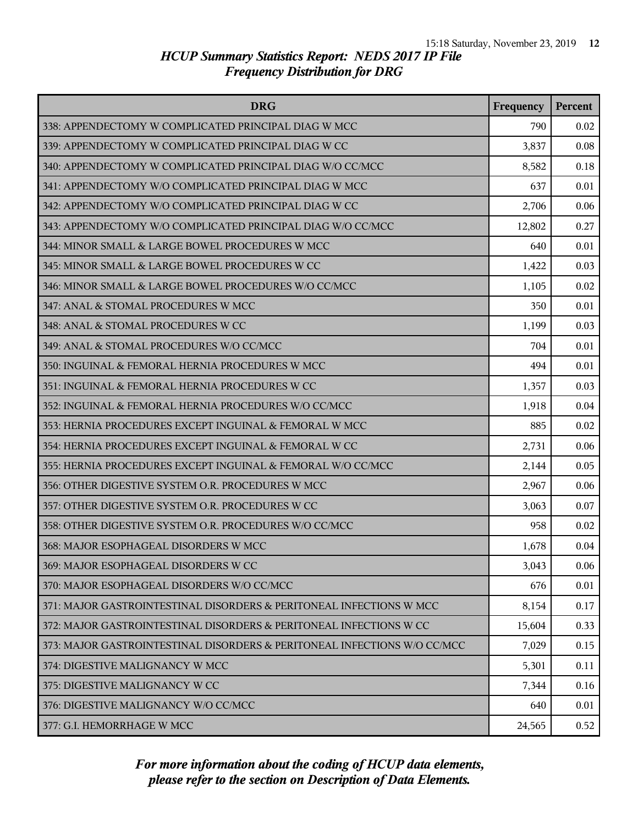| <b>DRG</b>                                                               | Frequency | <b>Percent</b> |
|--------------------------------------------------------------------------|-----------|----------------|
| 338: APPENDECTOMY W COMPLICATED PRINCIPAL DIAG W MCC                     | 790       | 0.02           |
| 339: APPENDECTOMY W COMPLICATED PRINCIPAL DIAG W CC                      | 3,837     | 0.08           |
| 340: APPENDECTOMY W COMPLICATED PRINCIPAL DIAG W/O CC/MCC                | 8,582     | 0.18           |
| 341: APPENDECTOMY W/O COMPLICATED PRINCIPAL DIAG W MCC                   | 637       | 0.01           |
| 342: APPENDECTOMY W/O COMPLICATED PRINCIPAL DIAG W CC                    | 2,706     | 0.06           |
| 343: APPENDECTOMY W/O COMPLICATED PRINCIPAL DIAG W/O CC/MCC              | 12,802    | 0.27           |
| 344: MINOR SMALL & LARGE BOWEL PROCEDURES W MCC                          | 640       | 0.01           |
| 345: MINOR SMALL & LARGE BOWEL PROCEDURES W CC                           | 1,422     | 0.03           |
| 346: MINOR SMALL & LARGE BOWEL PROCEDURES W/O CC/MCC                     | 1,105     | 0.02           |
| 347: ANAL & STOMAL PROCEDURES W MCC                                      | 350       | 0.01           |
| 348: ANAL & STOMAL PROCEDURES W CC                                       | 1,199     | 0.03           |
| 349: ANAL & STOMAL PROCEDURES W/O CC/MCC                                 | 704       | 0.01           |
| 350: INGUINAL & FEMORAL HERNIA PROCEDURES W MCC                          | 494       | 0.01           |
| 351: INGUINAL & FEMORAL HERNIA PROCEDURES W CC                           | 1,357     | 0.03           |
| 352: INGUINAL & FEMORAL HERNIA PROCEDURES W/O CC/MCC                     | 1,918     | 0.04           |
| 353: HERNIA PROCEDURES EXCEPT INGUINAL & FEMORAL W MCC                   | 885       | 0.02           |
| 354: HERNIA PROCEDURES EXCEPT INGUINAL & FEMORAL W CC                    | 2,731     | 0.06           |
| 355: HERNIA PROCEDURES EXCEPT INGUINAL & FEMORAL W/O CC/MCC              | 2,144     | 0.05           |
| 356: OTHER DIGESTIVE SYSTEM O.R. PROCEDURES W MCC                        | 2,967     | 0.06           |
| 357: OTHER DIGESTIVE SYSTEM O.R. PROCEDURES W CC                         | 3,063     | 0.07           |
| 358: OTHER DIGESTIVE SYSTEM O.R. PROCEDURES W/O CC/MCC                   | 958       | 0.02           |
| 368: MAJOR ESOPHAGEAL DISORDERS W MCC                                    | 1,678     | 0.04           |
| 369: MAJOR ESOPHAGEAL DISORDERS W CC                                     | 3,043     | 0.06           |
| 370: MAJOR ESOPHAGEAL DISORDERS W/O CC/MCC                               | 676       | 0.01           |
| 371: MAJOR GASTROINTESTINAL DISORDERS & PERITONEAL INFECTIONS W MCC      | 8,154     | 0.17           |
| 372: MAJOR GASTROINTESTINAL DISORDERS & PERITONEAL INFECTIONS W CC       | 15,604    | 0.33           |
| 373: MAJOR GASTROINTESTINAL DISORDERS & PERITONEAL INFECTIONS W/O CC/MCC | 7,029     | 0.15           |
| 374: DIGESTIVE MALIGNANCY W MCC                                          | 5,301     | 0.11           |
| 375: DIGESTIVE MALIGNANCY W CC                                           | 7,344     | 0.16           |
| 376: DIGESTIVE MALIGNANCY W/O CC/MCC                                     | 640       | 0.01           |
| 377: G.I. HEMORRHAGE W MCC                                               | 24,565    | 0.52           |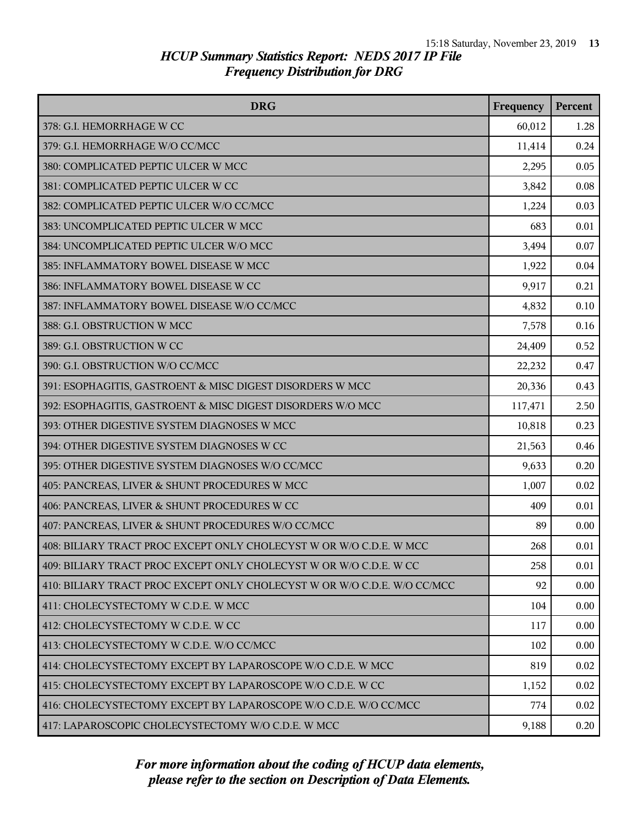| <b>DRG</b>                                                               | Frequency | <b>Percent</b> |
|--------------------------------------------------------------------------|-----------|----------------|
| 378: G.I. HEMORRHAGE W CC                                                | 60,012    | 1.28           |
| 379: G.I. HEMORRHAGE W/O CC/MCC                                          | 11,414    | 0.24           |
| 380: COMPLICATED PEPTIC ULCER W MCC                                      | 2,295     | 0.05           |
| 381: COMPLICATED PEPTIC ULCER W CC                                       | 3,842     | 0.08           |
| 382: COMPLICATED PEPTIC ULCER W/O CC/MCC                                 | 1,224     | 0.03           |
| 383: UNCOMPLICATED PEPTIC ULCER W MCC                                    | 683       | 0.01           |
| 384: UNCOMPLICATED PEPTIC ULCER W/O MCC                                  | 3,494     | 0.07           |
| 385: INFLAMMATORY BOWEL DISEASE W MCC                                    | 1,922     | 0.04           |
| 386: INFLAMMATORY BOWEL DISEASE W CC                                     | 9,917     | 0.21           |
| 387: INFLAMMATORY BOWEL DISEASE W/O CC/MCC                               | 4,832     | 0.10           |
| 388: G.I. OBSTRUCTION W MCC                                              | 7,578     | 0.16           |
| 389: G.I. OBSTRUCTION W CC                                               | 24,409    | 0.52           |
| 390: G.I. OBSTRUCTION W/O CC/MCC                                         | 22,232    | 0.47           |
| 391: ESOPHAGITIS, GASTROENT & MISC DIGEST DISORDERS W MCC                | 20,336    | 0.43           |
| 392: ESOPHAGITIS, GASTROENT & MISC DIGEST DISORDERS W/O MCC              | 117,471   | 2.50           |
| 393: OTHER DIGESTIVE SYSTEM DIAGNOSES W MCC                              | 10,818    | 0.23           |
| 394: OTHER DIGESTIVE SYSTEM DIAGNOSES W CC                               | 21,563    | 0.46           |
| 395: OTHER DIGESTIVE SYSTEM DIAGNOSES W/O CC/MCC                         | 9,633     | 0.20           |
| 405: PANCREAS, LIVER & SHUNT PROCEDURES W MCC                            | 1,007     | 0.02           |
| 406: PANCREAS, LIVER & SHUNT PROCEDURES W CC                             | 409       | 0.01           |
| 407: PANCREAS, LIVER & SHUNT PROCEDURES W/O CC/MCC                       | 89        | 0.00           |
| 408: BILIARY TRACT PROC EXCEPT ONLY CHOLECYST W OR W/O C.D.E. W MCC      | 268       | 0.01           |
| 409: BILIARY TRACT PROC EXCEPT ONLY CHOLECYST W OR W/O C.D.E. W CC       | 258       | 0.01           |
| 410: BILIARY TRACT PROC EXCEPT ONLY CHOLECYST W OR W/O C.D.E. W/O CC/MCC | 92        | 0.00           |
| 411: CHOLECYSTECTOMY W C.D.E. W MCC                                      | 104       | 0.00           |
| 412: CHOLECYSTECTOMY W C.D.E. W CC                                       | 117       | 0.00           |
| 413: CHOLECYSTECTOMY W C.D.E. W/O CC/MCC                                 | 102       | 0.00           |
| 414: CHOLECYSTECTOMY EXCEPT BY LAPAROSCOPE W/O C.D.E. W MCC              | 819       | 0.02           |
| 415: CHOLECYSTECTOMY EXCEPT BY LAPAROSCOPE W/O C.D.E. W CC               | 1,152     | 0.02           |
| 416: CHOLECYSTECTOMY EXCEPT BY LAPAROSCOPE W/O C.D.E. W/O CC/MCC         | 774       | 0.02           |
| 417: LAPAROSCOPIC CHOLECYSTECTOMY W/O C.D.E. W MCC                       | 9,188     | 0.20           |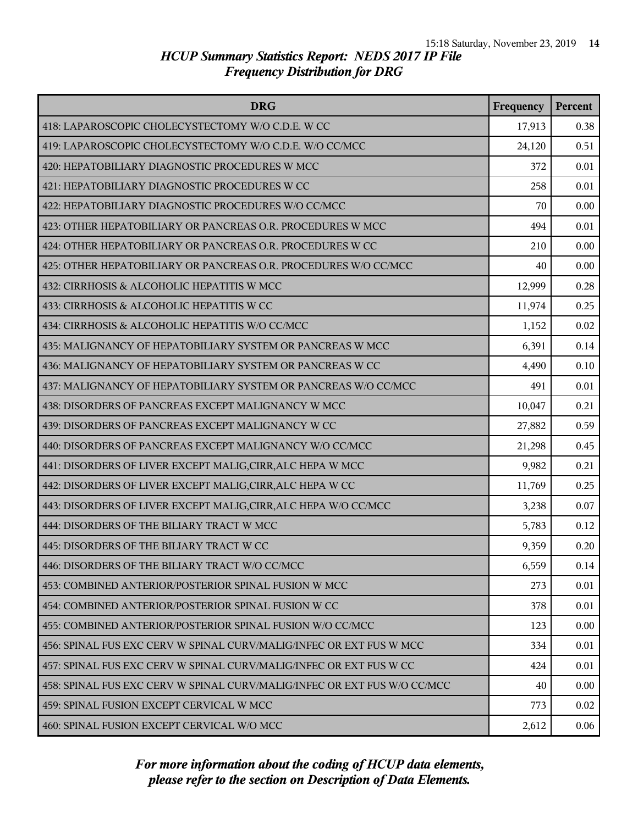| <b>DRG</b>                                                               | Frequency | Percent |
|--------------------------------------------------------------------------|-----------|---------|
| 418: LAPAROSCOPIC CHOLECYSTECTOMY W/O C.D.E. W CC                        | 17,913    | 0.38    |
| 419: LAPAROSCOPIC CHOLECYSTECTOMY W/O C.D.E. W/O CC/MCC                  | 24,120    | 0.51    |
| 420: HEPATOBILIARY DIAGNOSTIC PROCEDURES W MCC                           | 372       | 0.01    |
| 421: HEPATOBILIARY DIAGNOSTIC PROCEDURES W CC                            | 258       | 0.01    |
| 422: HEPATOBILIARY DIAGNOSTIC PROCEDURES W/O CC/MCC                      | 70        | 0.00    |
| 423: OTHER HEPATOBILIARY OR PANCREAS O.R. PROCEDURES W MCC               | 494       | 0.01    |
| 424: OTHER HEPATOBILIARY OR PANCREAS O.R. PROCEDURES W CC                | 210       | 0.00    |
| 425: OTHER HEPATOBILIARY OR PANCREAS O.R. PROCEDURES W/O CC/MCC          | 40        | 0.00    |
| 432: CIRRHOSIS & ALCOHOLIC HEPATITIS W MCC                               | 12,999    | 0.28    |
| 433: CIRRHOSIS & ALCOHOLIC HEPATITIS W CC                                | 11,974    | 0.25    |
| 434: CIRRHOSIS & ALCOHOLIC HEPATITIS W/O CC/MCC                          | 1,152     | 0.02    |
| 435: MALIGNANCY OF HEPATOBILIARY SYSTEM OR PANCREAS W MCC                | 6,391     | 0.14    |
| 436: MALIGNANCY OF HEPATOBILIARY SYSTEM OR PANCREAS W CC                 | 4,490     | 0.10    |
| 437: MALIGNANCY OF HEPATOBILIARY SYSTEM OR PANCREAS W/O CC/MCC           | 491       | 0.01    |
| 438: DISORDERS OF PANCREAS EXCEPT MALIGNANCY W MCC                       | 10,047    | 0.21    |
| 439: DISORDERS OF PANCREAS EXCEPT MALIGNANCY W CC                        | 27,882    | 0.59    |
| 440: DISORDERS OF PANCREAS EXCEPT MALIGNANCY W/O CC/MCC                  | 21,298    | 0.45    |
| 441: DISORDERS OF LIVER EXCEPT MALIG, CIRR, ALC HEPA W MCC               | 9,982     | 0.21    |
| 442: DISORDERS OF LIVER EXCEPT MALIG, CIRR, ALC HEPA W CC                | 11,769    | 0.25    |
| 443: DISORDERS OF LIVER EXCEPT MALIG, CIRR, ALC HEPA W/O CC/MCC          | 3,238     | 0.07    |
| 444: DISORDERS OF THE BILIARY TRACT W MCC                                | 5,783     | 0.12    |
| 445: DISORDERS OF THE BILIARY TRACT W CC                                 | 9,359     | 0.20    |
| 446: DISORDERS OF THE BILIARY TRACT W/O CC/MCC                           | 6,559     | 0.14    |
| 453: COMBINED ANTERIOR/POSTERIOR SPINAL FUSION W MCC                     | 273       | 0.01    |
| 454: COMBINED ANTERIOR/POSTERIOR SPINAL FUSION W CC                      | 378       | 0.01    |
| 455: COMBINED ANTERIOR/POSTERIOR SPINAL FUSION W/O CC/MCC                | 123       | 0.00    |
| 456: SPINAL FUS EXC CERV W SPINAL CURV/MALIG/INFEC OR EXT FUS W MCC      | 334       | 0.01    |
| 457: SPINAL FUS EXC CERV W SPINAL CURV/MALIG/INFEC OR EXT FUS W CC       | 424       | 0.01    |
| 458: SPINAL FUS EXC CERV W SPINAL CURV/MALIG/INFEC OR EXT FUS W/O CC/MCC | 40        | 0.00    |
| 459: SPINAL FUSION EXCEPT CERVICAL W MCC                                 | 773       | 0.02    |
| 460: SPINAL FUSION EXCEPT CERVICAL W/O MCC                               | 2,612     | 0.06    |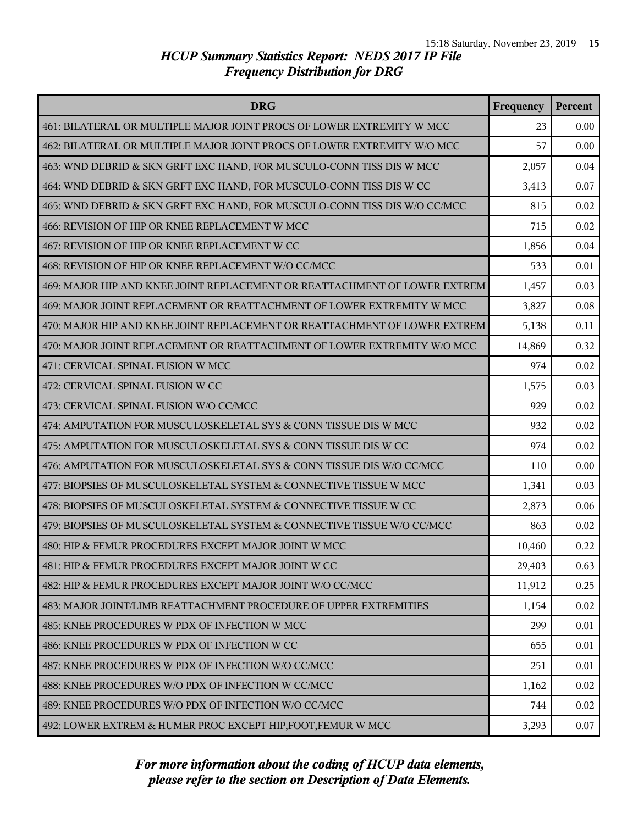| <b>DRG</b>                                                                | Frequency | Percent |
|---------------------------------------------------------------------------|-----------|---------|
| 461: BILATERAL OR MULTIPLE MAJOR JOINT PROCS OF LOWER EXTREMITY W MCC     | 23        | 0.00    |
| 462: BILATERAL OR MULTIPLE MAJOR JOINT PROCS OF LOWER EXTREMITY W/O MCC   | 57        | 0.00    |
| 463: WND DEBRID & SKN GRFT EXC HAND, FOR MUSCULO-CONN TISS DIS W MCC      | 2,057     | 0.04    |
| 464: WND DEBRID & SKN GRFT EXC HAND, FOR MUSCULO-CONN TISS DIS W CC       | 3,413     | 0.07    |
| 465: WND DEBRID & SKN GRFT EXC HAND, FOR MUSCULO-CONN TISS DIS W/O CC/MCC | 815       | 0.02    |
| 466: REVISION OF HIP OR KNEE REPLACEMENT W MCC                            | 715       | 0.02    |
| 467: REVISION OF HIP OR KNEE REPLACEMENT W CC                             | 1,856     | 0.04    |
| 468: REVISION OF HIP OR KNEE REPLACEMENT W/O CC/MCC                       | 533       | 0.01    |
| 469: MAJOR HIP AND KNEE JOINT REPLACEMENT OR REATTACHMENT OF LOWER EXTREM | 1,457     | 0.03    |
| 469: MAJOR JOINT REPLACEMENT OR REATTACHMENT OF LOWER EXTREMITY W MCC     | 3,827     | 0.08    |
| 470: MAJOR HIP AND KNEE JOINT REPLACEMENT OR REATTACHMENT OF LOWER EXTREM | 5,138     | 0.11    |
| 470: MAJOR JOINT REPLACEMENT OR REATTACHMENT OF LOWER EXTREMITY W/O MCC   | 14,869    | 0.32    |
| 471: CERVICAL SPINAL FUSION W MCC                                         | 974       | 0.02    |
| 472: CERVICAL SPINAL FUSION W CC                                          | 1,575     | 0.03    |
| 473: CERVICAL SPINAL FUSION W/O CC/MCC                                    | 929       | 0.02    |
| 474: AMPUTATION FOR MUSCULOSKELETAL SYS & CONN TISSUE DIS W MCC           | 932       | 0.02    |
| 475: AMPUTATION FOR MUSCULOSKELETAL SYS & CONN TISSUE DIS W CC            | 974       | 0.02    |
| 476: AMPUTATION FOR MUSCULOSKELETAL SYS & CONN TISSUE DIS W/O CC/MCC      | 110       | 0.00    |
| 477: BIOPSIES OF MUSCULOSKELETAL SYSTEM & CONNECTIVE TISSUE W MCC         | 1,341     | 0.03    |
| 478: BIOPSIES OF MUSCULOSKELETAL SYSTEM & CONNECTIVE TISSUE W CC          | 2,873     | 0.06    |
| 479: BIOPSIES OF MUSCULOSKELETAL SYSTEM & CONNECTIVE TISSUE W/O CC/MCC    | 863       | 0.02    |
| 480: HIP & FEMUR PROCEDURES EXCEPT MAJOR JOINT W MCC                      | 10,460    | 0.22    |
| 481: HIP & FEMUR PROCEDURES EXCEPT MAJOR JOINT W CC                       | 29,403    | 0.63    |
| 482: HIP & FEMUR PROCEDURES EXCEPT MAJOR JOINT W/O CC/MCC                 | 11,912    | 0.25    |
| 483: MAJOR JOINT/LIMB REATTACHMENT PROCEDURE OF UPPER EXTREMITIES         | 1,154     | 0.02    |
| 485: KNEE PROCEDURES W PDX OF INFECTION W MCC                             | 299       | 0.01    |
| 486: KNEE PROCEDURES W PDX OF INFECTION W CC                              | 655       | 0.01    |
| 487: KNEE PROCEDURES W PDX OF INFECTION W/O CC/MCC                        | 251       | 0.01    |
| 488: KNEE PROCEDURES W/O PDX OF INFECTION W CC/MCC                        | 1,162     | 0.02    |
| 489: KNEE PROCEDURES W/O PDX OF INFECTION W/O CC/MCC                      | 744       | 0.02    |
| 492: LOWER EXTREM & HUMER PROC EXCEPT HIP, FOOT, FEMUR W MCC              | 3,293     | 0.07    |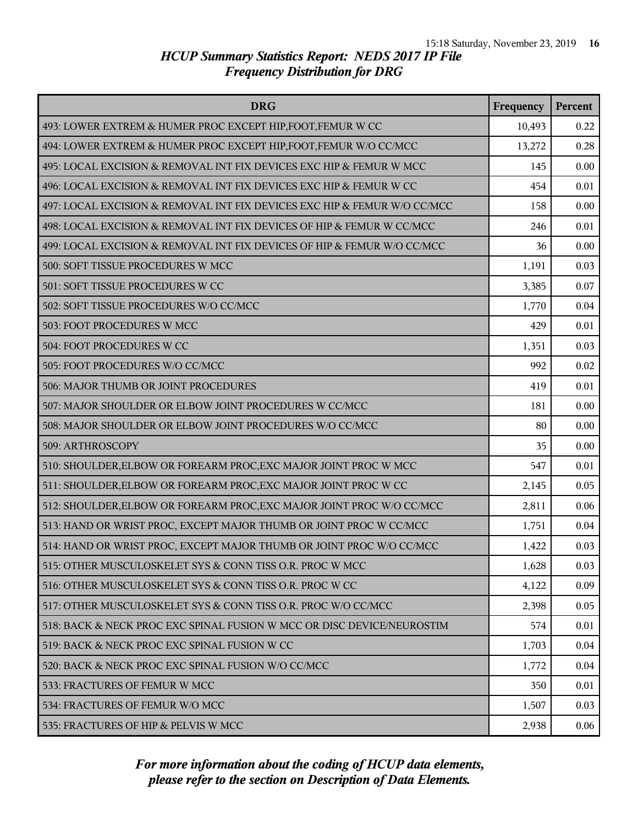| <b>DRG</b>                                                               | Frequency | Percent |
|--------------------------------------------------------------------------|-----------|---------|
| 493: LOWER EXTREM & HUMER PROC EXCEPT HIP, FOOT, FEMUR W CC              | 10,493    | 0.22    |
| 494: LOWER EXTREM & HUMER PROC EXCEPT HIP, FOOT, FEMUR W/O CC/MCC        | 13,272    | 0.28    |
| 495: LOCAL EXCISION & REMOVAL INT FIX DEVICES EXC HIP & FEMUR W MCC      | 145       | 0.00    |
| 496: LOCAL EXCISION & REMOVAL INT FIX DEVICES EXC HIP & FEMUR W CC       | 454       | 0.01    |
| 497: LOCAL EXCISION & REMOVAL INT FIX DEVICES EXC HIP & FEMUR W/O CC/MCC | 158       | 0.00    |
| 498: LOCAL EXCISION & REMOVAL INT FIX DEVICES OF HIP & FEMUR W CC/MCC    | 246       | 0.01    |
| 499: LOCAL EXCISION & REMOVAL INT FIX DEVICES OF HIP & FEMUR W/O CC/MCC  | 36        | 0.00    |
| 500: SOFT TISSUE PROCEDURES W MCC                                        | 1,191     | 0.03    |
| 501: SOFT TISSUE PROCEDURES W CC                                         | 3,385     | 0.07    |
| 502: SOFT TISSUE PROCEDURES W/O CC/MCC                                   | 1,770     | 0.04    |
| 503: FOOT PROCEDURES W MCC                                               | 429       | 0.01    |
| 504: FOOT PROCEDURES W CC                                                | 1,351     | 0.03    |
| 505: FOOT PROCEDURES W/O CC/MCC                                          | 992       | 0.02    |
| 506: MAJOR THUMB OR JOINT PROCEDURES                                     | 419       | 0.01    |
| 507: MAJOR SHOULDER OR ELBOW JOINT PROCEDURES W CC/MCC                   | 181       | 0.00    |
| 508: MAJOR SHOULDER OR ELBOW JOINT PROCEDURES W/O CC/MCC                 | 80        | 0.00    |
| 509: ARTHROSCOPY                                                         | 35        | 0.00    |
| 510: SHOULDER, ELBOW OR FOREARM PROC, EXC MAJOR JOINT PROC W MCC         | 547       | 0.01    |
| 511: SHOULDER, ELBOW OR FOREARM PROC, EXC MAJOR JOINT PROC W CC          | 2,145     | 0.05    |
| 512: SHOULDER, ELBOW OR FOREARM PROC, EXC MAJOR JOINT PROC W/O CC/MCC    | 2,811     | 0.06    |
| 513: HAND OR WRIST PROC, EXCEPT MAJOR THUMB OR JOINT PROC W CC/MCC       | 1,751     | 0.04    |
| 514: HAND OR WRIST PROC, EXCEPT MAJOR THUMB OR JOINT PROC W/O CC/MCC     | 1,422     | 0.03    |
| 515: OTHER MUSCULOSKELET SYS & CONN TISS O.R. PROC W MCC                 | 1,628     | 0.03    |
| 516: OTHER MUSCULOSKELET SYS & CONN TISS O.R. PROC W CC                  | 4,122     | 0.09    |
| 517: OTHER MUSCULOSKELET SYS & CONN TISS O.R. PROC W/O CC/MCC            | 2,398     | 0.05    |
| 518: BACK & NECK PROC EXC SPINAL FUSION W MCC OR DISC DEVICE/NEUROSTIM   | 574       | 0.01    |
| 519: BACK & NECK PROC EXC SPINAL FUSION W CC                             | 1,703     | 0.04    |
| 520: BACK & NECK PROC EXC SPINAL FUSION W/O CC/MCC                       | 1,772     | 0.04    |
| 533: FRACTURES OF FEMUR W MCC                                            | 350       | 0.01    |
| 534: FRACTURES OF FEMUR W/O MCC                                          | 1,507     | 0.03    |
| 535: FRACTURES OF HIP & PELVIS W MCC                                     | 2,938     | 0.06    |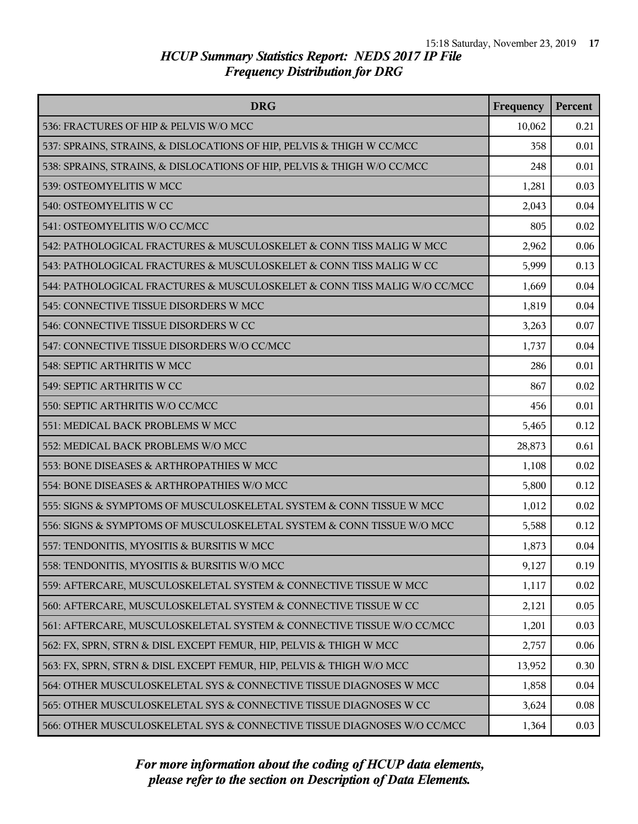| <b>DRG</b>                                                               | Frequency | Percent |
|--------------------------------------------------------------------------|-----------|---------|
| 536: FRACTURES OF HIP & PELVIS W/O MCC                                   | 10,062    | 0.21    |
| 537: SPRAINS, STRAINS, & DISLOCATIONS OF HIP, PELVIS & THIGH W CC/MCC    | 358       | 0.01    |
| 538: SPRAINS, STRAINS, & DISLOCATIONS OF HIP, PELVIS & THIGH W/O CC/MCC  | 248       | 0.01    |
| 539: OSTEOMYELITIS W MCC                                                 | 1,281     | 0.03    |
| 540: OSTEOMYELITIS W CC                                                  | 2,043     | 0.04    |
| 541: OSTEOMYELITIS W/O CC/MCC                                            | 805       | 0.02    |
| 542: PATHOLOGICAL FRACTURES & MUSCULOSKELET & CONN TISS MALIG W MCC      | 2,962     | 0.06    |
| 543: PATHOLOGICAL FRACTURES & MUSCULOSKELET & CONN TISS MALIG W CC       | 5,999     | 0.13    |
| 544: PATHOLOGICAL FRACTURES & MUSCULOSKELET & CONN TISS MALIG W/O CC/MCC | 1,669     | 0.04    |
| 545: CONNECTIVE TISSUE DISORDERS W MCC                                   | 1,819     | 0.04    |
| 546: CONNECTIVE TISSUE DISORDERS W CC                                    | 3,263     | 0.07    |
| 547: CONNECTIVE TISSUE DISORDERS W/O CC/MCC                              | 1,737     | 0.04    |
| 548: SEPTIC ARTHRITIS W MCC                                              | 286       | 0.01    |
| 549: SEPTIC ARTHRITIS W CC                                               | 867       | 0.02    |
| 550: SEPTIC ARTHRITIS W/O CC/MCC                                         | 456       | 0.01    |
| 551: MEDICAL BACK PROBLEMS W MCC                                         | 5,465     | 0.12    |
| 552: MEDICAL BACK PROBLEMS W/O MCC                                       | 28,873    | 0.61    |
| 553: BONE DISEASES & ARTHROPATHIES W MCC                                 | 1,108     | 0.02    |
| 554: BONE DISEASES & ARTHROPATHIES W/O MCC                               | 5,800     | 0.12    |
| 555: SIGNS & SYMPTOMS OF MUSCULOSKELETAL SYSTEM & CONN TISSUE W MCC      | 1,012     | 0.02    |
| 556: SIGNS & SYMPTOMS OF MUSCULOSKELETAL SYSTEM & CONN TISSUE W/O MCC    | 5,588     | 0.12    |
| 557: TENDONITIS, MYOSITIS & BURSITIS W MCC                               | 1,873     | 0.04    |
| 558: TENDONITIS, MYOSITIS & BURSITIS W/O MCC                             | 9,127     | 0.19    |
| 559: AFTERCARE, MUSCULOSKELETAL SYSTEM & CONNECTIVE TISSUE W MCC         | 1,117     | 0.02    |
| 560: AFTERCARE, MUSCULOSKELETAL SYSTEM & CONNECTIVE TISSUE W CC          | 2,121     | 0.05    |
| 561: AFTERCARE, MUSCULOSKELETAL SYSTEM & CONNECTIVE TISSUE W/O CC/MCC    | 1,201     | 0.03    |
| 562: FX, SPRN, STRN & DISL EXCEPT FEMUR, HIP, PELVIS & THIGH W MCC       | 2,757     | 0.06    |
| 563: FX, SPRN, STRN & DISL EXCEPT FEMUR, HIP, PELVIS & THIGH W/O MCC     | 13,952    | 0.30    |
| 564: OTHER MUSCULOSKELETAL SYS & CONNECTIVE TISSUE DIAGNOSES W MCC       | 1,858     | 0.04    |
| 565: OTHER MUSCULOSKELETAL SYS & CONNECTIVE TISSUE DIAGNOSES W CC        | 3,624     | 0.08    |
| 566: OTHER MUSCULOSKELETAL SYS & CONNECTIVE TISSUE DIAGNOSES W/O CC/MCC  | 1,364     | 0.03    |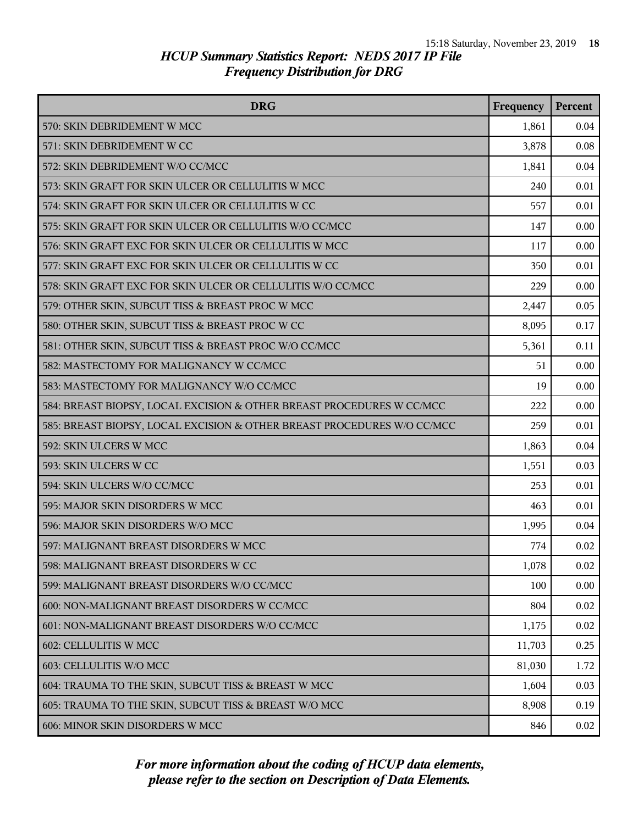| <b>DRG</b>                                                              | Frequency | Percent |
|-------------------------------------------------------------------------|-----------|---------|
| 570: SKIN DEBRIDEMENT W MCC                                             | 1,861     | 0.04    |
| 571: SKIN DEBRIDEMENT W CC                                              | 3,878     | 0.08    |
| 572: SKIN DEBRIDEMENT W/O CC/MCC                                        | 1,841     | 0.04    |
| 573: SKIN GRAFT FOR SKIN ULCER OR CELLULITIS W MCC                      | 240       | 0.01    |
| 574: SKIN GRAFT FOR SKIN ULCER OR CELLULITIS W CC                       | 557       | 0.01    |
| 575: SKIN GRAFT FOR SKIN ULCER OR CELLULITIS W/O CC/MCC                 | 147       | 0.00    |
| 576: SKIN GRAFT EXC FOR SKIN ULCER OR CELLULITIS W MCC                  | 117       | 0.00    |
| 577: SKIN GRAFT EXC FOR SKIN ULCER OR CELLULITIS W CC                   | 350       | 0.01    |
| 578: SKIN GRAFT EXC FOR SKIN ULCER OR CELLULITIS W/O CC/MCC             | 229       | 0.00    |
| 579: OTHER SKIN, SUBCUT TISS & BREAST PROC W MCC                        | 2,447     | 0.05    |
| 580: OTHER SKIN, SUBCUT TISS & BREAST PROC W CC                         | 8,095     | 0.17    |
| 581: OTHER SKIN, SUBCUT TISS & BREAST PROC W/O CC/MCC                   | 5,361     | 0.11    |
| 582: MASTECTOMY FOR MALIGNANCY W CC/MCC                                 | 51        | 0.00    |
| 583: MASTECTOMY FOR MALIGNANCY W/O CC/MCC                               | 19        | 0.00    |
| 584: BREAST BIOPSY, LOCAL EXCISION & OTHER BREAST PROCEDURES W CC/MCC   | 222       | 0.00    |
| 585: BREAST BIOPSY, LOCAL EXCISION & OTHER BREAST PROCEDURES W/O CC/MCC | 259       | 0.01    |
| 592: SKIN ULCERS W MCC                                                  | 1,863     | 0.04    |
| 593: SKIN ULCERS W CC                                                   | 1,551     | 0.03    |
| 594: SKIN ULCERS W/O CC/MCC                                             | 253       | 0.01    |
| 595: MAJOR SKIN DISORDERS W MCC                                         | 463       | 0.01    |
| 596: MAJOR SKIN DISORDERS W/O MCC                                       | 1,995     | 0.04    |
| 597: MALIGNANT BREAST DISORDERS W MCC                                   | 774       | 0.02    |
| 598: MALIGNANT BREAST DISORDERS W CC                                    | 1,078     | 0.02    |
| 599: MALIGNANT BREAST DISORDERS W/O CC/MCC                              | 100       | 0.00    |
| 600: NON-MALIGNANT BREAST DISORDERS W CC/MCC                            | 804       | 0.02    |
| 601: NON-MALIGNANT BREAST DISORDERS W/O CC/MCC                          | 1,175     | 0.02    |
| 602: CELLULITIS W MCC                                                   | 11,703    | 0.25    |
| 603: CELLULITIS W/O MCC                                                 | 81,030    | 1.72    |
| 604: TRAUMA TO THE SKIN, SUBCUT TISS & BREAST W MCC                     | 1,604     | 0.03    |
| 605: TRAUMA TO THE SKIN, SUBCUT TISS & BREAST W/O MCC                   | 8,908     | 0.19    |
| 606: MINOR SKIN DISORDERS W MCC                                         | 846       | 0.02    |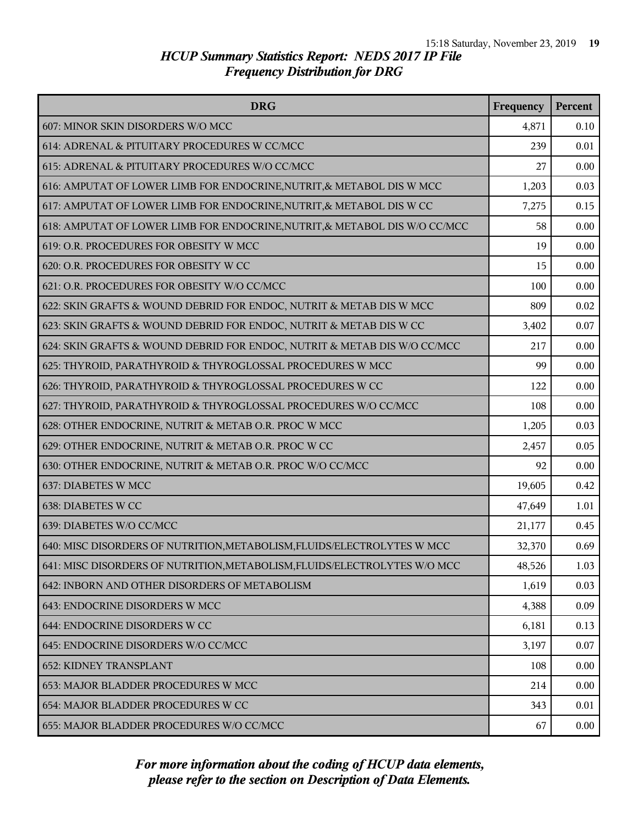| <b>DRG</b>                                                                 | Frequency | Percent |
|----------------------------------------------------------------------------|-----------|---------|
| 607: MINOR SKIN DISORDERS W/O MCC                                          | 4,871     | 0.10    |
| 614: ADRENAL & PITUITARY PROCEDURES W CC/MCC                               | 239       | 0.01    |
| 615: ADRENAL & PITUITARY PROCEDURES W/O CC/MCC                             | 27        | 0.00    |
| 616: AMPUTAT OF LOWER LIMB FOR ENDOCRINE, NUTRIT, & METABOL DIS W MCC      | 1,203     | 0.03    |
| 617: AMPUTAT OF LOWER LIMB FOR ENDOCRINE, NUTRIT, & METABOL DIS W CC       | 7,275     | 0.15    |
| 618: AMPUTAT OF LOWER LIMB FOR ENDOCRINE, NUTRIT, & METABOL DIS W/O CC/MCC | 58        | 0.00    |
| 619: O.R. PROCEDURES FOR OBESITY W MCC                                     | 19        | 0.00    |
| 620: O.R. PROCEDURES FOR OBESITY W CC                                      | 15        | 0.00    |
| 621: O.R. PROCEDURES FOR OBESITY W/O CC/MCC                                | 100       | 0.00    |
| 622: SKIN GRAFTS & WOUND DEBRID FOR ENDOC, NUTRIT & METAB DIS W MCC        | 809       | 0.02    |
| 623: SKIN GRAFTS & WOUND DEBRID FOR ENDOC, NUTRIT & METAB DIS W CC         | 3,402     | 0.07    |
| 624: SKIN GRAFTS & WOUND DEBRID FOR ENDOC, NUTRIT & METAB DIS W/O CC/MCC   | 217       | 0.00    |
| 625: THYROID, PARATHYROID & THYROGLOSSAL PROCEDURES W MCC                  | 99        | 0.00    |
| 626: THYROID, PARATHYROID & THYROGLOSSAL PROCEDURES W CC                   | 122       | 0.00    |
| 627: THYROID, PARATHYROID & THYROGLOSSAL PROCEDURES W/O CC/MCC             | 108       | 0.00    |
| 628: OTHER ENDOCRINE, NUTRIT & METAB O.R. PROC W MCC                       | 1,205     | 0.03    |
| 629: OTHER ENDOCRINE, NUTRIT & METAB O.R. PROC W CC                        | 2,457     | 0.05    |
| 630: OTHER ENDOCRINE, NUTRIT & METAB O.R. PROC W/O CC/MCC                  | 92        | 0.00    |
| 637: DIABETES W MCC                                                        | 19,605    | 0.42    |
| 638: DIABETES W CC                                                         | 47,649    | 1.01    |
| 639: DIABETES W/O CC/MCC                                                   | 21,177    | 0.45    |
| 640: MISC DISORDERS OF NUTRITION, METABOLISM, FLUIDS/ELECTROLYTES W MCC    | 32,370    | 0.69    |
| 641: MISC DISORDERS OF NUTRITION, METABOLISM, FLUIDS/ELECTROLYTES W/O MCC  | 48,526    | 1.03    |
| 642: INBORN AND OTHER DISORDERS OF METABOLISM                              | 1,619     | 0.03    |
| 643: ENDOCRINE DISORDERS W MCC                                             | 4,388     | 0.09    |
| 644: ENDOCRINE DISORDERS W CC                                              | 6,181     | 0.13    |
| 645: ENDOCRINE DISORDERS W/O CC/MCC                                        | 3,197     | 0.07    |
| <b>652: KIDNEY TRANSPLANT</b>                                              | 108       | 0.00    |
| 653: MAJOR BLADDER PROCEDURES W MCC                                        | 214       | 0.00    |
| 654: MAJOR BLADDER PROCEDURES W CC                                         | 343       | 0.01    |
| 655: MAJOR BLADDER PROCEDURES W/O CC/MCC                                   | 67        | 0.00    |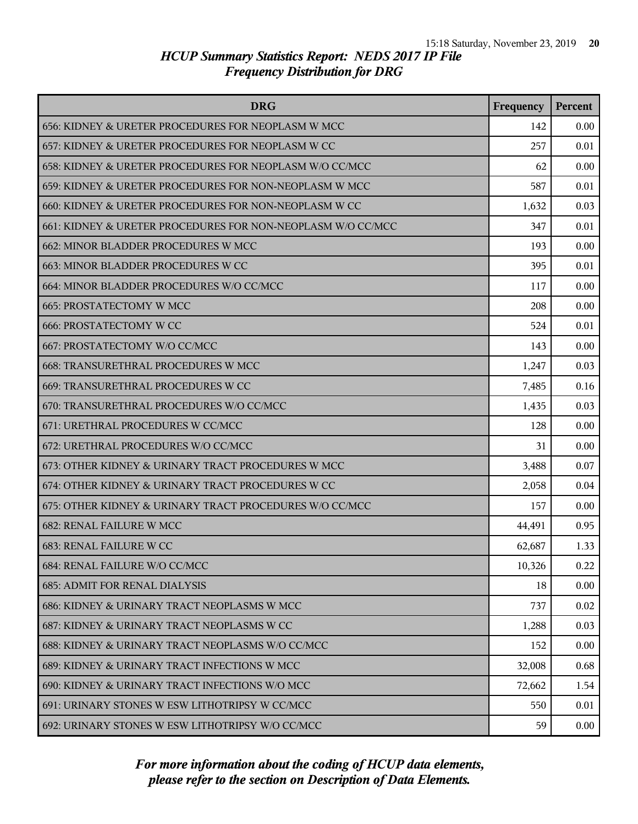| <b>DRG</b>                                                  | Frequency | Percent |
|-------------------------------------------------------------|-----------|---------|
| 656: KIDNEY & URETER PROCEDURES FOR NEOPLASM W MCC          | 142       | 0.00    |
| 657: KIDNEY & URETER PROCEDURES FOR NEOPLASM W CC           | 257       | 0.01    |
| 658: KIDNEY & URETER PROCEDURES FOR NEOPLASM W/O CC/MCC     | 62        | 0.00    |
| 659: KIDNEY & URETER PROCEDURES FOR NON-NEOPLASM W MCC      | 587       | 0.01    |
| 660: KIDNEY & URETER PROCEDURES FOR NON-NEOPLASM W CC       | 1,632     | 0.03    |
| 661: KIDNEY & URETER PROCEDURES FOR NON-NEOPLASM W/O CC/MCC | 347       | 0.01    |
| 662: MINOR BLADDER PROCEDURES W MCC                         | 193       | 0.00    |
| 663: MINOR BLADDER PROCEDURES W CC                          | 395       | 0.01    |
| 664: MINOR BLADDER PROCEDURES W/O CC/MCC                    | 117       | 0.00    |
| <b>665: PROSTATECTOMY W MCC</b>                             | 208       | 0.00    |
| <b>666: PROSTATECTOMY W CC</b>                              | 524       | 0.01    |
| 667: PROSTATECTOMY W/O CC/MCC                               | 143       | 0.00    |
| 668: TRANSURETHRAL PROCEDURES W MCC                         | 1,247     | 0.03    |
| 669: TRANSURETHRAL PROCEDURES W CC                          | 7,485     | 0.16    |
| 670: TRANSURETHRAL PROCEDURES W/O CC/MCC                    | 1,435     | 0.03    |
| 671: URETHRAL PROCEDURES W CC/MCC                           | 128       | 0.00    |
| 672: URETHRAL PROCEDURES W/O CC/MCC                         | 31        | 0.00    |
| 673: OTHER KIDNEY & URINARY TRACT PROCEDURES W MCC          | 3,488     | 0.07    |
| 674: OTHER KIDNEY & URINARY TRACT PROCEDURES W CC           | 2,058     | 0.04    |
| 675: OTHER KIDNEY & URINARY TRACT PROCEDURES W/O CC/MCC     | 157       | 0.00    |
| <b>682: RENAL FAILURE W MCC</b>                             | 44,491    | 0.95    |
| 683: RENAL FAILURE W CC                                     | 62,687    | 1.33    |
| 684: RENAL FAILURE W/O CC/MCC                               | 10,326    | 0.22    |
| <b>685: ADMIT FOR RENAL DIALYSIS</b>                        | 18        | 0.00    |
| 686: KIDNEY & URINARY TRACT NEOPLASMS W MCC                 | 737       | 0.02    |
| 687: KIDNEY & URINARY TRACT NEOPLASMS W CC                  | 1,288     | 0.03    |
| 688: KIDNEY & URINARY TRACT NEOPLASMS W/O CC/MCC            | 152       | 0.00    |
| 689: KIDNEY & URINARY TRACT INFECTIONS W MCC                | 32,008    | 0.68    |
| 690: KIDNEY & URINARY TRACT INFECTIONS W/O MCC              | 72,662    | 1.54    |
| 691: URINARY STONES W ESW LITHOTRIPSY W CC/MCC              | 550       | 0.01    |
| 692: URINARY STONES W ESW LITHOTRIPSY W/O CC/MCC            | 59        | 0.00    |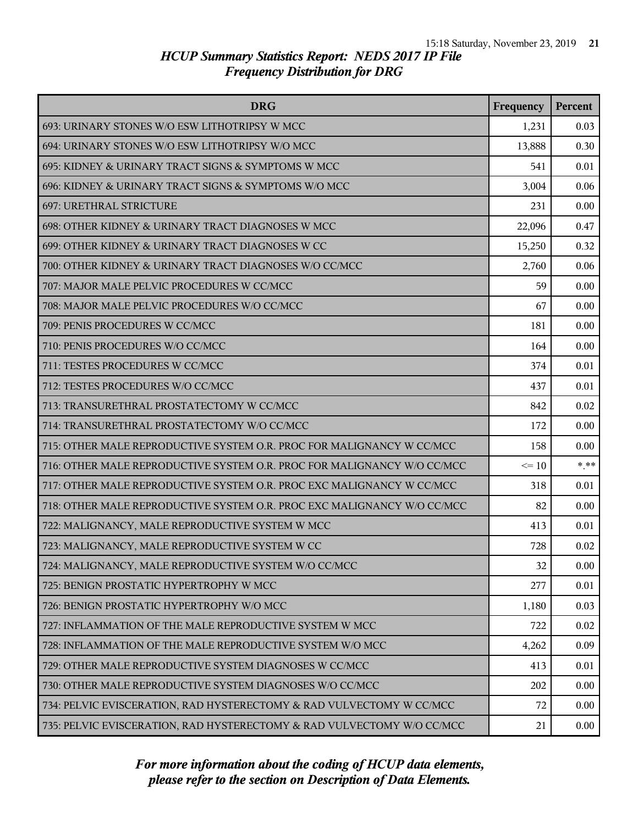| <b>DRG</b>                                                              | Frequency | Percent |
|-------------------------------------------------------------------------|-----------|---------|
| 693: URINARY STONES W/O ESW LITHOTRIPSY W MCC                           | 1,231     | 0.03    |
| 694: URINARY STONES W/O ESW LITHOTRIPSY W/O MCC                         | 13,888    | 0.30    |
| 695: KIDNEY & URINARY TRACT SIGNS & SYMPTOMS W MCC                      | 541       | 0.01    |
| 696: KIDNEY & URINARY TRACT SIGNS & SYMPTOMS W/O MCC                    | 3,004     | 0.06    |
| 697: URETHRAL STRICTURE                                                 | 231       | 0.00    |
| 698: OTHER KIDNEY & URINARY TRACT DIAGNOSES W MCC                       | 22,096    | 0.47    |
| 699: OTHER KIDNEY & URINARY TRACT DIAGNOSES W CC                        | 15,250    | 0.32    |
| 700: OTHER KIDNEY & URINARY TRACT DIAGNOSES W/O CC/MCC                  | 2,760     | 0.06    |
| 707: MAJOR MALE PELVIC PROCEDURES W CC/MCC                              | 59        | 0.00    |
| 708: MAJOR MALE PELVIC PROCEDURES W/O CC/MCC                            | 67        | 0.00    |
| 709: PENIS PROCEDURES W CC/MCC                                          | 181       | 0.00    |
| 710: PENIS PROCEDURES W/O CC/MCC                                        | 164       | 0.00    |
| 711: TESTES PROCEDURES W CC/MCC                                         | 374       | 0.01    |
| 712: TESTES PROCEDURES W/O CC/MCC                                       | 437       | 0.01    |
| 713: TRANSURETHRAL PROSTATECTOMY W CC/MCC                               | 842       | 0.02    |
| 714: TRANSURETHRAL PROSTATECTOMY W/O CC/MCC                             | 172       | 0.00    |
| 715: OTHER MALE REPRODUCTIVE SYSTEM O.R. PROC FOR MALIGNANCY W CC/MCC   | 158       | 0.00    |
| 716: OTHER MALE REPRODUCTIVE SYSTEM O.R. PROC FOR MALIGNANCY W/O CC/MCC | $\leq 10$ | $***$   |
| 717: OTHER MALE REPRODUCTIVE SYSTEM O.R. PROC EXC MALIGNANCY W CC/MCC   | 318       | 0.01    |
| 718: OTHER MALE REPRODUCTIVE SYSTEM O.R. PROC EXC MALIGNANCY W/O CC/MCC | 82        | 0.00    |
| 722: MALIGNANCY, MALE REPRODUCTIVE SYSTEM W MCC                         | 413       | 0.01    |
| 723: MALIGNANCY, MALE REPRODUCTIVE SYSTEM W CC                          | 728       | 0.02    |
| 724: MALIGNANCY, MALE REPRODUCTIVE SYSTEM W/O CC/MCC                    | 32        | 0.00    |
| 725: BENIGN PROSTATIC HYPERTROPHY W MCC                                 | 277       | 0.01    |
| 726: BENIGN PROSTATIC HYPERTROPHY W/O MCC                               | 1,180     | 0.03    |
| 727: INFLAMMATION OF THE MALE REPRODUCTIVE SYSTEM W MCC                 | 722       | 0.02    |
| 728: INFLAMMATION OF THE MALE REPRODUCTIVE SYSTEM W/O MCC               | 4,262     | 0.09    |
| 729: OTHER MALE REPRODUCTIVE SYSTEM DIAGNOSES W CC/MCC                  | 413       | 0.01    |
| 730: OTHER MALE REPRODUCTIVE SYSTEM DIAGNOSES W/O CC/MCC                | 202       | 0.00    |
| 734: PELVIC EVISCERATION, RAD HYSTERECTOMY & RAD VULVECTOMY W CC/MCC    | 72        | 0.00    |
| 735: PELVIC EVISCERATION, RAD HYSTERECTOMY & RAD VULVECTOMY W/O CC/MCC  | 21        | 0.00    |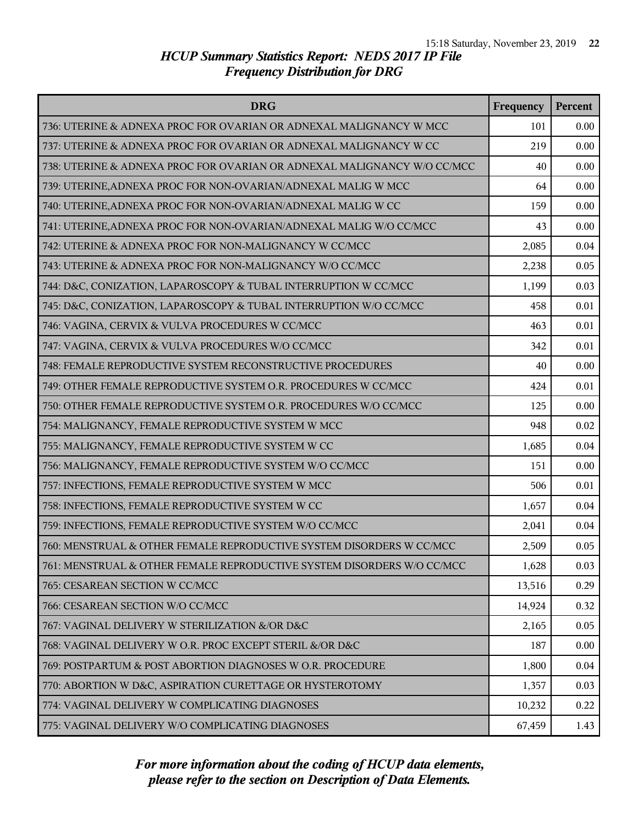| <b>DRG</b>                                                              | Frequency | Percent |
|-------------------------------------------------------------------------|-----------|---------|
| 736: UTERINE & ADNEXA PROC FOR OVARIAN OR ADNEXAL MALIGNANCY W MCC      | 101       | 0.00    |
| 737: UTERINE & ADNEXA PROC FOR OVARIAN OR ADNEXAL MALIGNANCY W CC       | 219       | 0.00    |
| 738: UTERINE & ADNEXA PROC FOR OVARIAN OR ADNEXAL MALIGNANCY W/O CC/MCC | 40        | 0.00    |
| 739: UTERINE, ADNEXA PROC FOR NON-OVARIAN/ADNEXAL MALIG W MCC           | 64        | 0.00    |
| 740: UTERINE, ADNEXA PROC FOR NON-OVARIAN/ADNEXAL MALIG W CC            | 159       | 0.00    |
| 741: UTERINE, ADNEXA PROC FOR NON-OVARIAN/ADNEXAL MALIG W/O CC/MCC      | 43        | 0.00    |
| 742: UTERINE & ADNEXA PROC FOR NON-MALIGNANCY W CC/MCC                  | 2,085     | 0.04    |
| 743: UTERINE & ADNEXA PROC FOR NON-MALIGNANCY W/O CC/MCC                | 2,238     | 0.05    |
| 744: D&C, CONIZATION, LAPAROSCOPY & TUBAL INTERRUPTION W CC/MCC         | 1,199     | 0.03    |
| 745: D&C, CONIZATION, LAPAROSCOPY & TUBAL INTERRUPTION W/O CC/MCC       | 458       | 0.01    |
| 746: VAGINA, CERVIX & VULVA PROCEDURES W CC/MCC                         | 463       | 0.01    |
| 747: VAGINA, CERVIX & VULVA PROCEDURES W/O CC/MCC                       | 342       | 0.01    |
| 748: FEMALE REPRODUCTIVE SYSTEM RECONSTRUCTIVE PROCEDURES               | 40        | 0.00    |
| 749: OTHER FEMALE REPRODUCTIVE SYSTEM O.R. PROCEDURES W CC/MCC          | 424       | 0.01    |
| 750: OTHER FEMALE REPRODUCTIVE SYSTEM O.R. PROCEDURES W/O CC/MCC        | 125       | 0.00    |
| 754: MALIGNANCY, FEMALE REPRODUCTIVE SYSTEM W MCC                       | 948       | 0.02    |
| 755: MALIGNANCY, FEMALE REPRODUCTIVE SYSTEM W CC                        | 1,685     | 0.04    |
| 756: MALIGNANCY, FEMALE REPRODUCTIVE SYSTEM W/O CC/MCC                  | 151       | 0.00    |
| 757: INFECTIONS, FEMALE REPRODUCTIVE SYSTEM W MCC                       | 506       | 0.01    |
| 758: INFECTIONS, FEMALE REPRODUCTIVE SYSTEM W CC                        | 1,657     | 0.04    |
| 759: INFECTIONS, FEMALE REPRODUCTIVE SYSTEM W/O CC/MCC                  | 2,041     | 0.04    |
| 760: MENSTRUAL & OTHER FEMALE REPRODUCTIVE SYSTEM DISORDERS W CC/MCC    | 2,509     | 0.05    |
| 761: MENSTRUAL & OTHER FEMALE REPRODUCTIVE SYSTEM DISORDERS W/O CC/MCC  | 1,628     | 0.03    |
| 765: CESAREAN SECTION W CC/MCC                                          | 13,516    | 0.29    |
| 766: CESAREAN SECTION W/O CC/MCC                                        | 14,924    | 0.32    |
| 767: VAGINAL DELIVERY W STERILIZATION &/OR D&C                          | 2,165     | 0.05    |
| 768: VAGINAL DELIVERY W O.R. PROC EXCEPT STERIL &/OR D&C                | 187       | 0.00    |
| 769: POSTPARTUM & POST ABORTION DIAGNOSES W O.R. PROCEDURE              | 1,800     | 0.04    |
| 770: ABORTION W D&C, ASPIRATION CURETTAGE OR HYSTEROTOMY                | 1,357     | 0.03    |
| 774: VAGINAL DELIVERY W COMPLICATING DIAGNOSES                          | 10,232    | 0.22    |
| 775: VAGINAL DELIVERY W/O COMPLICATING DIAGNOSES                        | 67,459    | 1.43    |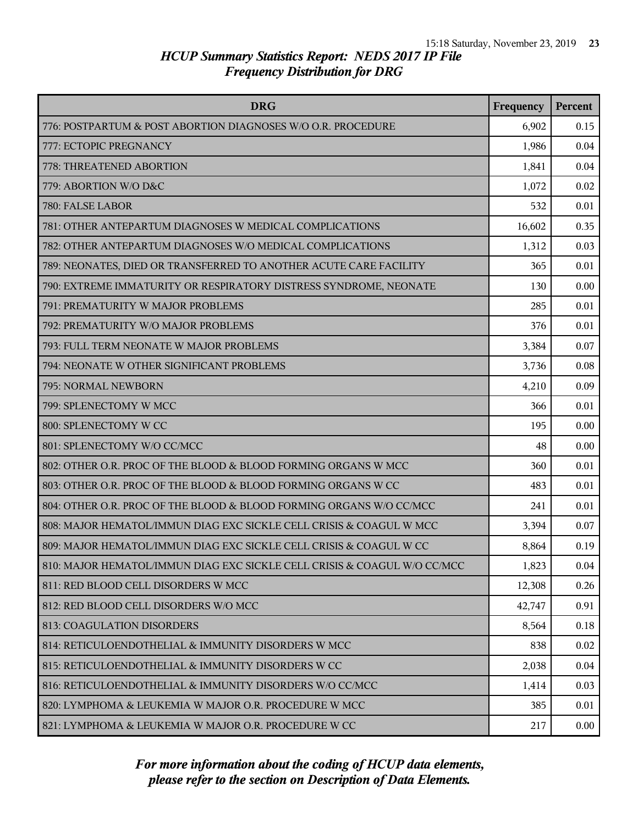| <b>DRG</b>                                                               | Frequency | Percent |
|--------------------------------------------------------------------------|-----------|---------|
| 776: POSTPARTUM & POST ABORTION DIAGNOSES W/O O.R. PROCEDURE             | 6,902     | 0.15    |
| 777: ECTOPIC PREGNANCY                                                   | 1,986     | 0.04    |
| 778: THREATENED ABORTION                                                 | 1,841     | 0.04    |
| 779: ABORTION W/O D&C                                                    | 1,072     | 0.02    |
| 780: FALSE LABOR                                                         | 532       | 0.01    |
| 781: OTHER ANTEPARTUM DIAGNOSES W MEDICAL COMPLICATIONS                  | 16,602    | 0.35    |
| 782: OTHER ANTEPARTUM DIAGNOSES W/O MEDICAL COMPLICATIONS                | 1,312     | 0.03    |
| 789: NEONATES, DIED OR TRANSFERRED TO ANOTHER ACUTE CARE FACILITY        | 365       | 0.01    |
| 790: EXTREME IMMATURITY OR RESPIRATORY DISTRESS SYNDROME, NEONATE        | 130       | 0.00    |
| 791: PREMATURITY W MAJOR PROBLEMS                                        | 285       | 0.01    |
| 792: PREMATURITY W/O MAJOR PROBLEMS                                      | 376       | 0.01    |
| 793: FULL TERM NEONATE W MAJOR PROBLEMS                                  | 3,384     | 0.07    |
| 794: NEONATE W OTHER SIGNIFICANT PROBLEMS                                | 3,736     | 0.08    |
| 795: NORMAL NEWBORN                                                      | 4,210     | 0.09    |
| 799: SPLENECTOMY W MCC                                                   | 366       | 0.01    |
| 800: SPLENECTOMY W CC                                                    | 195       | 0.00    |
| 801: SPLENECTOMY W/O CC/MCC                                              | 48        | 0.00    |
| 802: OTHER O.R. PROC OF THE BLOOD & BLOOD FORMING ORGANS W MCC           | 360       | 0.01    |
| 803: OTHER O.R. PROC OF THE BLOOD & BLOOD FORMING ORGANS W CC            | 483       | 0.01    |
| 804: OTHER O.R. PROC OF THE BLOOD & BLOOD FORMING ORGANS W/O CC/MCC      | 241       | 0.01    |
| 808: MAJOR HEMATOL/IMMUN DIAG EXC SICKLE CELL CRISIS & COAGUL W MCC      | 3,394     | 0.07    |
| 809: MAJOR HEMATOL/IMMUN DIAG EXC SICKLE CELL CRISIS & COAGUL W CC       | 8,864     | 0.19    |
| 810: MAJOR HEMATOL/IMMUN DIAG EXC SICKLE CELL CRISIS & COAGUL W/O CC/MCC | 1,823     | 0.04    |
| 811: RED BLOOD CELL DISORDERS W MCC                                      | 12,308    | 0.26    |
| 812: RED BLOOD CELL DISORDERS W/O MCC                                    | 42,747    | 0.91    |
| 813: COAGULATION DISORDERS                                               | 8,564     | 0.18    |
| 814: RETICULOENDOTHELIAL & IMMUNITY DISORDERS W MCC                      | 838       | 0.02    |
| 815: RETICULOENDOTHELIAL & IMMUNITY DISORDERS W CC                       | 2,038     | 0.04    |
| 816: RETICULOENDOTHELIAL & IMMUNITY DISORDERS W/O CC/MCC                 | 1,414     | 0.03    |
| 820: LYMPHOMA & LEUKEMIA W MAJOR O.R. PROCEDURE W MCC                    | 385       | 0.01    |
| 821: LYMPHOMA & LEUKEMIA W MAJOR O.R. PROCEDURE W CC                     | 217       | 0.00    |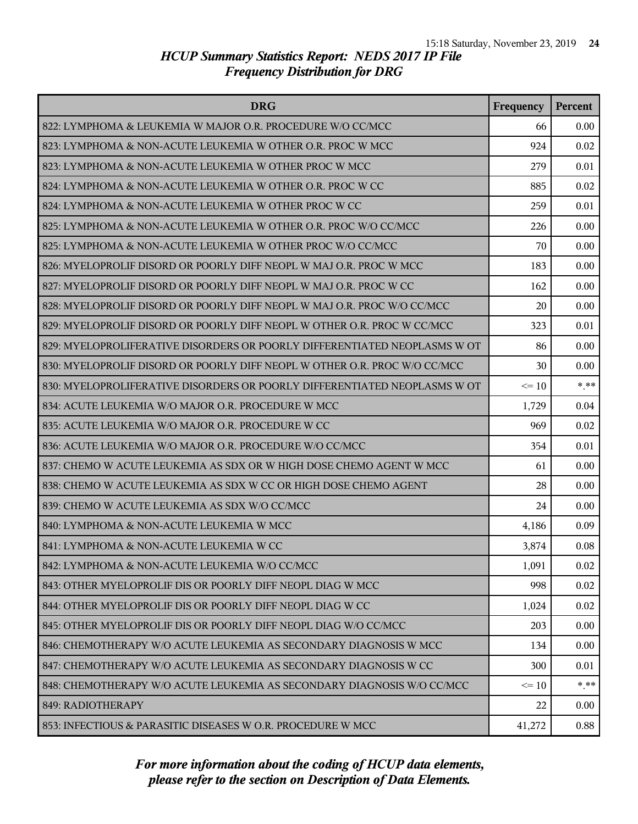| <b>DRG</b>                                                                | Frequency | <b>Percent</b> |
|---------------------------------------------------------------------------|-----------|----------------|
| 822: LYMPHOMA & LEUKEMIA W MAJOR O.R. PROCEDURE W/O CC/MCC                | 66        | 0.00           |
| 823: LYMPHOMA & NON-ACUTE LEUKEMIA W OTHER O.R. PROC W MCC                | 924       | 0.02           |
| 823: LYMPHOMA & NON-ACUTE LEUKEMIA W OTHER PROC W MCC                     | 279       | 0.01           |
| 824: LYMPHOMA & NON-ACUTE LEUKEMIA W OTHER O.R. PROC W CC                 | 885       | 0.02           |
| 824: LYMPHOMA & NON-ACUTE LEUKEMIA W OTHER PROC W CC                      | 259       | 0.01           |
| 825: LYMPHOMA & NON-ACUTE LEUKEMIA W OTHER O.R. PROC W/O CC/MCC           | 226       | 0.00           |
| 825: LYMPHOMA & NON-ACUTE LEUKEMIA W OTHER PROC W/O CC/MCC                | 70        | 0.00           |
| 826: MYELOPROLIF DISORD OR POORLY DIFF NEOPL W MAJ O.R. PROC W MCC        | 183       | 0.00           |
| 827: MYELOPROLIF DISORD OR POORLY DIFF NEOPL W MAJ O.R. PROC W CC         | 162       | 0.00           |
| 828: MYELOPROLIF DISORD OR POORLY DIFF NEOPL W MAJ O.R. PROC W/O CC/MCC   | 20        | 0.00           |
| 829: MYELOPROLIF DISORD OR POORLY DIFF NEOPL W OTHER O.R. PROC W CC/MCC   | 323       | 0.01           |
| 829: MYELOPROLIFERATIVE DISORDERS OR POORLY DIFFERENTIATED NEOPLASMS W OT | 86        | 0.00           |
| 830: MYELOPROLIF DISORD OR POORLY DIFF NEOPL W OTHER O.R. PROC W/O CC/MCC | 30        | 0.00           |
| 830: MYELOPROLIFERATIVE DISORDERS OR POORLY DIFFERENTIATED NEOPLASMS W OT | $\leq 10$ | $* * *$        |
| 834: ACUTE LEUKEMIA W/O MAJOR O.R. PROCEDURE W MCC                        | 1,729     | 0.04           |
| 835: ACUTE LEUKEMIA W/O MAJOR O.R. PROCEDURE W CC                         | 969       | 0.02           |
| 836: ACUTE LEUKEMIA W/O MAJOR O.R. PROCEDURE W/O CC/MCC                   | 354       | 0.01           |
| 837: CHEMO W ACUTE LEUKEMIA AS SDX OR W HIGH DOSE CHEMO AGENT W MCC       | 61        | 0.00           |
| 838: CHEMO W ACUTE LEUKEMIA AS SDX W CC OR HIGH DOSE CHEMO AGENT          | 28        | 0.00           |
| 839: CHEMO W ACUTE LEUKEMIA AS SDX W/O CC/MCC                             | 24        | 0.00           |
| 840: LYMPHOMA & NON-ACUTE LEUKEMIA W MCC                                  | 4,186     | 0.09           |
| 841: LYMPHOMA & NON-ACUTE LEUKEMIA W CC                                   | 3,874     | 0.08           |
| 842: LYMPHOMA & NON-ACUTE LEUKEMIA W/O CC/MCC                             | 1,091     | 0.02           |
| 843: OTHER MYELOPROLIF DIS OR POORLY DIFF NEOPL DIAG W MCC                | 998       | 0.02           |
| 844: OTHER MYELOPROLIF DIS OR POORLY DIFF NEOPL DIAG W CC                 | 1,024     | 0.02           |
| 845: OTHER MYELOPROLIF DIS OR POORLY DIFF NEOPL DIAG W/O CC/MCC           | 203       | 0.00           |
| 846: CHEMOTHERAPY W/O ACUTE LEUKEMIA AS SECONDARY DIAGNOSIS W MCC         | 134       | 0.00           |
| 847: CHEMOTHERAPY W/O ACUTE LEUKEMIA AS SECONDARY DIAGNOSIS W CC          | 300       | 0.01           |
| 848: CHEMOTHERAPY W/O ACUTE LEUKEMIA AS SECONDARY DIAGNOSIS W/O CC/MCC    | $\leq 10$ | $* * *$        |
| 849: RADIOTHERAPY                                                         | 22        | 0.00           |
| 853: INFECTIOUS & PARASITIC DISEASES W O.R. PROCEDURE W MCC               | 41,272    | 0.88           |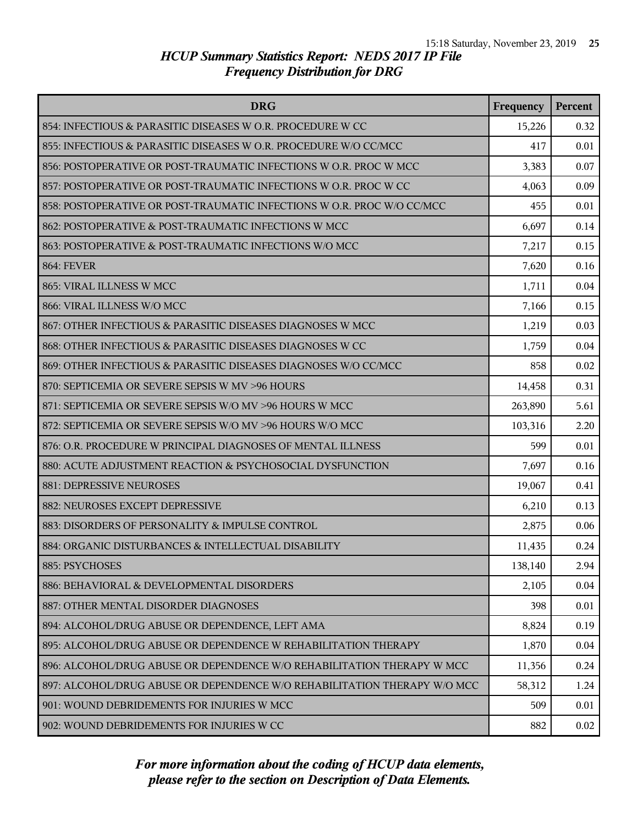| <b>DRG</b>                                                               | Frequency | Percent |
|--------------------------------------------------------------------------|-----------|---------|
| 854: INFECTIOUS & PARASITIC DISEASES W O.R. PROCEDURE W CC               | 15,226    | 0.32    |
| 855: INFECTIOUS & PARASITIC DISEASES W O.R. PROCEDURE W/O CC/MCC         | 417       | 0.01    |
| 856: POSTOPERATIVE OR POST-TRAUMATIC INFECTIONS W O.R. PROC W MCC        | 3,383     | 0.07    |
| 857: POSTOPERATIVE OR POST-TRAUMATIC INFECTIONS W O.R. PROC W CC         | 4,063     | 0.09    |
| 858: POSTOPERATIVE OR POST-TRAUMATIC INFECTIONS W O.R. PROC W/O CC/MCC   | 455       | 0.01    |
| 862: POSTOPERATIVE & POST-TRAUMATIC INFECTIONS W MCC                     | 6,697     | 0.14    |
| 863: POSTOPERATIVE & POST-TRAUMATIC INFECTIONS W/O MCC                   | 7,217     | 0.15    |
| <b>864: FEVER</b>                                                        | 7,620     | 0.16    |
| 865: VIRAL ILLNESS W MCC                                                 | 1,711     | 0.04    |
| 866: VIRAL ILLNESS W/O MCC                                               | 7,166     | 0.15    |
| 867: OTHER INFECTIOUS & PARASITIC DISEASES DIAGNOSES W MCC               | 1,219     | 0.03    |
| 868: OTHER INFECTIOUS & PARASITIC DISEASES DIAGNOSES W CC                | 1,759     | 0.04    |
| 869: OTHER INFECTIOUS & PARASITIC DISEASES DIAGNOSES W/O CC/MCC          | 858       | 0.02    |
| 870: SEPTICEMIA OR SEVERE SEPSIS W MV >96 HOURS                          | 14,458    | 0.31    |
| 871: SEPTICEMIA OR SEVERE SEPSIS W/O MV >96 HOURS W MCC                  | 263,890   | 5.61    |
| 872: SEPTICEMIA OR SEVERE SEPSIS W/O MV >96 HOURS W/O MCC                | 103,316   | 2.20    |
| 876: O.R. PROCEDURE W PRINCIPAL DIAGNOSES OF MENTAL ILLNESS              | 599       | 0.01    |
| 880: ACUTE ADJUSTMENT REACTION & PSYCHOSOCIAL DYSFUNCTION                | 7,697     | 0.16    |
| 881: DEPRESSIVE NEUROSES                                                 | 19,067    | 0.41    |
| 882: NEUROSES EXCEPT DEPRESSIVE                                          | 6,210     | 0.13    |
| 883: DISORDERS OF PERSONALITY & IMPULSE CONTROL                          | 2,875     | 0.06    |
| 884: ORGANIC DISTURBANCES & INTELLECTUAL DISABILITY                      | 11,435    | 0.24    |
| 885: PSYCHOSES                                                           | 138,140   | 2.94    |
| 886: BEHAVIORAL & DEVELOPMENTAL DISORDERS                                | 2,105     | 0.04    |
| 887: OTHER MENTAL DISORDER DIAGNOSES                                     | 398       | 0.01    |
| 894: ALCOHOL/DRUG ABUSE OR DEPENDENCE, LEFT AMA                          | 8,824     | 0.19    |
| 895: ALCOHOL/DRUG ABUSE OR DEPENDENCE W REHABILITATION THERAPY           | 1,870     | 0.04    |
| 896: ALCOHOL/DRUG ABUSE OR DEPENDENCE W/O REHABILITATION THERAPY W MCC   | 11,356    | 0.24    |
| 897: ALCOHOL/DRUG ABUSE OR DEPENDENCE W/O REHABILITATION THERAPY W/O MCC | 58,312    | 1.24    |
| 901: WOUND DEBRIDEMENTS FOR INJURIES W MCC                               | 509       | 0.01    |
| 902: WOUND DEBRIDEMENTS FOR INJURIES W CC                                | 882       | 0.02    |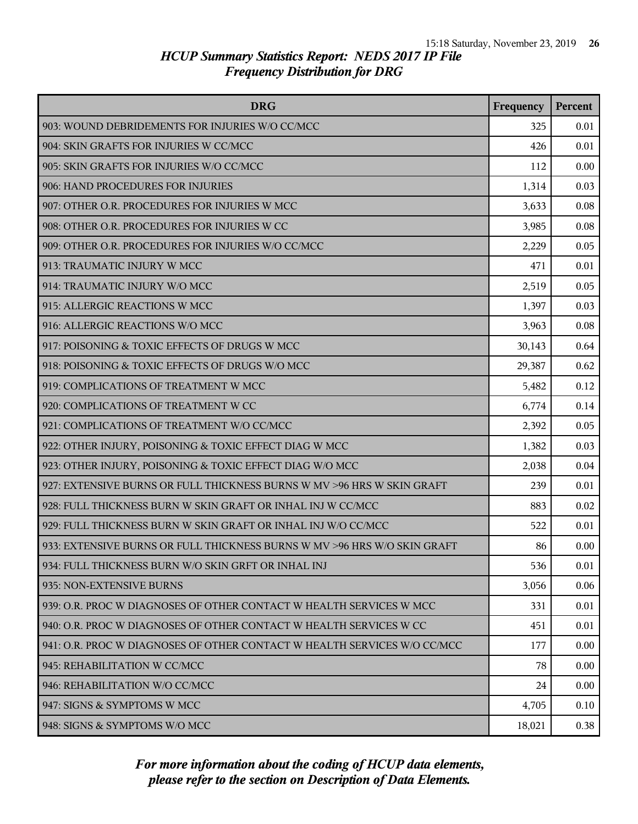| <b>DRG</b>                                                               | Frequency | Percent |
|--------------------------------------------------------------------------|-----------|---------|
| 903: WOUND DEBRIDEMENTS FOR INJURIES W/O CC/MCC                          | 325       | 0.01    |
| 904: SKIN GRAFTS FOR INJURIES W CC/MCC                                   | 426       | 0.01    |
| 905: SKIN GRAFTS FOR INJURIES W/O CC/MCC                                 | 112       | 0.00    |
| 906: HAND PROCEDURES FOR INJURIES                                        | 1,314     | 0.03    |
| 907: OTHER O.R. PROCEDURES FOR INJURIES W MCC                            | 3,633     | 0.08    |
| 908: OTHER O.R. PROCEDURES FOR INJURIES W CC                             | 3,985     | 0.08    |
| 909: OTHER O.R. PROCEDURES FOR INJURIES W/O CC/MCC                       | 2,229     | 0.05    |
| 913: TRAUMATIC INJURY W MCC                                              | 471       | 0.01    |
| 914: TRAUMATIC INJURY W/O MCC                                            | 2,519     | 0.05    |
| 915: ALLERGIC REACTIONS W MCC                                            | 1,397     | 0.03    |
| 916: ALLERGIC REACTIONS W/O MCC                                          | 3,963     | 0.08    |
| 917: POISONING & TOXIC EFFECTS OF DRUGS W MCC                            | 30,143    | 0.64    |
| 918: POISONING & TOXIC EFFECTS OF DRUGS W/O MCC                          | 29,387    | 0.62    |
| 919: COMPLICATIONS OF TREATMENT W MCC                                    | 5,482     | 0.12    |
| 920: COMPLICATIONS OF TREATMENT W CC                                     | 6,774     | 0.14    |
| 921: COMPLICATIONS OF TREATMENT W/O CC/MCC                               | 2,392     | 0.05    |
| 922: OTHER INJURY, POISONING & TOXIC EFFECT DIAG W MCC                   | 1,382     | 0.03    |
| 923: OTHER INJURY, POISONING & TOXIC EFFECT DIAG W/O MCC                 | 2,038     | 0.04    |
| 927: EXTENSIVE BURNS OR FULL THICKNESS BURNS W MV >96 HRS W SKIN GRAFT   | 239       | 0.01    |
| 928: FULL THICKNESS BURN W SKIN GRAFT OR INHAL INJ W CC/MCC              | 883       | 0.02    |
| 929: FULL THICKNESS BURN W SKIN GRAFT OR INHAL INJ W/O CC/MCC            | 522       | 0.01    |
| 933: EXTENSIVE BURNS OR FULL THICKNESS BURNS W MV >96 HRS W/O SKIN GRAFT | 86        | 0.00    |
| 934: FULL THICKNESS BURN W/O SKIN GRFT OR INHAL INJ                      | 536       | 0.01    |
| 935: NON-EXTENSIVE BURNS                                                 | 3,056     | 0.06    |
| 939: O.R. PROC W DIAGNOSES OF OTHER CONTACT W HEALTH SERVICES W MCC      | 331       | 0.01    |
| 940: O.R. PROC W DIAGNOSES OF OTHER CONTACT W HEALTH SERVICES W CC       | 451       | 0.01    |
| 941: O.R. PROC W DIAGNOSES OF OTHER CONTACT W HEALTH SERVICES W/O CC/MCC | 177       | 0.00    |
| 945: REHABILITATION W CC/MCC                                             | 78        | 0.00    |
| 946: REHABILITATION W/O CC/MCC                                           | 24        | 0.00    |
| 947: SIGNS & SYMPTOMS W MCC                                              | 4,705     | 0.10    |
| 948: SIGNS & SYMPTOMS W/O MCC                                            | 18,021    | 0.38    |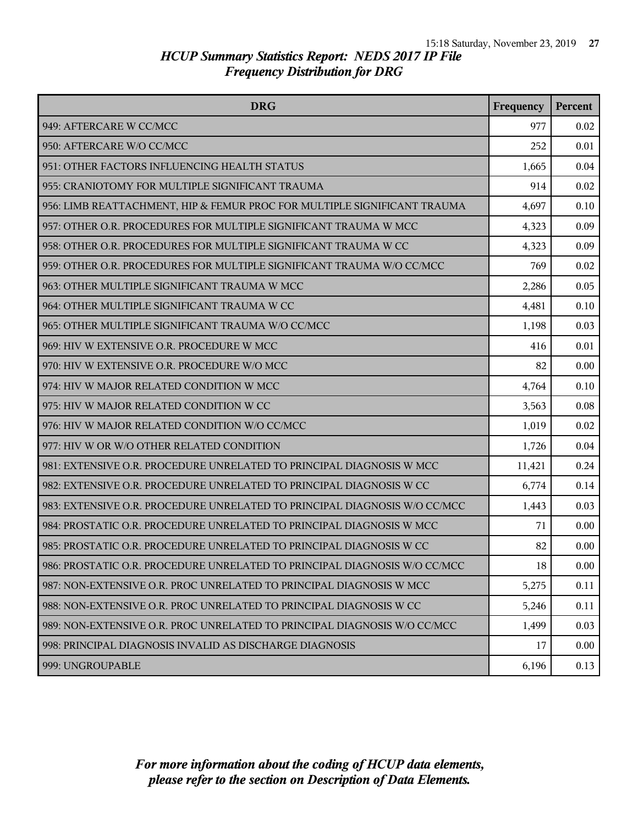| <b>DRG</b>                                                                | Frequency | Percent |
|---------------------------------------------------------------------------|-----------|---------|
| 949: AFTERCARE W CC/MCC                                                   | 977       | 0.02    |
| 950: AFTERCARE W/O CC/MCC                                                 | 252       | 0.01    |
| 951: OTHER FACTORS INFLUENCING HEALTH STATUS                              | 1,665     | 0.04    |
| 955: CRANIOTOMY FOR MULTIPLE SIGNIFICANT TRAUMA                           | 914       | 0.02    |
| 956: LIMB REATTACHMENT, HIP & FEMUR PROC FOR MULTIPLE SIGNIFICANT TRAUMA  | 4,697     | 0.10    |
| 957: OTHER O.R. PROCEDURES FOR MULTIPLE SIGNIFICANT TRAUMA W MCC          | 4,323     | 0.09    |
| 958: OTHER O.R. PROCEDURES FOR MULTIPLE SIGNIFICANT TRAUMA W CC           | 4,323     | 0.09    |
| 959: OTHER O.R. PROCEDURES FOR MULTIPLE SIGNIFICANT TRAUMA W/O CC/MCC     | 769       | 0.02    |
| 963: OTHER MULTIPLE SIGNIFICANT TRAUMA W MCC                              | 2,286     | 0.05    |
| 964: OTHER MULTIPLE SIGNIFICANT TRAUMA W CC                               | 4,481     | 0.10    |
| 965: OTHER MULTIPLE SIGNIFICANT TRAUMA W/O CC/MCC                         | 1,198     | 0.03    |
| 969: HIV W EXTENSIVE O.R. PROCEDURE W MCC                                 | 416       | 0.01    |
| 970: HIV W EXTENSIVE O.R. PROCEDURE W/O MCC                               | 82        | 0.00    |
| 974: HIV W MAJOR RELATED CONDITION W MCC                                  | 4,764     | 0.10    |
| 975: HIV W MAJOR RELATED CONDITION W CC                                   | 3,563     | 0.08    |
| 976: HIV W MAJOR RELATED CONDITION W/O CC/MCC                             | 1,019     | 0.02    |
| 977: HIV W OR W/O OTHER RELATED CONDITION                                 | 1,726     | 0.04    |
| 981: EXTENSIVE O.R. PROCEDURE UNRELATED TO PRINCIPAL DIAGNOSIS W MCC      | 11,421    | 0.24    |
| 982: EXTENSIVE O.R. PROCEDURE UNRELATED TO PRINCIPAL DIAGNOSIS W CC       | 6,774     | 0.14    |
| 983: EXTENSIVE O.R. PROCEDURE UNRELATED TO PRINCIPAL DIAGNOSIS W/O CC/MCC | 1,443     | 0.03    |
| 984: PROSTATIC O.R. PROCEDURE UNRELATED TO PRINCIPAL DIAGNOSIS W MCC      | 71        | 0.00    |
| 985: PROSTATIC O.R. PROCEDURE UNRELATED TO PRINCIPAL DIAGNOSIS W CC       | 82        | 0.00    |
| 986: PROSTATIC O.R. PROCEDURE UNRELATED TO PRINCIPAL DIAGNOSIS W/O CC/MCC | 18        | 0.00    |
| 987: NON-EXTENSIVE O.R. PROC UNRELATED TO PRINCIPAL DIAGNOSIS W MCC       | 5,275     | 0.11    |
| 988: NON-EXTENSIVE O.R. PROC UNRELATED TO PRINCIPAL DIAGNOSIS W CC        | 5,246     | 0.11    |
| 989: NON-EXTENSIVE O.R. PROC UNRELATED TO PRINCIPAL DIAGNOSIS W/O CC/MCC  | 1,499     | 0.03    |
| 998: PRINCIPAL DIAGNOSIS INVALID AS DISCHARGE DIAGNOSIS                   | 17        | 0.00    |
| 999: UNGROUPABLE                                                          | 6,196     | 0.13    |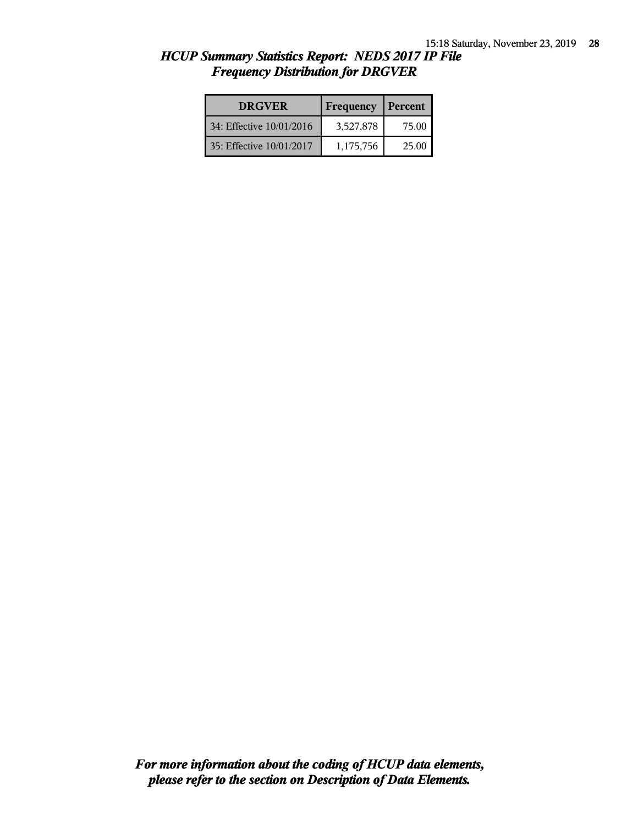| <b>DRGVER</b>            | Frequency | Percent |
|--------------------------|-----------|---------|
| 34: Effective 10/01/2016 | 3,527,878 | 75.00   |
| 35: Effective 10/01/2017 | 1,175,756 | 25.00   |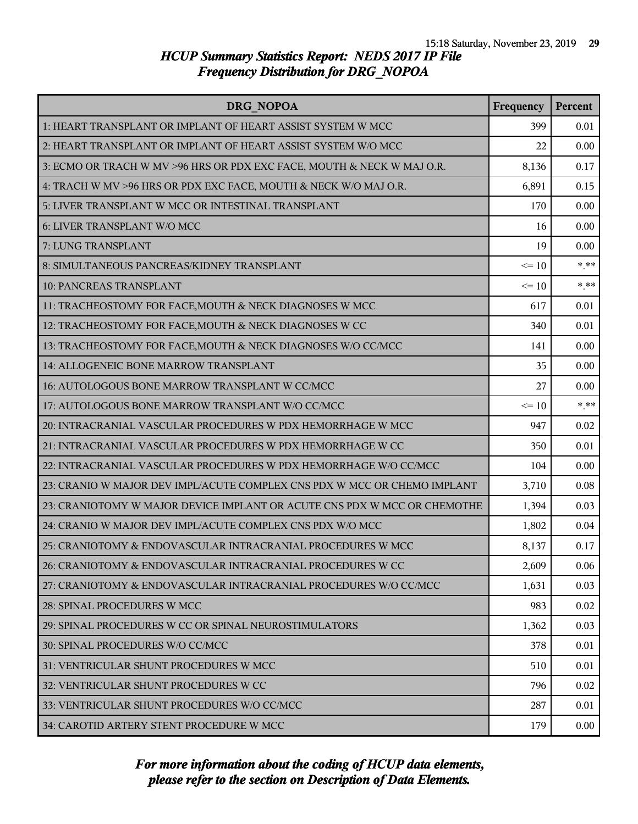| <b>DRG NOPOA</b>                                                         | Frequency | Percent |
|--------------------------------------------------------------------------|-----------|---------|
| 1: HEART TRANSPLANT OR IMPLANT OF HEART ASSIST SYSTEM W MCC              | 399       | 0.01    |
| 2: HEART TRANSPLANT OR IMPLANT OF HEART ASSIST SYSTEM W/O MCC            | 22        | 0.00    |
| 3: ECMO OR TRACH W MV >96 HRS OR PDX EXC FACE, MOUTH & NECK W MAJ O.R.   | 8,136     | 0.17    |
| 4: TRACH W MV >96 HRS OR PDX EXC FACE, MOUTH & NECK W/O MAJ O.R.         | 6,891     | 0.15    |
| 5: LIVER TRANSPLANT W MCC OR INTESTINAL TRANSPLANT                       | 170       | 0.00    |
| 6: LIVER TRANSPLANT W/O MCC                                              | 16        | 0.00    |
| 7: LUNG TRANSPLANT                                                       | 19        | 0.00    |
| 8: SIMULTANEOUS PANCREAS/KIDNEY TRANSPLANT                               | $\leq 10$ | $***$   |
| 10: PANCREAS TRANSPLANT                                                  | $\leq 10$ | $***$   |
| 11: TRACHEOSTOMY FOR FACE, MOUTH & NECK DIAGNOSES W MCC                  | 617       | 0.01    |
| 12: TRACHEOSTOMY FOR FACE, MOUTH & NECK DIAGNOSES W CC                   | 340       | 0.01    |
| 13: TRACHEOSTOMY FOR FACE, MOUTH & NECK DIAGNOSES W/O CC/MCC             | 141       | 0.00    |
| 14: ALLOGENEIC BONE MARROW TRANSPLANT                                    | 35        | 0.00    |
| 16: AUTOLOGOUS BONE MARROW TRANSPLANT W CC/MCC                           | 27        | 0.00    |
| 17: AUTOLOGOUS BONE MARROW TRANSPLANT W/O CC/MCC                         | $\leq 10$ | $***$   |
| 20: INTRACRANIAL VASCULAR PROCEDURES W PDX HEMORRHAGE W MCC              | 947       | 0.02    |
| 21: INTRACRANIAL VASCULAR PROCEDURES W PDX HEMORRHAGE W CC               | 350       | 0.01    |
| 22: INTRACRANIAL VASCULAR PROCEDURES W PDX HEMORRHAGE W/O CC/MCC         | 104       | 0.00    |
| 23: CRANIO W MAJOR DEV IMPL/ACUTE COMPLEX CNS PDX W MCC OR CHEMO IMPLANT | 3,710     | 0.08    |
| 23: CRANIOTOMY W MAJOR DEVICE IMPLANT OR ACUTE CNS PDX W MCC OR CHEMOTHE | 1,394     | 0.03    |
| 24: CRANIO W MAJOR DEV IMPL/ACUTE COMPLEX CNS PDX W/O MCC                | 1,802     | 0.04    |
| 25: CRANIOTOMY & ENDOVASCULAR INTRACRANIAL PROCEDURES W MCC              | 8,137     | 0.17    |
| 26: CRANIOTOMY & ENDOVASCULAR INTRACRANIAL PROCEDURES W CC               | 2,609     | 0.06    |
| 27: CRANIOTOMY & ENDOVASCULAR INTRACRANIAL PROCEDURES W/O CC/MCC         | 1,631     | 0.03    |
| 28: SPINAL PROCEDURES W MCC                                              | 983       | 0.02    |
| 29: SPINAL PROCEDURES W CC OR SPINAL NEUROSTIMULATORS                    | 1,362     | 0.03    |
| 30: SPINAL PROCEDURES W/O CC/MCC                                         | 378       | 0.01    |
| 31: VENTRICULAR SHUNT PROCEDURES W MCC                                   | 510       | 0.01    |
| 32: VENTRICULAR SHUNT PROCEDURES W CC                                    | 796       | 0.02    |
| 33: VENTRICULAR SHUNT PROCEDURES W/O CC/MCC                              | 287       | 0.01    |
| 34: CAROTID ARTERY STENT PROCEDURE W MCC                                 | 179       | 0.00    |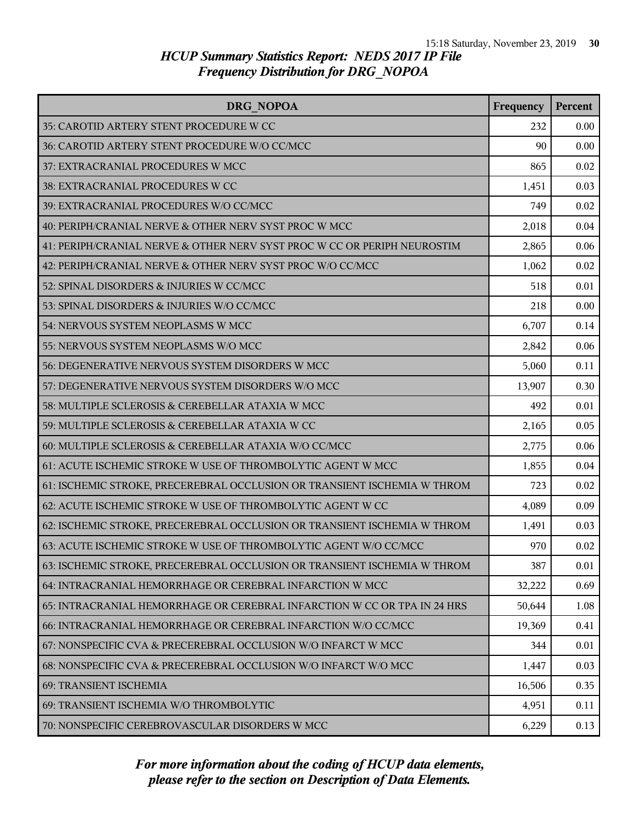| DRG NOPOA                                                                | Frequency | Percent |
|--------------------------------------------------------------------------|-----------|---------|
| 35: CAROTID ARTERY STENT PROCEDURE W CC                                  | 232       | 0.00    |
| 36: CAROTID ARTERY STENT PROCEDURE W/O CC/MCC                            | 90        | 0.00    |
| 37: EXTRACRANIAL PROCEDURES W MCC                                        | 865       | 0.02    |
| 38: EXTRACRANIAL PROCEDURES W CC                                         | 1,451     | 0.03    |
| 39: EXTRACRANIAL PROCEDURES W/O CC/MCC                                   | 749       | 0.02    |
| 40: PERIPH/CRANIAL NERVE & OTHER NERV SYST PROC W MCC                    | 2,018     | 0.04    |
| 41: PERIPH/CRANIAL NERVE & OTHER NERV SYST PROC W CC OR PERIPH NEUROSTIM | 2,865     | 0.06    |
| 42: PERIPH/CRANIAL NERVE & OTHER NERV SYST PROC W/O CC/MCC               | 1,062     | 0.02    |
| 52: SPINAL DISORDERS & INJURIES W CC/MCC                                 | 518       | 0.01    |
| 53: SPINAL DISORDERS & INJURIES W/O CC/MCC                               | 218       | 0.00    |
| 54: NERVOUS SYSTEM NEOPLASMS W MCC                                       | 6,707     | 0.14    |
| 55: NERVOUS SYSTEM NEOPLASMS W/O MCC                                     | 2,842     | 0.06    |
| 56: DEGENERATIVE NERVOUS SYSTEM DISORDERS W MCC                          | 5,060     | 0.11    |
| 57: DEGENERATIVE NERVOUS SYSTEM DISORDERS W/O MCC                        | 13,907    | 0.30    |
| 58: MULTIPLE SCLEROSIS & CEREBELLAR ATAXIA W MCC                         | 492       | 0.01    |
| 59: MULTIPLE SCLEROSIS & CEREBELLAR ATAXIA W CC                          | 2,165     | 0.05    |
| 60: MULTIPLE SCLEROSIS & CEREBELLAR ATAXIA W/O CC/MCC                    | 2,775     | 0.06    |
| 61: ACUTE ISCHEMIC STROKE W USE OF THROMBOLYTIC AGENT W MCC              | 1,855     | 0.04    |
| 61: ISCHEMIC STROKE, PRECEREBRAL OCCLUSION OR TRANSIENT ISCHEMIA W THROM | 723       | 0.02    |
| 62: ACUTE ISCHEMIC STROKE W USE OF THROMBOLYTIC AGENT W CC               | 4,089     | 0.09    |
| 62: ISCHEMIC STROKE, PRECEREBRAL OCCLUSION OR TRANSIENT ISCHEMIA W THROM | 1,491     | 0.03    |
| 63: ACUTE ISCHEMIC STROKE W USE OF THROMBOLYTIC AGENT W/O CC/MCC         | 970       | 0.02    |
| 63: ISCHEMIC STROKE, PRECEREBRAL OCCLUSION OR TRANSIENT ISCHEMIA W THROM | 387       | 0.01    |
| 64: INTRACRANIAL HEMORRHAGE OR CEREBRAL INFARCTION W MCC                 | 32,222    | 0.69    |
| 65: INTRACRANIAL HEMORRHAGE OR CEREBRAL INFARCTION W CC OR TPA IN 24 HRS | 50,644    | 1.08    |
| 66: INTRACRANIAL HEMORRHAGE OR CEREBRAL INFARCTION W/O CC/MCC            | 19,369    | 0.41    |
| 67: NONSPECIFIC CVA & PRECEREBRAL OCCLUSION W/O INFARCT W MCC            | 344       | 0.01    |
| 68: NONSPECIFIC CVA & PRECEREBRAL OCCLUSION W/O INFARCT W/O MCC          | 1,447     | 0.03    |
| 69: TRANSIENT ISCHEMIA                                                   | 16,506    | 0.35    |
| 69: TRANSIENT ISCHEMIA W/O THROMBOLYTIC                                  | 4,951     | 0.11    |
| 70: NONSPECIFIC CEREBROVASCULAR DISORDERS W MCC                          | 6,229     | 0.13    |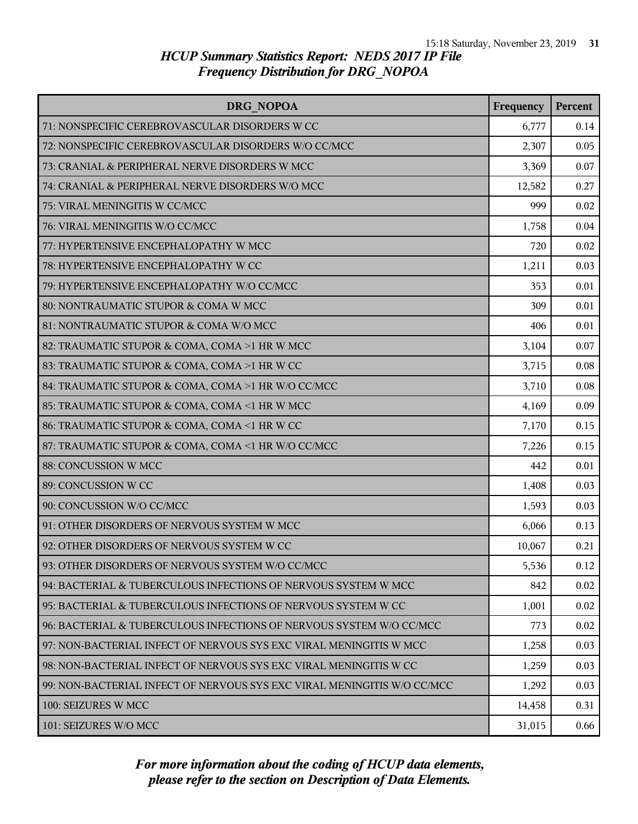| DRG NOPOA                                                               | Frequency | Percent |
|-------------------------------------------------------------------------|-----------|---------|
| 71: NONSPECIFIC CEREBROVASCULAR DISORDERS W CC                          | 6,777     | 0.14    |
| 72: NONSPECIFIC CEREBROVASCULAR DISORDERS W/O CC/MCC                    | 2,307     | 0.05    |
| 73: CRANIAL & PERIPHERAL NERVE DISORDERS W MCC                          | 3,369     | 0.07    |
| 74: CRANIAL & PERIPHERAL NERVE DISORDERS W/O MCC                        | 12,582    | 0.27    |
| 75: VIRAL MENINGITIS W CC/MCC                                           | 999       | 0.02    |
| 76: VIRAL MENINGITIS W/O CC/MCC                                         | 1,758     | 0.04    |
| 77: HYPERTENSIVE ENCEPHALOPATHY W MCC                                   | 720       | 0.02    |
| 78: HYPERTENSIVE ENCEPHALOPATHY W CC                                    | 1,211     | 0.03    |
| 79: HYPERTENSIVE ENCEPHALOPATHY W/O CC/MCC                              | 353       | 0.01    |
| 80: NONTRAUMATIC STUPOR & COMA W MCC                                    | 309       | 0.01    |
| 81: NONTRAUMATIC STUPOR & COMA W/O MCC                                  | 406       | 0.01    |
| 82: TRAUMATIC STUPOR & COMA, COMA >1 HR W MCC                           | 3,104     | 0.07    |
| 83: TRAUMATIC STUPOR & COMA, COMA >1 HR W CC                            | 3,715     | 0.08    |
| 84: TRAUMATIC STUPOR & COMA, COMA >1 HR W/O CC/MCC                      | 3,710     | 0.08    |
| 85: TRAUMATIC STUPOR & COMA, COMA <1 HR W MCC                           | 4,169     | 0.09    |
| 86: TRAUMATIC STUPOR & COMA, COMA <1 HR W CC                            | 7,170     | 0.15    |
| 87: TRAUMATIC STUPOR & COMA, COMA <1 HR W/O CC/MCC                      | 7,226     | 0.15    |
| 88: CONCUSSION W MCC                                                    | 442       | 0.01    |
| 89: CONCUSSION W CC                                                     | 1,408     | 0.03    |
| 90: CONCUSSION W/O CC/MCC                                               | 1,593     | 0.03    |
| 91: OTHER DISORDERS OF NERVOUS SYSTEM W MCC                             | 6,066     | 0.13    |
| 92: OTHER DISORDERS OF NERVOUS SYSTEM W CC                              | 10,067    | 0.21    |
| 93: OTHER DISORDERS OF NERVOUS SYSTEM W/O CC/MCC                        | 5,536     | 0.12    |
| 94: BACTERIAL & TUBERCULOUS INFECTIONS OF NERVOUS SYSTEM W MCC          | 842       | 0.02    |
| 95: BACTERIAL & TUBERCULOUS INFECTIONS OF NERVOUS SYSTEM W CC           | 1,001     | 0.02    |
| 96: BACTERIAL & TUBERCULOUS INFECTIONS OF NERVOUS SYSTEM W/O CC/MCC     | 773       | 0.02    |
| 97: NON-BACTERIAL INFECT OF NERVOUS SYS EXC VIRAL MENINGITIS W MCC      | 1,258     | 0.03    |
| 98: NON-BACTERIAL INFECT OF NERVOUS SYS EXC VIRAL MENINGITIS W CC       | 1,259     | 0.03    |
| 99: NON-BACTERIAL INFECT OF NERVOUS SYS EXC VIRAL MENINGITIS W/O CC/MCC | 1,292     | 0.03    |
| 100: SEIZURES W MCC                                                     | 14,458    | 0.31    |
| 101: SEIZURES W/O MCC                                                   | 31,015    | 0.66    |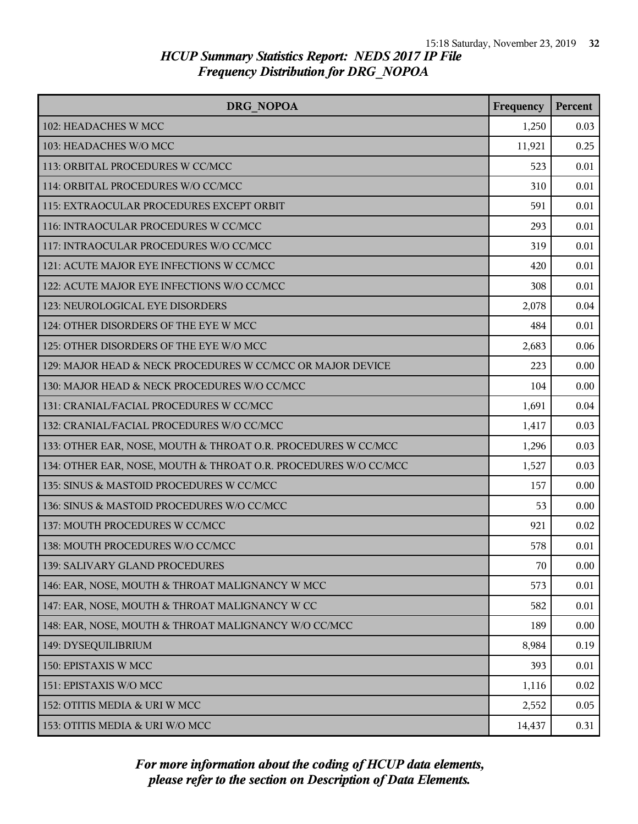| DRG NOPOA                                                       | Frequency | Percent |
|-----------------------------------------------------------------|-----------|---------|
| 102: HEADACHES W MCC                                            | 1,250     | 0.03    |
| 103: HEADACHES W/O MCC                                          | 11,921    | 0.25    |
| 113: ORBITAL PROCEDURES W CC/MCC                                | 523       | 0.01    |
| 114: ORBITAL PROCEDURES W/O CC/MCC                              | 310       | 0.01    |
| 115: EXTRAOCULAR PROCEDURES EXCEPT ORBIT                        | 591       | 0.01    |
| 116: INTRAOCULAR PROCEDURES W CC/MCC                            | 293       | 0.01    |
| 117: INTRAOCULAR PROCEDURES W/O CC/MCC                          | 319       | 0.01    |
| 121: ACUTE MAJOR EYE INFECTIONS W CC/MCC                        | 420       | 0.01    |
| 122: ACUTE MAJOR EYE INFECTIONS W/O CC/MCC                      | 308       | 0.01    |
| 123: NEUROLOGICAL EYE DISORDERS                                 | 2,078     | 0.04    |
| 124: OTHER DISORDERS OF THE EYE W MCC                           | 484       | 0.01    |
| 125: OTHER DISORDERS OF THE EYE W/O MCC                         | 2,683     | 0.06    |
| 129: MAJOR HEAD & NECK PROCEDURES W CC/MCC OR MAJOR DEVICE      | 223       | 0.00    |
| 130: MAJOR HEAD & NECK PROCEDURES W/O CC/MCC                    | 104       | 0.00    |
| 131: CRANIAL/FACIAL PROCEDURES W CC/MCC                         | 1,691     | 0.04    |
| 132: CRANIAL/FACIAL PROCEDURES W/O CC/MCC                       | 1,417     | 0.03    |
| 133: OTHER EAR, NOSE, MOUTH & THROAT O.R. PROCEDURES W CC/MCC   | 1,296     | 0.03    |
| 134: OTHER EAR, NOSE, MOUTH & THROAT O.R. PROCEDURES W/O CC/MCC | 1,527     | 0.03    |
| 135: SINUS & MASTOID PROCEDURES W CC/MCC                        | 157       | 0.00    |
| 136: SINUS & MASTOID PROCEDURES W/O CC/MCC                      | 53        | 0.00    |
| 137: MOUTH PROCEDURES W CC/MCC                                  | 921       | 0.02    |
| 138: MOUTH PROCEDURES W/O CC/MCC                                | 578       | 0.01    |
| 139: SALIVARY GLAND PROCEDURES                                  | 70        | 0.00    |
| 146: EAR, NOSE, MOUTH & THROAT MALIGNANCY W MCC                 | 573       | 0.01    |
| 147: EAR, NOSE, MOUTH & THROAT MALIGNANCY W CC                  | 582       | 0.01    |
| 148: EAR, NOSE, MOUTH & THROAT MALIGNANCY W/O CC/MCC            | 189       | 0.00    |
| 149: DYSEQUILIBRIUM                                             | 8,984     | 0.19    |
| 150: EPISTAXIS W MCC                                            | 393       | 0.01    |
| 151: EPISTAXIS W/O MCC                                          | 1,116     | 0.02    |
| 152: OTITIS MEDIA & URI W MCC                                   | 2,552     | 0.05    |
| 153: OTITIS MEDIA & URI W/O MCC                                 | 14,437    | 0.31    |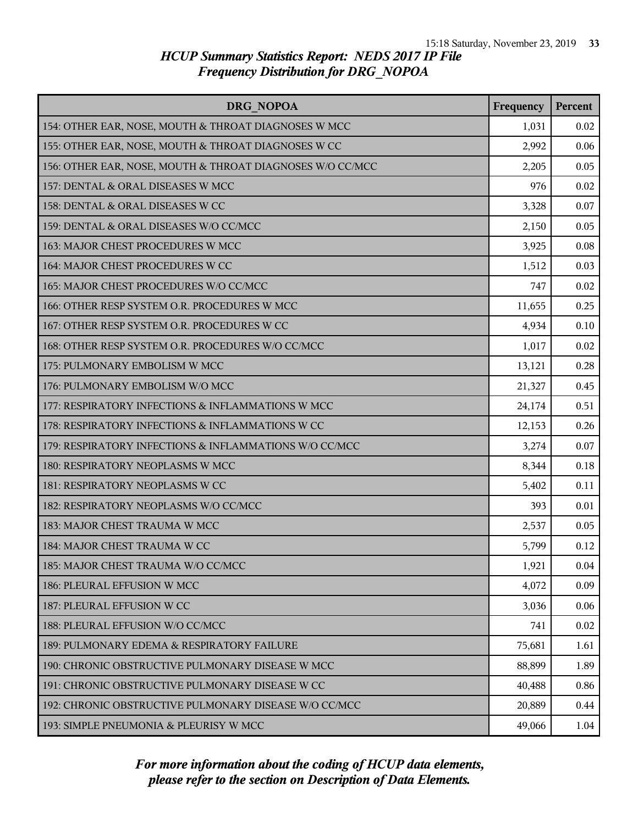| DRG NOPOA                                                 | Frequency | Percent |
|-----------------------------------------------------------|-----------|---------|
| 154: OTHER EAR, NOSE, MOUTH & THROAT DIAGNOSES W MCC      | 1,031     | 0.02    |
| 155: OTHER EAR, NOSE, MOUTH & THROAT DIAGNOSES W CC       | 2,992     | 0.06    |
| 156: OTHER EAR, NOSE, MOUTH & THROAT DIAGNOSES W/O CC/MCC | 2,205     | 0.05    |
| 157: DENTAL & ORAL DISEASES W MCC                         | 976       | 0.02    |
| 158: DENTAL & ORAL DISEASES W CC                          | 3,328     | 0.07    |
| 159: DENTAL & ORAL DISEASES W/O CC/MCC                    | 2,150     | 0.05    |
| 163: MAJOR CHEST PROCEDURES W MCC                         | 3,925     | 0.08    |
| 164: MAJOR CHEST PROCEDURES W CC                          | 1,512     | 0.03    |
| 165: MAJOR CHEST PROCEDURES W/O CC/MCC                    | 747       | 0.02    |
| 166: OTHER RESP SYSTEM O.R. PROCEDURES W MCC              | 11,655    | 0.25    |
| 167: OTHER RESP SYSTEM O.R. PROCEDURES W CC               | 4,934     | 0.10    |
| 168: OTHER RESP SYSTEM O.R. PROCEDURES W/O CC/MCC         | 1,017     | 0.02    |
| 175: PULMONARY EMBOLISM W MCC                             | 13,121    | 0.28    |
| 176: PULMONARY EMBOLISM W/O MCC                           | 21,327    | 0.45    |
| 177: RESPIRATORY INFECTIONS & INFLAMMATIONS W MCC         | 24,174    | 0.51    |
| 178: RESPIRATORY INFECTIONS & INFLAMMATIONS W CC          | 12,153    | 0.26    |
| 179: RESPIRATORY INFECTIONS & INFLAMMATIONS W/O CC/MCC    | 3,274     | 0.07    |
| 180: RESPIRATORY NEOPLASMS W MCC                          | 8,344     | 0.18    |
| 181: RESPIRATORY NEOPLASMS W CC                           | 5,402     | 0.11    |
| 182: RESPIRATORY NEOPLASMS W/O CC/MCC                     | 393       | 0.01    |
| 183: MAJOR CHEST TRAUMA W MCC                             | 2,537     | 0.05    |
| 184: MAJOR CHEST TRAUMA W CC                              | 5,799     | 0.12    |
| 185: MAJOR CHEST TRAUMA W/O CC/MCC                        | 1,921     | 0.04    |
| 186: PLEURAL EFFUSION W MCC                               | 4,072     | 0.09    |
| 187: PLEURAL EFFUSION W CC                                | 3,036     | 0.06    |
| 188: PLEURAL EFFUSION W/O CC/MCC                          | 741       | 0.02    |
| 189: PULMONARY EDEMA & RESPIRATORY FAILURE                | 75,681    | 1.61    |
| 190: CHRONIC OBSTRUCTIVE PULMONARY DISEASE W MCC          | 88,899    | 1.89    |
| 191: CHRONIC OBSTRUCTIVE PULMONARY DISEASE W CC           | 40,488    | 0.86    |
| 192: CHRONIC OBSTRUCTIVE PULMONARY DISEASE W/O CC/MCC     | 20,889    | 0.44    |
| 193: SIMPLE PNEUMONIA & PLEURISY W MCC                    | 49,066    | 1.04    |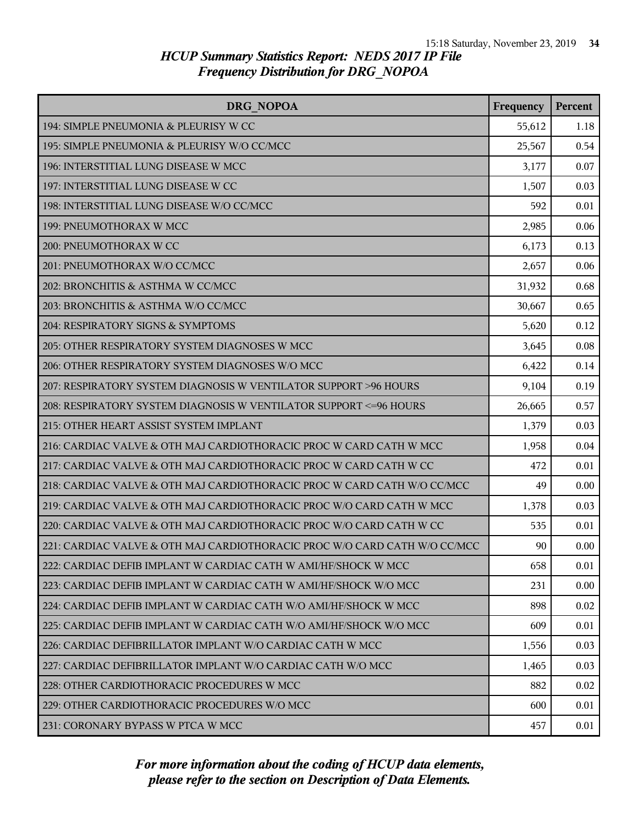| DRG NOPOA                                                                 | Frequency | Percent |
|---------------------------------------------------------------------------|-----------|---------|
| 194: SIMPLE PNEUMONIA & PLEURISY W CC                                     | 55,612    | 1.18    |
| 195: SIMPLE PNEUMONIA & PLEURISY W/O CC/MCC                               | 25,567    | 0.54    |
| 196: INTERSTITIAL LUNG DISEASE W MCC                                      | 3,177     | 0.07    |
| 197: INTERSTITIAL LUNG DISEASE W CC                                       | 1,507     | 0.03    |
| 198: INTERSTITIAL LUNG DISEASE W/O CC/MCC                                 | 592       | 0.01    |
| 199: PNEUMOTHORAX W MCC                                                   | 2,985     | 0.06    |
| 200: PNEUMOTHORAX W CC                                                    | 6,173     | 0.13    |
| 201: PNEUMOTHORAX W/O CC/MCC                                              | 2,657     | 0.06    |
| 202: BRONCHITIS & ASTHMA W CC/MCC                                         | 31,932    | 0.68    |
| 203: BRONCHITIS & ASTHMA W/O CC/MCC                                       | 30,667    | 0.65    |
| 204: RESPIRATORY SIGNS & SYMPTOMS                                         | 5,620     | 0.12    |
| 205: OTHER RESPIRATORY SYSTEM DIAGNOSES W MCC                             | 3,645     | 0.08    |
| 206: OTHER RESPIRATORY SYSTEM DIAGNOSES W/O MCC                           | 6,422     | 0.14    |
| 207: RESPIRATORY SYSTEM DIAGNOSIS W VENTILATOR SUPPORT >96 HOURS          | 9,104     | 0.19    |
| 208: RESPIRATORY SYSTEM DIAGNOSIS W VENTILATOR SUPPORT <= 96 HOURS        | 26,665    | 0.57    |
| 215: OTHER HEART ASSIST SYSTEM IMPLANT                                    | 1,379     | 0.03    |
| 216: CARDIAC VALVE & OTH MAJ CARDIOTHORACIC PROC W CARD CATH W MCC        | 1,958     | 0.04    |
| 217: CARDIAC VALVE & OTH MAJ CARDIOTHORACIC PROC W CARD CATH W CC         | 472       | 0.01    |
| 218: CARDIAC VALVE & OTH MAJ CARDIOTHORACIC PROC W CARD CATH W/O CC/MCC   | 49        | 0.00    |
| 219: CARDIAC VALVE & OTH MAJ CARDIOTHORACIC PROC W/O CARD CATH W MCC      | 1,378     | 0.03    |
| 220: CARDIAC VALVE & OTH MAJ CARDIOTHORACIC PROC W/O CARD CATH W CC       | 535       | 0.01    |
| 221: CARDIAC VALVE & OTH MAJ CARDIOTHORACIC PROC W/O CARD CATH W/O CC/MCC | 90        | 0.00    |
| 222: CARDIAC DEFIB IMPLANT W CARDIAC CATH W AMI/HF/SHOCK W MCC            | 658       | 0.01    |
| 223: CARDIAC DEFIB IMPLANT W CARDIAC CATH W AMI/HF/SHOCK W/O MCC          | 231       | 0.00    |
| 224: CARDIAC DEFIB IMPLANT W CARDIAC CATH W/O AMI/HF/SHOCK W MCC          | 898       | 0.02    |
| 225: CARDIAC DEFIB IMPLANT W CARDIAC CATH W/O AMI/HF/SHOCK W/O MCC        | 609       | 0.01    |
| 226: CARDIAC DEFIBRILLATOR IMPLANT W/O CARDIAC CATH W MCC                 | 1,556     | 0.03    |
| 227: CARDIAC DEFIBRILLATOR IMPLANT W/O CARDIAC CATH W/O MCC               | 1,465     | 0.03    |
| 228: OTHER CARDIOTHORACIC PROCEDURES W MCC                                | 882       | 0.02    |
| 229: OTHER CARDIOTHORACIC PROCEDURES W/O MCC                              | 600       | 0.01    |
| 231: CORONARY BYPASS W PTCA W MCC                                         | 457       | 0.01    |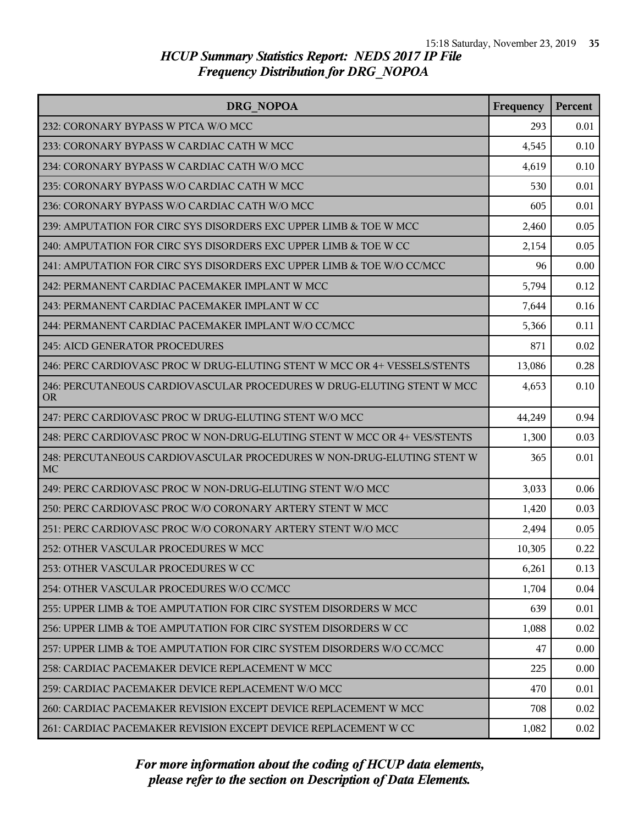| DRG NOPOA                                                                           | Frequency | <b>Percent</b> |
|-------------------------------------------------------------------------------------|-----------|----------------|
| 232: CORONARY BYPASS W PTCA W/O MCC                                                 | 293       | 0.01           |
| 233: CORONARY BYPASS W CARDIAC CATH W MCC                                           | 4,545     | 0.10           |
| 234: CORONARY BYPASS W CARDIAC CATH W/O MCC                                         | 4,619     | 0.10           |
| 235: CORONARY BYPASS W/O CARDIAC CATH W MCC                                         | 530       | 0.01           |
| 236: CORONARY BYPASS W/O CARDIAC CATH W/O MCC                                       | 605       | 0.01           |
| 239: AMPUTATION FOR CIRC SYS DISORDERS EXC UPPER LIMB & TOE W MCC                   | 2,460     | 0.05           |
| 240: AMPUTATION FOR CIRC SYS DISORDERS EXC UPPER LIMB & TOE W CC                    | 2,154     | 0.05           |
| 241: AMPUTATION FOR CIRC SYS DISORDERS EXC UPPER LIMB & TOE W/O CC/MCC              | 96        | 0.00           |
| 242: PERMANENT CARDIAC PACEMAKER IMPLANT W MCC                                      | 5,794     | 0.12           |
| 243: PERMANENT CARDIAC PACEMAKER IMPLANT W CC                                       | 7,644     | 0.16           |
| 244: PERMANENT CARDIAC PACEMAKER IMPLANT W/O CC/MCC                                 | 5,366     | 0.11           |
| <b>245: AICD GENERATOR PROCEDURES</b>                                               | 871       | 0.02           |
| 246: PERC CARDIOVASC PROC W DRUG-ELUTING STENT W MCC OR 4+ VESSELS/STENTS           | 13,086    | 0.28           |
| 246: PERCUTANEOUS CARDIOVASCULAR PROCEDURES W DRUG-ELUTING STENT W MCC<br><b>OR</b> | 4,653     | 0.10           |
| 247: PERC CARDIOVASC PROC W DRUG-ELUTING STENT W/O MCC                              | 44,249    | 0.94           |
| 248: PERC CARDIOVASC PROC W NON-DRUG-ELUTING STENT W MCC OR 4+ VES/STENTS           | 1,300     | 0.03           |
| 248: PERCUTANEOUS CARDIOVASCULAR PROCEDURES W NON-DRUG-ELUTING STENT W<br><b>MC</b> | 365       | 0.01           |
| 249: PERC CARDIOVASC PROC W NON-DRUG-ELUTING STENT W/O MCC                          | 3,033     | 0.06           |
| 250: PERC CARDIOVASC PROC W/O CORONARY ARTERY STENT W MCC                           | 1,420     | 0.03           |
| 251: PERC CARDIOVASC PROC W/O CORONARY ARTERY STENT W/O MCC                         | 2,494     | 0.05           |
| 252: OTHER VASCULAR PROCEDURES W MCC                                                | 10,305    | 0.22           |
| 253: OTHER VASCULAR PROCEDURES W CC                                                 | 6,261     | 0.13           |
| 254: OTHER VASCULAR PROCEDURES W/O CC/MCC                                           | 1,704     | 0.04           |
| 255: UPPER LIMB & TOE AMPUTATION FOR CIRC SYSTEM DISORDERS W MCC                    | 639       | 0.01           |
| 256: UPPER LIMB & TOE AMPUTATION FOR CIRC SYSTEM DISORDERS W CC                     | 1,088     | 0.02           |
| 257: UPPER LIMB & TOE AMPUTATION FOR CIRC SYSTEM DISORDERS W/O CC/MCC               | 47        | 0.00           |
| 258: CARDIAC PACEMAKER DEVICE REPLACEMENT W MCC                                     | 225       | 0.00           |
| 259: CARDIAC PACEMAKER DEVICE REPLACEMENT W/O MCC                                   | 470       | 0.01           |
| 260: CARDIAC PACEMAKER REVISION EXCEPT DEVICE REPLACEMENT W MCC                     | 708       | 0.02           |
| 261: CARDIAC PACEMAKER REVISION EXCEPT DEVICE REPLACEMENT W CC                      | 1,082     | 0.02           |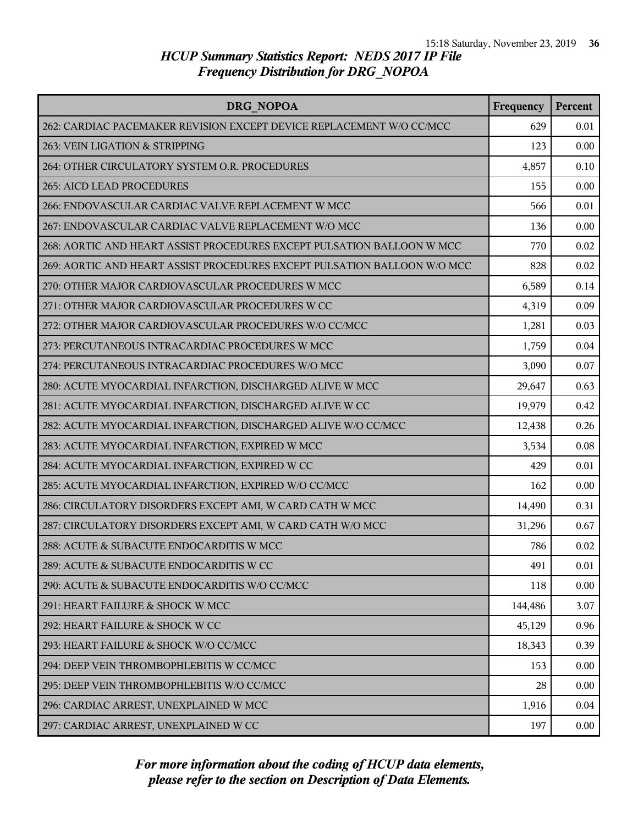| DRG NOPOA                                                                | Frequency | Percent |
|--------------------------------------------------------------------------|-----------|---------|
| 262: CARDIAC PACEMAKER REVISION EXCEPT DEVICE REPLACEMENT W/O CC/MCC     | 629       | 0.01    |
| 263: VEIN LIGATION & STRIPPING                                           | 123       | 0.00    |
| 264: OTHER CIRCULATORY SYSTEM O.R. PROCEDURES                            | 4,857     | 0.10    |
| 265: AICD LEAD PROCEDURES                                                | 155       | 0.00    |
| 266: ENDOVASCULAR CARDIAC VALVE REPLACEMENT W MCC                        | 566       | 0.01    |
| 267: ENDOVASCULAR CARDIAC VALVE REPLACEMENT W/O MCC                      | 136       | 0.00    |
| 268: AORTIC AND HEART ASSIST PROCEDURES EXCEPT PULSATION BALLOON W MCC   | 770       | 0.02    |
| 269: AORTIC AND HEART ASSIST PROCEDURES EXCEPT PULSATION BALLOON W/O MCC | 828       | 0.02    |
| 270: OTHER MAJOR CARDIOVASCULAR PROCEDURES W MCC                         | 6,589     | 0.14    |
| 271: OTHER MAJOR CARDIOVASCULAR PROCEDURES W CC                          | 4,319     | 0.09    |
| 272: OTHER MAJOR CARDIOVASCULAR PROCEDURES W/O CC/MCC                    | 1,281     | 0.03    |
| 273: PERCUTANEOUS INTRACARDIAC PROCEDURES W MCC                          | 1,759     | 0.04    |
| 274: PERCUTANEOUS INTRACARDIAC PROCEDURES W/O MCC                        | 3,090     | 0.07    |
| 280: ACUTE MYOCARDIAL INFARCTION, DISCHARGED ALIVE W MCC                 | 29,647    | 0.63    |
| 281: ACUTE MYOCARDIAL INFARCTION, DISCHARGED ALIVE W CC                  | 19,979    | 0.42    |
| 282: ACUTE MYOCARDIAL INFARCTION, DISCHARGED ALIVE W/O CC/MCC            | 12,438    | 0.26    |
| 283: ACUTE MYOCARDIAL INFARCTION, EXPIRED W MCC                          | 3,534     | 0.08    |
| 284: ACUTE MYOCARDIAL INFARCTION, EXPIRED W CC                           | 429       | 0.01    |
| 285: ACUTE MYOCARDIAL INFARCTION, EXPIRED W/O CC/MCC                     | 162       | 0.00    |
| 286: CIRCULATORY DISORDERS EXCEPT AMI, W CARD CATH W MCC                 | 14,490    | 0.31    |
| 287: CIRCULATORY DISORDERS EXCEPT AMI, W CARD CATH W/O MCC               | 31,296    | 0.67    |
| 288: ACUTE & SUBACUTE ENDOCARDITIS W MCC                                 | 786       | 0.02    |
| 289: ACUTE & SUBACUTE ENDOCARDITIS W CC                                  | 491       | 0.01    |
| 290: ACUTE & SUBACUTE ENDOCARDITIS W/O CC/MCC                            | 118       | 0.00    |
| 291: HEART FAILURE & SHOCK W MCC                                         | 144,486   | 3.07    |
| 292: HEART FAILURE & SHOCK W CC                                          | 45,129    | 0.96    |
| 293: HEART FAILURE & SHOCK W/O CC/MCC                                    | 18,343    | 0.39    |
| 294: DEEP VEIN THROMBOPHLEBITIS W CC/MCC                                 | 153       | 0.00    |
| 295: DEEP VEIN THROMBOPHLEBITIS W/O CC/MCC                               | 28        | 0.00    |
| 296: CARDIAC ARREST, UNEXPLAINED W MCC                                   | 1,916     | 0.04    |
| 297: CARDIAC ARREST, UNEXPLAINED W CC                                    | 197       | 0.00    |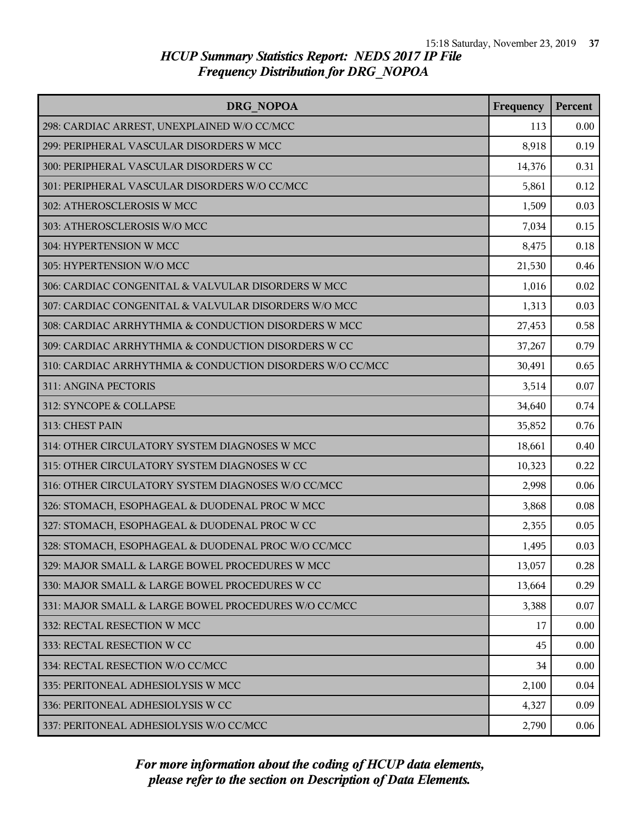| DRG NOPOA                                                 | Frequency | Percent |
|-----------------------------------------------------------|-----------|---------|
| 298: CARDIAC ARREST, UNEXPLAINED W/O CC/MCC               | 113       | 0.00    |
| 299: PERIPHERAL VASCULAR DISORDERS W MCC                  | 8,918     | 0.19    |
| 300: PERIPHERAL VASCULAR DISORDERS W CC                   | 14,376    | 0.31    |
| 301: PERIPHERAL VASCULAR DISORDERS W/O CC/MCC             | 5,861     | 0.12    |
| 302: ATHEROSCLEROSIS W MCC                                | 1,509     | 0.03    |
| 303: ATHEROSCLEROSIS W/O MCC                              | 7,034     | 0.15    |
| 304: HYPERTENSION W MCC                                   | 8,475     | 0.18    |
| 305: HYPERTENSION W/O MCC                                 | 21,530    | 0.46    |
| 306: CARDIAC CONGENITAL & VALVULAR DISORDERS W MCC        | 1,016     | 0.02    |
| 307: CARDIAC CONGENITAL & VALVULAR DISORDERS W/O MCC      | 1,313     | 0.03    |
| 308: CARDIAC ARRHYTHMIA & CONDUCTION DISORDERS W MCC      | 27,453    | 0.58    |
| 309: CARDIAC ARRHYTHMIA & CONDUCTION DISORDERS W CC       | 37,267    | 0.79    |
| 310: CARDIAC ARRHYTHMIA & CONDUCTION DISORDERS W/O CC/MCC | 30,491    | 0.65    |
| 311: ANGINA PECTORIS                                      | 3,514     | 0.07    |
| 312: SYNCOPE & COLLAPSE                                   | 34,640    | 0.74    |
| 313: CHEST PAIN                                           | 35,852    | 0.76    |
| 314: OTHER CIRCULATORY SYSTEM DIAGNOSES W MCC             | 18,661    | 0.40    |
| 315: OTHER CIRCULATORY SYSTEM DIAGNOSES W CC              | 10,323    | 0.22    |
| 316: OTHER CIRCULATORY SYSTEM DIAGNOSES W/O CC/MCC        | 2,998     | 0.06    |
| 326: STOMACH, ESOPHAGEAL & DUODENAL PROC W MCC            | 3,868     | 0.08    |
| 327: STOMACH, ESOPHAGEAL & DUODENAL PROC W CC             | 2,355     | 0.05    |
| 328: STOMACH, ESOPHAGEAL & DUODENAL PROC W/O CC/MCC       | 1,495     | 0.03    |
| 329: MAJOR SMALL & LARGE BOWEL PROCEDURES W MCC           | 13,057    | 0.28    |
| 330: MAJOR SMALL & LARGE BOWEL PROCEDURES W CC            | 13,664    | 0.29    |
| 331: MAJOR SMALL & LARGE BOWEL PROCEDURES W/O CC/MCC      | 3,388     | 0.07    |
| 332: RECTAL RESECTION W MCC                               | 17        | 0.00    |
| 333: RECTAL RESECTION W CC                                | 45        | 0.00    |
| 334: RECTAL RESECTION W/O CC/MCC                          | 34        | 0.00    |
| 335: PERITONEAL ADHESIOLYSIS W MCC                        | 2,100     | 0.04    |
| 336: PERITONEAL ADHESIOLYSIS W CC                         | 4,327     | 0.09    |
| 337: PERITONEAL ADHESIOLYSIS W/O CC/MCC                   | 2,790     | 0.06    |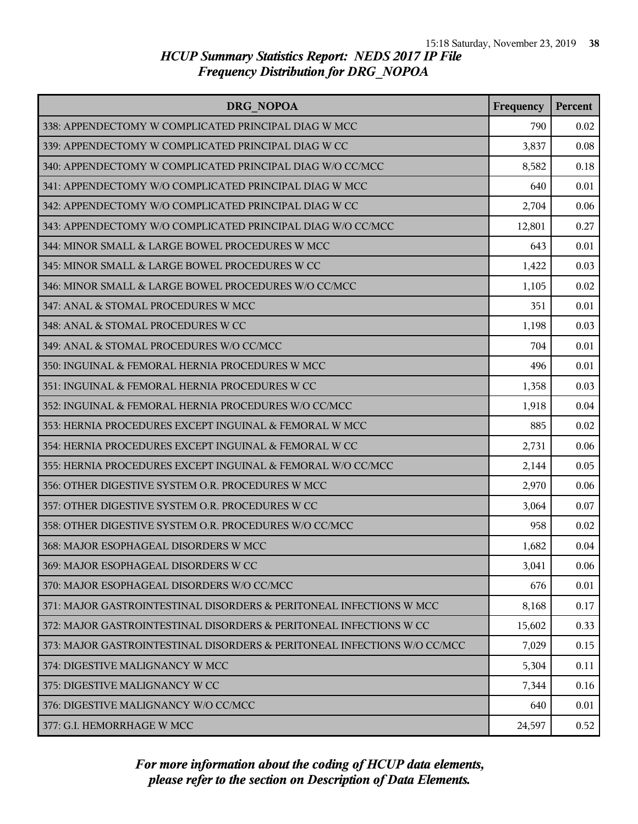| DRG NOPOA                                                                | Frequency | Percent |
|--------------------------------------------------------------------------|-----------|---------|
| 338: APPENDECTOMY W COMPLICATED PRINCIPAL DIAG W MCC                     | 790       | 0.02    |
| 339: APPENDECTOMY W COMPLICATED PRINCIPAL DIAG W CC                      | 3,837     | 0.08    |
| 340: APPENDECTOMY W COMPLICATED PRINCIPAL DIAG W/O CC/MCC                | 8,582     | 0.18    |
| 341: APPENDECTOMY W/O COMPLICATED PRINCIPAL DIAG W MCC                   | 640       | 0.01    |
| 342: APPENDECTOMY W/O COMPLICATED PRINCIPAL DIAG W CC                    | 2,704     | 0.06    |
| 343: APPENDECTOMY W/O COMPLICATED PRINCIPAL DIAG W/O CC/MCC              | 12,801    | 0.27    |
| 344: MINOR SMALL & LARGE BOWEL PROCEDURES W MCC                          | 643       | 0.01    |
| 345: MINOR SMALL & LARGE BOWEL PROCEDURES W CC                           | 1,422     | 0.03    |
| 346: MINOR SMALL & LARGE BOWEL PROCEDURES W/O CC/MCC                     | 1,105     | 0.02    |
| 347: ANAL & STOMAL PROCEDURES W MCC                                      | 351       | 0.01    |
| 348: ANAL & STOMAL PROCEDURES W CC                                       | 1,198     | 0.03    |
| 349: ANAL & STOMAL PROCEDURES W/O CC/MCC                                 | 704       | 0.01    |
| 350: INGUINAL & FEMORAL HERNIA PROCEDURES W MCC                          | 496       | 0.01    |
| 351: INGUINAL & FEMORAL HERNIA PROCEDURES W CC                           | 1,358     | 0.03    |
| 352: INGUINAL & FEMORAL HERNIA PROCEDURES W/O CC/MCC                     | 1,918     | 0.04    |
| 353: HERNIA PROCEDURES EXCEPT INGUINAL & FEMORAL W MCC                   | 885       | 0.02    |
| 354: HERNIA PROCEDURES EXCEPT INGUINAL & FEMORAL W CC                    | 2,731     | 0.06    |
| 355: HERNIA PROCEDURES EXCEPT INGUINAL & FEMORAL W/O CC/MCC              | 2,144     | 0.05    |
| 356: OTHER DIGESTIVE SYSTEM O.R. PROCEDURES W MCC                        | 2,970     | 0.06    |
| 357: OTHER DIGESTIVE SYSTEM O.R. PROCEDURES W CC                         | 3,064     | 0.07    |
| 358: OTHER DIGESTIVE SYSTEM O.R. PROCEDURES W/O CC/MCC                   | 958       | 0.02    |
| 368: MAJOR ESOPHAGEAL DISORDERS W MCC                                    | 1,682     | 0.04    |
| 369: MAJOR ESOPHAGEAL DISORDERS W CC                                     | 3,041     | 0.06    |
| 370: MAJOR ESOPHAGEAL DISORDERS W/O CC/MCC                               | 676       | 0.01    |
| 371: MAJOR GASTROINTESTINAL DISORDERS & PERITONEAL INFECTIONS W MCC      | 8,168     | 0.17    |
| 372: MAJOR GASTROINTESTINAL DISORDERS & PERITONEAL INFECTIONS W CC       | 15,602    | 0.33    |
| 373: MAJOR GASTROINTESTINAL DISORDERS & PERITONEAL INFECTIONS W/O CC/MCC | 7,029     | 0.15    |
| 374: DIGESTIVE MALIGNANCY W MCC                                          | 5,304     | 0.11    |
| 375: DIGESTIVE MALIGNANCY W CC                                           | 7,344     | 0.16    |
| 376: DIGESTIVE MALIGNANCY W/O CC/MCC                                     | 640       | 0.01    |
| 377: G.I. HEMORRHAGE W MCC                                               | 24,597    | 0.52    |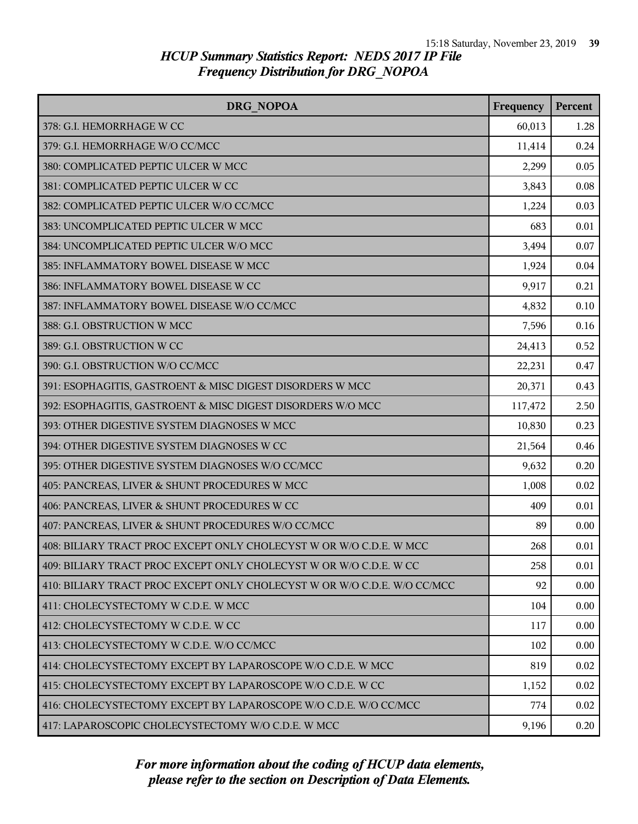| <b>DRG NOPOA</b>                                                         | Frequency | Percent |
|--------------------------------------------------------------------------|-----------|---------|
| 378: G.I. HEMORRHAGE W CC                                                | 60,013    | 1.28    |
| 379: G.I. HEMORRHAGE W/O CC/MCC                                          | 11,414    | 0.24    |
| 380: COMPLICATED PEPTIC ULCER W MCC                                      | 2,299     | 0.05    |
| 381: COMPLICATED PEPTIC ULCER W CC                                       | 3,843     | 0.08    |
| 382: COMPLICATED PEPTIC ULCER W/O CC/MCC                                 | 1,224     | 0.03    |
| 383: UNCOMPLICATED PEPTIC ULCER W MCC                                    | 683       | 0.01    |
| 384: UNCOMPLICATED PEPTIC ULCER W/O MCC                                  | 3,494     | 0.07    |
| 385: INFLAMMATORY BOWEL DISEASE W MCC                                    | 1,924     | 0.04    |
| 386: INFLAMMATORY BOWEL DISEASE W CC                                     | 9,917     | 0.21    |
| 387: INFLAMMATORY BOWEL DISEASE W/O CC/MCC                               | 4,832     | 0.10    |
| 388: G.I. OBSTRUCTION W MCC                                              | 7,596     | 0.16    |
| 389: G.I. OBSTRUCTION W CC                                               | 24,413    | 0.52    |
| 390: G.I. OBSTRUCTION W/O CC/MCC                                         | 22,231    | 0.47    |
| 391: ESOPHAGITIS, GASTROENT & MISC DIGEST DISORDERS W MCC                | 20,371    | 0.43    |
| 392: ESOPHAGITIS, GASTROENT & MISC DIGEST DISORDERS W/O MCC              | 117,472   | 2.50    |
| 393: OTHER DIGESTIVE SYSTEM DIAGNOSES W MCC                              | 10,830    | 0.23    |
| 394: OTHER DIGESTIVE SYSTEM DIAGNOSES W CC                               | 21,564    | 0.46    |
| 395: OTHER DIGESTIVE SYSTEM DIAGNOSES W/O CC/MCC                         | 9,632     | 0.20    |
| 405: PANCREAS, LIVER & SHUNT PROCEDURES W MCC                            | 1,008     | 0.02    |
| 406: PANCREAS, LIVER & SHUNT PROCEDURES W CC                             | 409       | 0.01    |
| 407: PANCREAS, LIVER & SHUNT PROCEDURES W/O CC/MCC                       | 89        | 0.00    |
| 408: BILIARY TRACT PROC EXCEPT ONLY CHOLECYST W OR W/O C.D.E. W MCC      | 268       | 0.01    |
| 409: BILIARY TRACT PROC EXCEPT ONLY CHOLECYST W OR W/O C.D.E. W CC       | 258       | 0.01    |
| 410: BILIARY TRACT PROC EXCEPT ONLY CHOLECYST W OR W/O C.D.E. W/O CC/MCC | 92        | 0.00    |
| 411: CHOLECYSTECTOMY W C.D.E. W MCC                                      | 104       | 0.00    |
| 412: CHOLECYSTECTOMY W C.D.E. W CC                                       | 117       | 0.00    |
| 413: CHOLECYSTECTOMY W C.D.E. W/O CC/MCC                                 | 102       | 0.00    |
| 414: CHOLECYSTECTOMY EXCEPT BY LAPAROSCOPE W/O C.D.E. W MCC              | 819       | 0.02    |
| 415: CHOLECYSTECTOMY EXCEPT BY LAPAROSCOPE W/O C.D.E. W CC               | 1,152     | 0.02    |
| 416: CHOLECYSTECTOMY EXCEPT BY LAPAROSCOPE W/O C.D.E. W/O CC/MCC         | 774       | 0.02    |
| 417: LAPAROSCOPIC CHOLECYSTECTOMY W/O C.D.E. W MCC                       | 9,196     | 0.20    |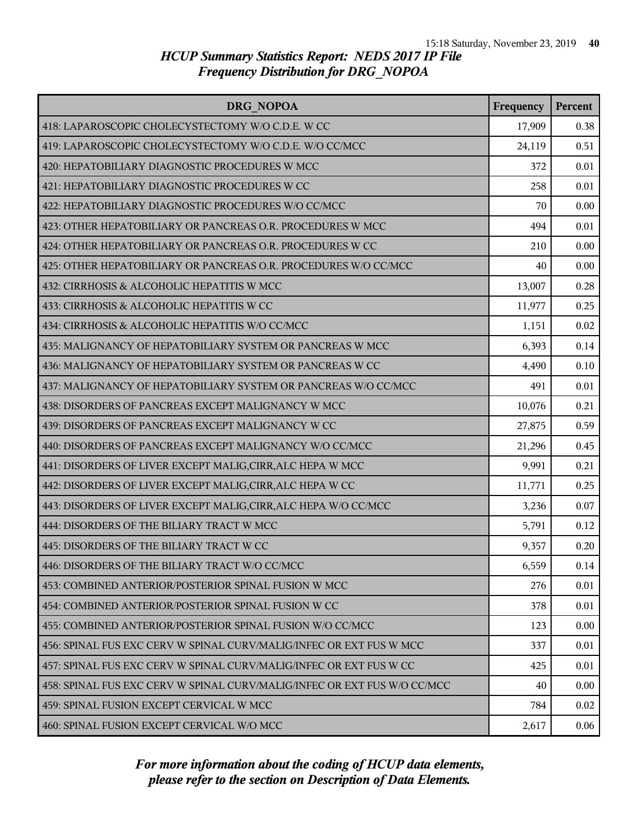| DRG NOPOA                                                                | Frequency | Percent |
|--------------------------------------------------------------------------|-----------|---------|
| 418: LAPAROSCOPIC CHOLECYSTECTOMY W/O C.D.E. W CC                        | 17,909    | 0.38    |
| 419: LAPAROSCOPIC CHOLECYSTECTOMY W/O C.D.E. W/O CC/MCC                  | 24,119    | 0.51    |
| 420: HEPATOBILIARY DIAGNOSTIC PROCEDURES W MCC                           | 372       | 0.01    |
| 421: HEPATOBILIARY DIAGNOSTIC PROCEDURES W CC                            | 258       | 0.01    |
| 422: HEPATOBILIARY DIAGNOSTIC PROCEDURES W/O CC/MCC                      | 70        | 0.00    |
| 423: OTHER HEPATOBILIARY OR PANCREAS O.R. PROCEDURES W MCC               | 494       | 0.01    |
| 424: OTHER HEPATOBILIARY OR PANCREAS O.R. PROCEDURES W CC                | 210       | 0.00    |
| 425: OTHER HEPATOBILIARY OR PANCREAS O.R. PROCEDURES W/O CC/MCC          | 40        | 0.00    |
| 432: CIRRHOSIS & ALCOHOLIC HEPATITIS W MCC                               | 13,007    | 0.28    |
| 433: CIRRHOSIS & ALCOHOLIC HEPATITIS W CC                                | 11,977    | 0.25    |
| 434: CIRRHOSIS & ALCOHOLIC HEPATITIS W/O CC/MCC                          | 1,151     | 0.02    |
| 435: MALIGNANCY OF HEPATOBILIARY SYSTEM OR PANCREAS W MCC                | 6,393     | 0.14    |
| 436: MALIGNANCY OF HEPATOBILIARY SYSTEM OR PANCREAS W CC                 | 4,490     | 0.10    |
| 437: MALIGNANCY OF HEPATOBILIARY SYSTEM OR PANCREAS W/O CC/MCC           | 491       | 0.01    |
| 438: DISORDERS OF PANCREAS EXCEPT MALIGNANCY W MCC                       | 10,076    | 0.21    |
| 439: DISORDERS OF PANCREAS EXCEPT MALIGNANCY W CC                        | 27,875    | 0.59    |
| 440: DISORDERS OF PANCREAS EXCEPT MALIGNANCY W/O CC/MCC                  | 21,296    | 0.45    |
| 441: DISORDERS OF LIVER EXCEPT MALIG, CIRR, ALC HEPA W MCC               | 9,991     | 0.21    |
| 442: DISORDERS OF LIVER EXCEPT MALIG, CIRR, ALC HEPA W CC                | 11,771    | 0.25    |
| 443: DISORDERS OF LIVER EXCEPT MALIG, CIRR, ALC HEPA W/O CC/MCC          | 3,236     | 0.07    |
| 444: DISORDERS OF THE BILIARY TRACT W MCC                                | 5,791     | 0.12    |
| 445: DISORDERS OF THE BILIARY TRACT W CC                                 | 9,357     | 0.20    |
| 446: DISORDERS OF THE BILIARY TRACT W/O CC/MCC                           | 6,559     | 0.14    |
| 453: COMBINED ANTERIOR/POSTERIOR SPINAL FUSION W MCC                     | 276       | 0.01    |
| 454: COMBINED ANTERIOR/POSTERIOR SPINAL FUSION W CC                      | 378       | 0.01    |
| 455: COMBINED ANTERIOR/POSTERIOR SPINAL FUSION W/O CC/MCC                | 123       | 0.00    |
| 456: SPINAL FUS EXC CERV W SPINAL CURV/MALIG/INFEC OR EXT FUS W MCC      | 337       | 0.01    |
| 457: SPINAL FUS EXC CERV W SPINAL CURV/MALIG/INFEC OR EXT FUS W CC       | 425       | 0.01    |
| 458: SPINAL FUS EXC CERV W SPINAL CURV/MALIG/INFEC OR EXT FUS W/O CC/MCC | 40        | 0.00    |
| 459: SPINAL FUSION EXCEPT CERVICAL W MCC                                 | 784       | 0.02    |
| 460: SPINAL FUSION EXCEPT CERVICAL W/O MCC                               | 2,617     | 0.06    |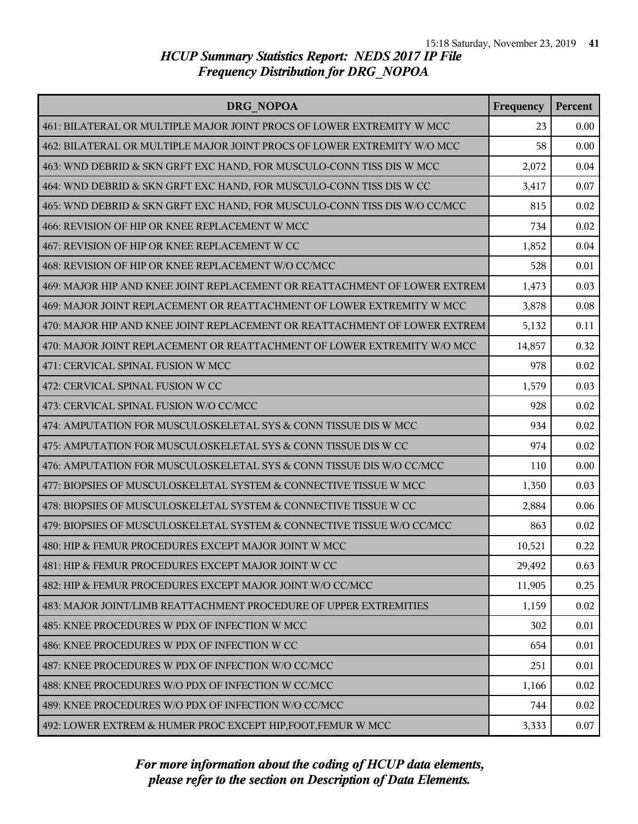| <b>DRG NOPOA</b>                                                          | Frequency | Percent |
|---------------------------------------------------------------------------|-----------|---------|
| 461: BILATERAL OR MULTIPLE MAJOR JOINT PROCS OF LOWER EXTREMITY W MCC     | 23        | 0.00    |
| 462: BILATERAL OR MULTIPLE MAJOR JOINT PROCS OF LOWER EXTREMITY W/O MCC   | 58        | 0.00    |
| 463: WND DEBRID & SKN GRFT EXC HAND, FOR MUSCULO-CONN TISS DIS W MCC      | 2,072     | 0.04    |
| 464: WND DEBRID & SKN GRFT EXC HAND, FOR MUSCULO-CONN TISS DIS W CC       | 3,417     | 0.07    |
| 465: WND DEBRID & SKN GRFT EXC HAND, FOR MUSCULO-CONN TISS DIS W/O CC/MCC | 815       | 0.02    |
| 466: REVISION OF HIP OR KNEE REPLACEMENT W MCC                            | 734       | 0.02    |
| 467: REVISION OF HIP OR KNEE REPLACEMENT W CC                             | 1,852     | 0.04    |
| 468: REVISION OF HIP OR KNEE REPLACEMENT W/O CC/MCC                       | 528       | 0.01    |
| 469: MAJOR HIP AND KNEE JOINT REPLACEMENT OR REATTACHMENT OF LOWER EXTREM | 1,473     | 0.03    |
| 469: MAJOR JOINT REPLACEMENT OR REATTACHMENT OF LOWER EXTREMITY W MCC     | 3,878     | 0.08    |
| 470: MAJOR HIP AND KNEE JOINT REPLACEMENT OR REATTACHMENT OF LOWER EXTREM | 5,132     | 0.11    |
| 470: MAJOR JOINT REPLACEMENT OR REATTACHMENT OF LOWER EXTREMITY W/O MCC   | 14,857    | 0.32    |
| 471: CERVICAL SPINAL FUSION W MCC                                         | 978       | 0.02    |
| 472: CERVICAL SPINAL FUSION W CC                                          | 1,579     | 0.03    |
| 473: CERVICAL SPINAL FUSION W/O CC/MCC                                    | 928       | 0.02    |
| 474: AMPUTATION FOR MUSCULOSKELETAL SYS & CONN TISSUE DIS W MCC           | 934       | 0.02    |
| 475: AMPUTATION FOR MUSCULOSKELETAL SYS & CONN TISSUE DIS W CC            | 974       | 0.02    |
| 476: AMPUTATION FOR MUSCULOSKELETAL SYS & CONN TISSUE DIS W/O CC/MCC      | 110       | 0.00    |
| 477: BIOPSIES OF MUSCULOSKELETAL SYSTEM & CONNECTIVE TISSUE W MCC         | 1,350     | 0.03    |
| 478: BIOPSIES OF MUSCULOSKELETAL SYSTEM & CONNECTIVE TISSUE W CC          | 2,884     | 0.06    |
| 479: BIOPSIES OF MUSCULOSKELETAL SYSTEM & CONNECTIVE TISSUE W/O CC/MCC    | 863       | 0.02    |
| 480: HIP & FEMUR PROCEDURES EXCEPT MAJOR JOINT W MCC                      | 10,521    | 0.22    |
| 481: HIP & FEMUR PROCEDURES EXCEPT MAJOR JOINT W CC                       | 29,492    | 0.63    |
| 482: HIP & FEMUR PROCEDURES EXCEPT MAJOR JOINT W/O CC/MCC                 | 11,905    | 0.25    |
| 483: MAJOR JOINT/LIMB REATTACHMENT PROCEDURE OF UPPER EXTREMITIES         | 1,159     | 0.02    |
| 485: KNEE PROCEDURES W PDX OF INFECTION W MCC                             | 302       | 0.01    |
| 486: KNEE PROCEDURES W PDX OF INFECTION W CC                              | 654       | 0.01    |
| 487: KNEE PROCEDURES W PDX OF INFECTION W/O CC/MCC                        | 251       | 0.01    |
| 488: KNEE PROCEDURES W/O PDX OF INFECTION W CC/MCC                        | 1,166     | 0.02    |
| 489: KNEE PROCEDURES W/O PDX OF INFECTION W/O CC/MCC                      | 744       | 0.02    |
| 492: LOWER EXTREM & HUMER PROC EXCEPT HIP, FOOT, FEMUR W MCC              | 3,333     | 0.07    |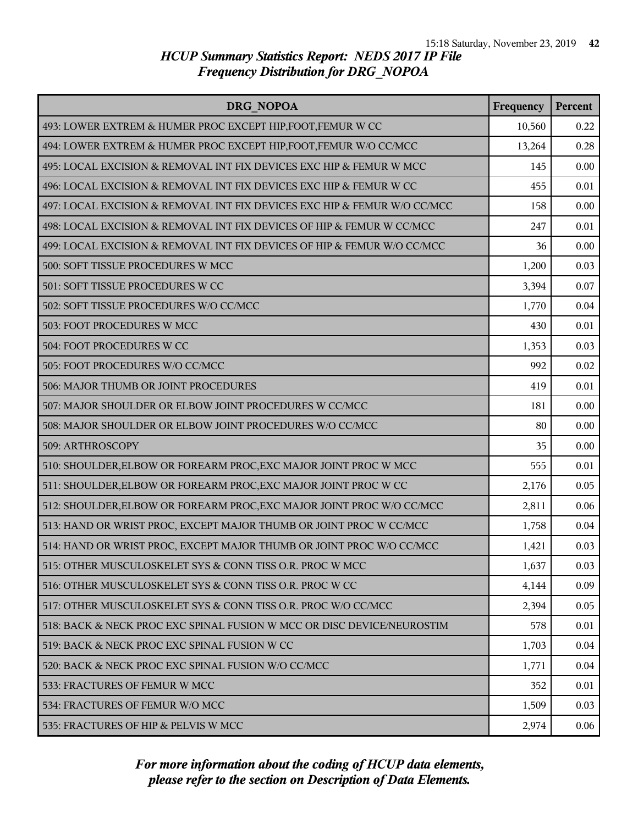| DRG NOPOA                                                                | Frequency | Percent |
|--------------------------------------------------------------------------|-----------|---------|
| 493: LOWER EXTREM & HUMER PROC EXCEPT HIP, FOOT, FEMUR W CC              | 10,560    | 0.22    |
| 494: LOWER EXTREM & HUMER PROC EXCEPT HIP, FOOT, FEMUR W/O CC/MCC        | 13,264    | 0.28    |
| 495: LOCAL EXCISION & REMOVAL INT FIX DEVICES EXC HIP & FEMUR W MCC      | 145       | 0.00    |
| 496: LOCAL EXCISION & REMOVAL INT FIX DEVICES EXC HIP & FEMUR W CC       | 455       | 0.01    |
| 497: LOCAL EXCISION & REMOVAL INT FIX DEVICES EXC HIP & FEMUR W/O CC/MCC | 158       | 0.00    |
| 498: LOCAL EXCISION & REMOVAL INT FIX DEVICES OF HIP & FEMUR W CC/MCC    | 247       | 0.01    |
| 499: LOCAL EXCISION & REMOVAL INT FIX DEVICES OF HIP & FEMUR W/O CC/MCC  | 36        | 0.00    |
| 500: SOFT TISSUE PROCEDURES W MCC                                        | 1,200     | 0.03    |
| 501: SOFT TISSUE PROCEDURES W CC                                         | 3,394     | 0.07    |
| 502: SOFT TISSUE PROCEDURES W/O CC/MCC                                   | 1,770     | 0.04    |
| 503: FOOT PROCEDURES W MCC                                               | 430       | 0.01    |
| 504: FOOT PROCEDURES W CC                                                | 1,353     | 0.03    |
| 505: FOOT PROCEDURES W/O CC/MCC                                          | 992       | 0.02    |
| 506: MAJOR THUMB OR JOINT PROCEDURES                                     | 419       | 0.01    |
| 507: MAJOR SHOULDER OR ELBOW JOINT PROCEDURES W CC/MCC                   | 181       | 0.00    |
| 508: MAJOR SHOULDER OR ELBOW JOINT PROCEDURES W/O CC/MCC                 | 80        | 0.00    |
| 509: ARTHROSCOPY                                                         | 35        | 0.00    |
| 510: SHOULDER, ELBOW OR FOREARM PROC, EXC MAJOR JOINT PROC W MCC         | 555       | 0.01    |
| 511: SHOULDER, ELBOW OR FOREARM PROC, EXC MAJOR JOINT PROC W CC          | 2,176     | 0.05    |
| 512: SHOULDER, ELBOW OR FOREARM PROC, EXC MAJOR JOINT PROC W/O CC/MCC    | 2,811     | 0.06    |
| 513: HAND OR WRIST PROC, EXCEPT MAJOR THUMB OR JOINT PROC W CC/MCC       | 1,758     | 0.04    |
| 514: HAND OR WRIST PROC, EXCEPT MAJOR THUMB OR JOINT PROC W/O CC/MCC     | 1,421     | 0.03    |
| 515: OTHER MUSCULOSKELET SYS & CONN TISS O.R. PROC W MCC                 | 1,637     | 0.03    |
| 516: OTHER MUSCULOSKELET SYS & CONN TISS O.R. PROC W CC                  | 4,144     | 0.09    |
| 517: OTHER MUSCULOSKELET SYS & CONN TISS O.R. PROC W/O CC/MCC            | 2,394     | 0.05    |
| 518: BACK & NECK PROC EXC SPINAL FUSION W MCC OR DISC DEVICE/NEUROSTIM   | 578       | 0.01    |
| 519: BACK & NECK PROC EXC SPINAL FUSION W CC                             | 1,703     | 0.04    |
| 520: BACK & NECK PROC EXC SPINAL FUSION W/O CC/MCC                       | 1,771     | 0.04    |
| 533: FRACTURES OF FEMUR W MCC                                            | 352       | 0.01    |
| 534: FRACTURES OF FEMUR W/O MCC                                          | 1,509     | 0.03    |
| 535: FRACTURES OF HIP & PELVIS W MCC                                     | 2,974     | 0.06    |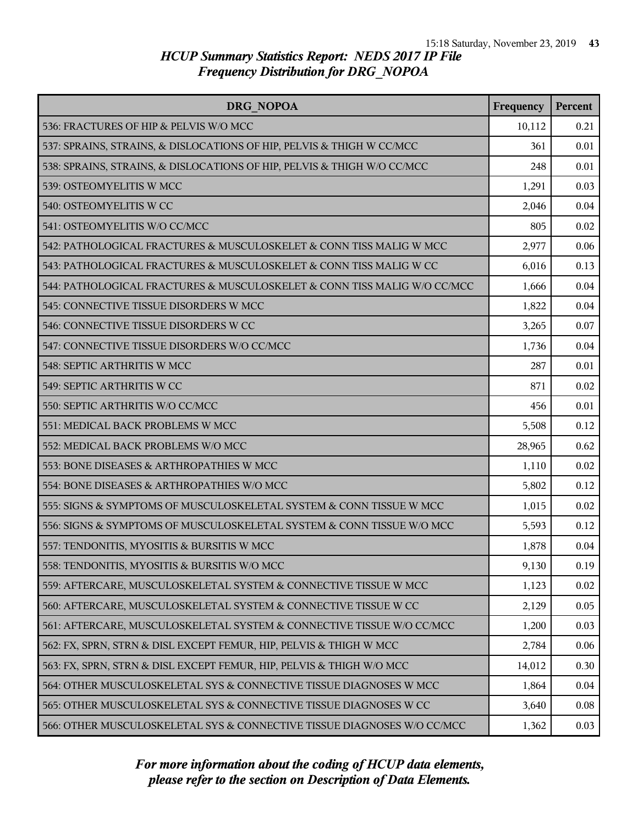| DRG NOPOA                                                                | Frequency | Percent |
|--------------------------------------------------------------------------|-----------|---------|
| 536: FRACTURES OF HIP & PELVIS W/O MCC                                   | 10,112    | 0.21    |
| 537: SPRAINS, STRAINS, & DISLOCATIONS OF HIP, PELVIS & THIGH W CC/MCC    | 361       | 0.01    |
| 538: SPRAINS, STRAINS, & DISLOCATIONS OF HIP, PELVIS & THIGH W/O CC/MCC  | 248       | 0.01    |
| 539: OSTEOMYELITIS W MCC                                                 | 1,291     | 0.03    |
| 540: OSTEOMYELITIS W CC                                                  | 2,046     | 0.04    |
| 541: OSTEOMYELITIS W/O CC/MCC                                            | 805       | 0.02    |
| 542: PATHOLOGICAL FRACTURES & MUSCULOSKELET & CONN TISS MALIG W MCC      | 2,977     | 0.06    |
| 543: PATHOLOGICAL FRACTURES & MUSCULOSKELET & CONN TISS MALIG W CC       | 6,016     | 0.13    |
| 544: PATHOLOGICAL FRACTURES & MUSCULOSKELET & CONN TISS MALIG W/O CC/MCC | 1,666     | 0.04    |
| 545: CONNECTIVE TISSUE DISORDERS W MCC                                   | 1,822     | 0.04    |
| 546: CONNECTIVE TISSUE DISORDERS W CC                                    | 3,265     | 0.07    |
| 547: CONNECTIVE TISSUE DISORDERS W/O CC/MCC                              | 1,736     | 0.04    |
| 548: SEPTIC ARTHRITIS W MCC                                              | 287       | 0.01    |
| 549: SEPTIC ARTHRITIS W CC                                               | 871       | 0.02    |
| 550: SEPTIC ARTHRITIS W/O CC/MCC                                         | 456       | 0.01    |
| 551: MEDICAL BACK PROBLEMS W MCC                                         | 5,508     | 0.12    |
| 552: MEDICAL BACK PROBLEMS W/O MCC                                       | 28,965    | 0.62    |
| 553: BONE DISEASES & ARTHROPATHIES W MCC                                 | 1,110     | 0.02    |
| 554: BONE DISEASES & ARTHROPATHIES W/O MCC                               | 5,802     | 0.12    |
| 555: SIGNS & SYMPTOMS OF MUSCULOSKELETAL SYSTEM & CONN TISSUE W MCC      | 1,015     | 0.02    |
| 556: SIGNS & SYMPTOMS OF MUSCULOSKELETAL SYSTEM & CONN TISSUE W/O MCC    | 5,593     | 0.12    |
| 557: TENDONITIS, MYOSITIS & BURSITIS W MCC                               | 1,878     | 0.04    |
| 558: TENDONITIS, MYOSITIS & BURSITIS W/O MCC                             | 9,130     | 0.19    |
| 559: AFTERCARE, MUSCULOSKELETAL SYSTEM & CONNECTIVE TISSUE W MCC         | 1,123     | 0.02    |
| 560: AFTERCARE, MUSCULOSKELETAL SYSTEM & CONNECTIVE TISSUE W CC          | 2,129     | 0.05    |
| 561: AFTERCARE, MUSCULOSKELETAL SYSTEM & CONNECTIVE TISSUE W/O CC/MCC    | 1,200     | 0.03    |
| 562: FX, SPRN, STRN & DISL EXCEPT FEMUR, HIP, PELVIS & THIGH W MCC       | 2,784     | 0.06    |
| 563: FX, SPRN, STRN & DISL EXCEPT FEMUR, HIP, PELVIS & THIGH W/O MCC     | 14,012    | 0.30    |
| 564: OTHER MUSCULOSKELETAL SYS & CONNECTIVE TISSUE DIAGNOSES W MCC       | 1,864     | 0.04    |
| 565: OTHER MUSCULOSKELETAL SYS & CONNECTIVE TISSUE DIAGNOSES W CC        | 3,640     | 0.08    |
| 566: OTHER MUSCULOSKELETAL SYS & CONNECTIVE TISSUE DIAGNOSES W/O CC/MCC  | 1,362     | 0.03    |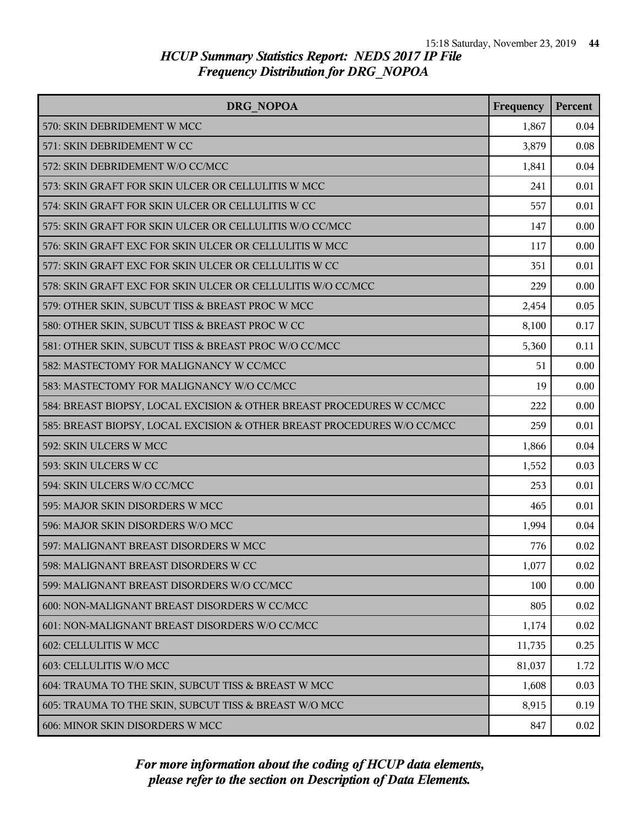| DRG NOPOA                                                               | Frequency | <b>Percent</b> |
|-------------------------------------------------------------------------|-----------|----------------|
| 570: SKIN DEBRIDEMENT W MCC                                             | 1,867     | 0.04           |
| 571: SKIN DEBRIDEMENT W CC                                              | 3,879     | 0.08           |
| 572: SKIN DEBRIDEMENT W/O CC/MCC                                        | 1,841     | 0.04           |
| 573: SKIN GRAFT FOR SKIN ULCER OR CELLULITIS W MCC                      | 241       | 0.01           |
| 574: SKIN GRAFT FOR SKIN ULCER OR CELLULITIS W CC                       | 557       | 0.01           |
| 575: SKIN GRAFT FOR SKIN ULCER OR CELLULITIS W/O CC/MCC                 | 147       | 0.00           |
| 576: SKIN GRAFT EXC FOR SKIN ULCER OR CELLULITIS W MCC                  | 117       | 0.00           |
| 577: SKIN GRAFT EXC FOR SKIN ULCER OR CELLULITIS W CC                   | 351       | 0.01           |
| 578: SKIN GRAFT EXC FOR SKIN ULCER OR CELLULITIS W/O CC/MCC             | 229       | 0.00           |
| 579: OTHER SKIN, SUBCUT TISS & BREAST PROC W MCC                        | 2,454     | 0.05           |
| 580: OTHER SKIN, SUBCUT TISS & BREAST PROC W CC                         | 8,100     | 0.17           |
| 581: OTHER SKIN, SUBCUT TISS & BREAST PROC W/O CC/MCC                   | 5,360     | 0.11           |
| 582: MASTECTOMY FOR MALIGNANCY W CC/MCC                                 | 51        | 0.00           |
| 583: MASTECTOMY FOR MALIGNANCY W/O CC/MCC                               | 19        | 0.00           |
| 584: BREAST BIOPSY, LOCAL EXCISION & OTHER BREAST PROCEDURES W CC/MCC   | 222       | 0.00           |
| 585: BREAST BIOPSY, LOCAL EXCISION & OTHER BREAST PROCEDURES W/O CC/MCC | 259       | 0.01           |
| 592: SKIN ULCERS W MCC                                                  | 1,866     | 0.04           |
| 593: SKIN ULCERS W CC                                                   | 1,552     | 0.03           |
| 594: SKIN ULCERS W/O CC/MCC                                             | 253       | 0.01           |
| 595: MAJOR SKIN DISORDERS W MCC                                         | 465       | 0.01           |
| 596: MAJOR SKIN DISORDERS W/O MCC                                       | 1,994     | 0.04           |
| 597: MALIGNANT BREAST DISORDERS W MCC                                   | 776       | 0.02           |
| 598: MALIGNANT BREAST DISORDERS W CC                                    | 1,077     | 0.02           |
| 599: MALIGNANT BREAST DISORDERS W/O CC/MCC                              | 100       | 0.00           |
| 600: NON-MALIGNANT BREAST DISORDERS W CC/MCC                            | 805       | 0.02           |
| 601: NON-MALIGNANT BREAST DISORDERS W/O CC/MCC                          | 1,174     | 0.02           |
| 602: CELLULITIS W MCC                                                   | 11,735    | 0.25           |
| 603: CELLULITIS W/O MCC                                                 | 81,037    | 1.72           |
| 604: TRAUMA TO THE SKIN, SUBCUT TISS & BREAST W MCC                     | 1,608     | 0.03           |
| 605: TRAUMA TO THE SKIN, SUBCUT TISS & BREAST W/O MCC                   | 8,915     | 0.19           |
| 606: MINOR SKIN DISORDERS W MCC                                         | 847       | 0.02           |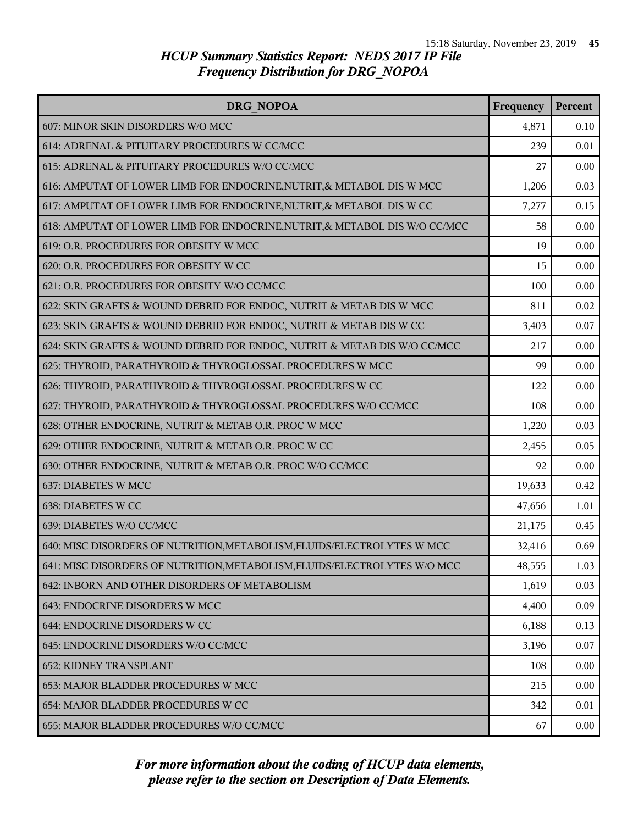| DRG NOPOA                                                                  | Frequency | <b>Percent</b> |
|----------------------------------------------------------------------------|-----------|----------------|
| 607: MINOR SKIN DISORDERS W/O MCC                                          | 4,871     | 0.10           |
| 614: ADRENAL & PITUITARY PROCEDURES W CC/MCC                               | 239       | 0.01           |
| 615: ADRENAL & PITUITARY PROCEDURES W/O CC/MCC                             | 27        | 0.00           |
| 616: AMPUTAT OF LOWER LIMB FOR ENDOCRINE, NUTRIT, & METABOL DIS W MCC      | 1,206     | 0.03           |
| 617: AMPUTAT OF LOWER LIMB FOR ENDOCRINE, NUTRIT, & METABOL DIS W CC       | 7,277     | 0.15           |
| 618: AMPUTAT OF LOWER LIMB FOR ENDOCRINE, NUTRIT, & METABOL DIS W/O CC/MCC | 58        | 0.00           |
| 619: O.R. PROCEDURES FOR OBESITY W MCC                                     | 19        | 0.00           |
| 620: O.R. PROCEDURES FOR OBESITY W CC                                      | 15        | 0.00           |
| 621: O.R. PROCEDURES FOR OBESITY W/O CC/MCC                                | 100       | 0.00           |
| 622: SKIN GRAFTS & WOUND DEBRID FOR ENDOC, NUTRIT & METAB DIS W MCC        | 811       | 0.02           |
| 623: SKIN GRAFTS & WOUND DEBRID FOR ENDOC, NUTRIT & METAB DIS W CC         | 3,403     | 0.07           |
| 624: SKIN GRAFTS & WOUND DEBRID FOR ENDOC, NUTRIT & METAB DIS W/O CC/MCC   | 217       | 0.00           |
| 625: THYROID, PARATHYROID & THYROGLOSSAL PROCEDURES W MCC                  | 99        | 0.00           |
| 626: THYROID, PARATHYROID & THYROGLOSSAL PROCEDURES W CC                   | 122       | 0.00           |
| 627: THYROID, PARATHYROID & THYROGLOSSAL PROCEDURES W/O CC/MCC             | 108       | 0.00           |
| 628: OTHER ENDOCRINE, NUTRIT & METAB O.R. PROC W MCC                       | 1,220     | 0.03           |
| 629: OTHER ENDOCRINE, NUTRIT & METAB O.R. PROC W CC                        | 2,455     | 0.05           |
| 630: OTHER ENDOCRINE, NUTRIT & METAB O.R. PROC W/O CC/MCC                  | 92        | 0.00           |
| 637: DIABETES W MCC                                                        | 19,633    | 0.42           |
| 638: DIABETES W CC                                                         | 47,656    | 1.01           |
| 639: DIABETES W/O CC/MCC                                                   | 21,175    | 0.45           |
| 640: MISC DISORDERS OF NUTRITION, METABOLISM, FLUIDS/ELECTROLYTES W MCC    | 32,416    | 0.69           |
| 641: MISC DISORDERS OF NUTRITION, METABOLISM, FLUIDS/ELECTROLYTES W/O MCC  | 48,555    | 1.03           |
| 642: INBORN AND OTHER DISORDERS OF METABOLISM                              | 1,619     | 0.03           |
| 643: ENDOCRINE DISORDERS W MCC                                             | 4,400     | 0.09           |
| 644: ENDOCRINE DISORDERS W CC                                              | 6,188     | 0.13           |
| 645: ENDOCRINE DISORDERS W/O CC/MCC                                        | 3,196     | 0.07           |
| <b>652: KIDNEY TRANSPLANT</b>                                              | 108       | 0.00           |
| 653: MAJOR BLADDER PROCEDURES W MCC                                        | 215       | 0.00           |
| 654: MAJOR BLADDER PROCEDURES W CC                                         | 342       | 0.01           |
| 655: MAJOR BLADDER PROCEDURES W/O CC/MCC                                   | 67        | 0.00           |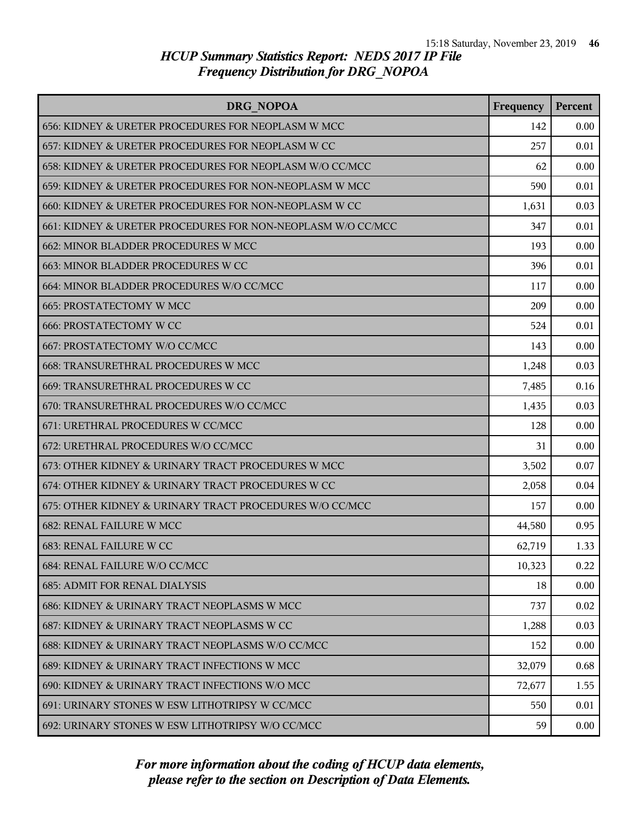| DRG NOPOA                                                   | Frequency | Percent |
|-------------------------------------------------------------|-----------|---------|
| 656: KIDNEY & URETER PROCEDURES FOR NEOPLASM W MCC          | 142       | 0.00    |
| 657: KIDNEY & URETER PROCEDURES FOR NEOPLASM W CC           | 257       | 0.01    |
| 658: KIDNEY & URETER PROCEDURES FOR NEOPLASM W/O CC/MCC     | 62        | 0.00    |
| 659: KIDNEY & URETER PROCEDURES FOR NON-NEOPLASM W MCC      | 590       | 0.01    |
| 660: KIDNEY & URETER PROCEDURES FOR NON-NEOPLASM W CC       | 1,631     | 0.03    |
| 661: KIDNEY & URETER PROCEDURES FOR NON-NEOPLASM W/O CC/MCC | 347       | 0.01    |
| 662: MINOR BLADDER PROCEDURES W MCC                         | 193       | 0.00    |
| 663: MINOR BLADDER PROCEDURES W CC                          | 396       | 0.01    |
| 664: MINOR BLADDER PROCEDURES W/O CC/MCC                    | 117       | 0.00    |
| <b>665: PROSTATECTOMY W MCC</b>                             | 209       | 0.00    |
| <b>666: PROSTATECTOMY W CC</b>                              | 524       | 0.01    |
| 667: PROSTATECTOMY W/O CC/MCC                               | 143       | 0.00    |
| 668: TRANSURETHRAL PROCEDURES W MCC                         | 1,248     | 0.03    |
| 669: TRANSURETHRAL PROCEDURES W CC                          | 7,485     | 0.16    |
| 670: TRANSURETHRAL PROCEDURES W/O CC/MCC                    | 1,435     | 0.03    |
| 671: URETHRAL PROCEDURES W CC/MCC                           | 128       | 0.00    |
| 672: URETHRAL PROCEDURES W/O CC/MCC                         | 31        | 0.00    |
| 673: OTHER KIDNEY & URINARY TRACT PROCEDURES W MCC          | 3,502     | 0.07    |
| 674: OTHER KIDNEY & URINARY TRACT PROCEDURES W CC           | 2,058     | 0.04    |
| 675: OTHER KIDNEY & URINARY TRACT PROCEDURES W/O CC/MCC     | 157       | 0.00    |
| <b>682: RENAL FAILURE W MCC</b>                             | 44,580    | 0.95    |
| 683: RENAL FAILURE W CC                                     | 62,719    | 1.33    |
| 684: RENAL FAILURE W/O CC/MCC                               | 10,323    | 0.22    |
| <b>685: ADMIT FOR RENAL DIALYSIS</b>                        | 18        | 0.00    |
| 686: KIDNEY & URINARY TRACT NEOPLASMS W MCC                 | 737       | 0.02    |
| 687: KIDNEY & URINARY TRACT NEOPLASMS W CC                  | 1,288     | 0.03    |
| 688: KIDNEY & URINARY TRACT NEOPLASMS W/O CC/MCC            | 152       | 0.00    |
| 689: KIDNEY & URINARY TRACT INFECTIONS W MCC                | 32,079    | 0.68    |
| 690: KIDNEY & URINARY TRACT INFECTIONS W/O MCC              | 72,677    | 1.55    |
| 691: URINARY STONES W ESW LITHOTRIPSY W CC/MCC              | 550       | 0.01    |
| 692: URINARY STONES W ESW LITHOTRIPSY W/O CC/MCC            | 59        | 0.00    |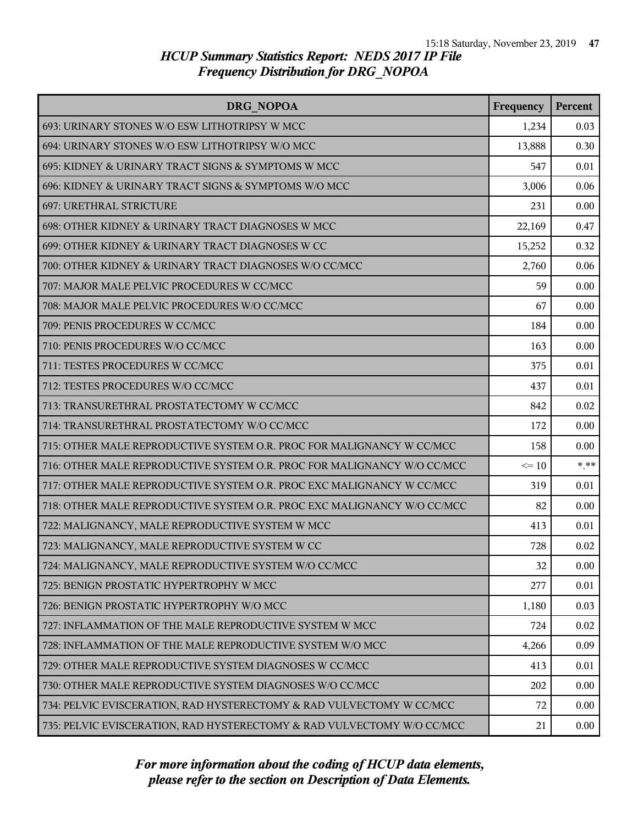| DRG NOPOA                                                               | Frequency | <b>Percent</b> |
|-------------------------------------------------------------------------|-----------|----------------|
| 693: URINARY STONES W/O ESW LITHOTRIPSY W MCC                           | 1,234     | 0.03           |
| 694: URINARY STONES W/O ESW LITHOTRIPSY W/O MCC                         | 13,888    | 0.30           |
| 695: KIDNEY & URINARY TRACT SIGNS & SYMPTOMS W MCC                      | 547       | 0.01           |
| 696: KIDNEY & URINARY TRACT SIGNS & SYMPTOMS W/O MCC                    | 3,006     | 0.06           |
| 697: URETHRAL STRICTURE                                                 | 231       | 0.00           |
| 698: OTHER KIDNEY & URINARY TRACT DIAGNOSES W MCC                       | 22,169    | 0.47           |
| 699: OTHER KIDNEY & URINARY TRACT DIAGNOSES W CC                        | 15,252    | 0.32           |
| 700: OTHER KIDNEY & URINARY TRACT DIAGNOSES W/O CC/MCC                  | 2,760     | 0.06           |
| 707: MAJOR MALE PELVIC PROCEDURES W CC/MCC                              | 59        | 0.00           |
| 708: MAJOR MALE PELVIC PROCEDURES W/O CC/MCC                            | 67        | 0.00           |
| 709: PENIS PROCEDURES W CC/MCC                                          | 184       | 0.00           |
| 710: PENIS PROCEDURES W/O CC/MCC                                        | 163       | 0.00           |
| 711: TESTES PROCEDURES W CC/MCC                                         | 375       | 0.01           |
| 712: TESTES PROCEDURES W/O CC/MCC                                       | 437       | 0.01           |
| 713: TRANSURETHRAL PROSTATECTOMY W CC/MCC                               | 842       | 0.02           |
| 714: TRANSURETHRAL PROSTATECTOMY W/O CC/MCC                             | 172       | 0.00           |
| 715: OTHER MALE REPRODUCTIVE SYSTEM O.R. PROC FOR MALIGNANCY W CC/MCC   | 158       | 0.00           |
| 716: OTHER MALE REPRODUCTIVE SYSTEM O.R. PROC FOR MALIGNANCY W/O CC/MCC | $\leq 10$ | $***$          |
| 717: OTHER MALE REPRODUCTIVE SYSTEM O.R. PROC EXC MALIGNANCY W CC/MCC   | 319       | 0.01           |
| 718: OTHER MALE REPRODUCTIVE SYSTEM O.R. PROC EXC MALIGNANCY W/O CC/MCC | 82        | 0.00           |
| 722: MALIGNANCY, MALE REPRODUCTIVE SYSTEM W MCC                         | 413       | 0.01           |
| 723: MALIGNANCY, MALE REPRODUCTIVE SYSTEM W CC                          | 728       | 0.02           |
| 724: MALIGNANCY, MALE REPRODUCTIVE SYSTEM W/O CC/MCC                    | 32        | 0.00           |
| 725: BENIGN PROSTATIC HYPERTROPHY W MCC                                 | 277       | 0.01           |
| 726: BENIGN PROSTATIC HYPERTROPHY W/O MCC                               | 1,180     | 0.03           |
| 727: INFLAMMATION OF THE MALE REPRODUCTIVE SYSTEM W MCC                 | 724       | 0.02           |
| 728: INFLAMMATION OF THE MALE REPRODUCTIVE SYSTEM W/O MCC               | 4,266     | 0.09           |
| 729: OTHER MALE REPRODUCTIVE SYSTEM DIAGNOSES W CC/MCC                  | 413       | 0.01           |
| 730: OTHER MALE REPRODUCTIVE SYSTEM DIAGNOSES W/O CC/MCC                | 202       | 0.00           |
| 734: PELVIC EVISCERATION, RAD HYSTERECTOMY & RAD VULVECTOMY W CC/MCC    | 72        | 0.00           |
| 735: PELVIC EVISCERATION, RAD HYSTERECTOMY & RAD VULVECTOMY W/O CC/MCC  | 21        | 0.00           |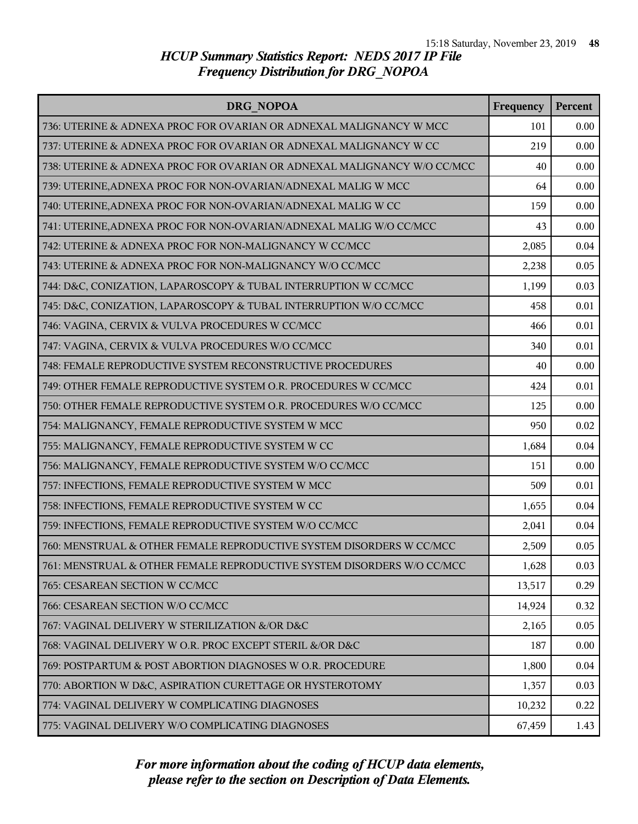| DRG NOPOA                                                               | Frequency | Percent |
|-------------------------------------------------------------------------|-----------|---------|
| 736: UTERINE & ADNEXA PROC FOR OVARIAN OR ADNEXAL MALIGNANCY W MCC      | 101       | 0.00    |
| 737: UTERINE & ADNEXA PROC FOR OVARIAN OR ADNEXAL MALIGNANCY W CC       | 219       | 0.00    |
| 738: UTERINE & ADNEXA PROC FOR OVARIAN OR ADNEXAL MALIGNANCY W/O CC/MCC | 40        | 0.00    |
| 739: UTERINE, ADNEXA PROC FOR NON-OVARIAN/ADNEXAL MALIG W MCC           | 64        | 0.00    |
| 740: UTERINE, ADNEXA PROC FOR NON-OVARIAN/ADNEXAL MALIG W CC            | 159       | 0.00    |
| 741: UTERINE, ADNEXA PROC FOR NON-OVARIAN/ADNEXAL MALIG W/O CC/MCC      | 43        | 0.00    |
| 742: UTERINE & ADNEXA PROC FOR NON-MALIGNANCY W CC/MCC                  | 2,085     | 0.04    |
| 743: UTERINE & ADNEXA PROC FOR NON-MALIGNANCY W/O CC/MCC                | 2,238     | 0.05    |
| 744: D&C, CONIZATION, LAPAROSCOPY & TUBAL INTERRUPTION W CC/MCC         | 1,199     | 0.03    |
| 745: D&C, CONIZATION, LAPAROSCOPY & TUBAL INTERRUPTION W/O CC/MCC       | 458       | 0.01    |
| 746: VAGINA, CERVIX & VULVA PROCEDURES W CC/MCC                         | 466       | 0.01    |
| 747: VAGINA, CERVIX & VULVA PROCEDURES W/O CC/MCC                       | 340       | 0.01    |
| 748: FEMALE REPRODUCTIVE SYSTEM RECONSTRUCTIVE PROCEDURES               | 40        | 0.00    |
| 749: OTHER FEMALE REPRODUCTIVE SYSTEM O.R. PROCEDURES W CC/MCC          | 424       | 0.01    |
| 750: OTHER FEMALE REPRODUCTIVE SYSTEM O.R. PROCEDURES W/O CC/MCC        | 125       | 0.00    |
| 754: MALIGNANCY, FEMALE REPRODUCTIVE SYSTEM W MCC                       | 950       | 0.02    |
| 755: MALIGNANCY, FEMALE REPRODUCTIVE SYSTEM W CC                        | 1,684     | 0.04    |
| 756: MALIGNANCY, FEMALE REPRODUCTIVE SYSTEM W/O CC/MCC                  | 151       | 0.00    |
| 757: INFECTIONS, FEMALE REPRODUCTIVE SYSTEM W MCC                       | 509       | 0.01    |
| 758: INFECTIONS, FEMALE REPRODUCTIVE SYSTEM W CC                        | 1,655     | 0.04    |
| 759: INFECTIONS, FEMALE REPRODUCTIVE SYSTEM W/O CC/MCC                  | 2,041     | 0.04    |
| 760: MENSTRUAL & OTHER FEMALE REPRODUCTIVE SYSTEM DISORDERS W CC/MCC    | 2,509     | 0.05    |
| 761: MENSTRUAL & OTHER FEMALE REPRODUCTIVE SYSTEM DISORDERS W/O CC/MCC  | 1,628     | 0.03    |
| 765: CESAREAN SECTION W CC/MCC                                          | 13,517    | 0.29    |
| 766: CESAREAN SECTION W/O CC/MCC                                        | 14,924    | 0.32    |
| 767: VAGINAL DELIVERY W STERILIZATION &/OR D&C                          | 2,165     | 0.05    |
| 768: VAGINAL DELIVERY W O.R. PROC EXCEPT STERIL &/OR D&C                | 187       | 0.00    |
| 769: POSTPARTUM & POST ABORTION DIAGNOSES W O.R. PROCEDURE              | 1,800     | 0.04    |
| 770: ABORTION W D&C, ASPIRATION CURETTAGE OR HYSTEROTOMY                | 1,357     | 0.03    |
| 774: VAGINAL DELIVERY W COMPLICATING DIAGNOSES                          | 10,232    | 0.22    |
| 775: VAGINAL DELIVERY W/O COMPLICATING DIAGNOSES                        | 67,459    | 1.43    |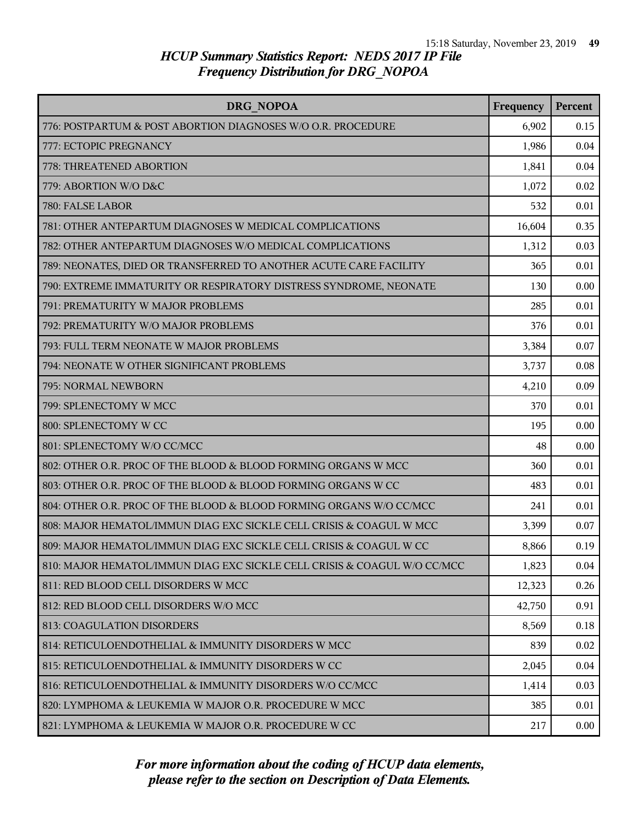| DRG NOPOA                                                                | Frequency | Percent |
|--------------------------------------------------------------------------|-----------|---------|
| 776: POSTPARTUM & POST ABORTION DIAGNOSES W/O O.R. PROCEDURE             | 6,902     | 0.15    |
| 777: ECTOPIC PREGNANCY                                                   | 1,986     | 0.04    |
| 778: THREATENED ABORTION                                                 | 1,841     | 0.04    |
| 779: ABORTION W/O D&C                                                    | 1,072     | 0.02    |
| 780: FALSE LABOR                                                         | 532       | 0.01    |
| 781: OTHER ANTEPARTUM DIAGNOSES W MEDICAL COMPLICATIONS                  | 16,604    | 0.35    |
| 782: OTHER ANTEPARTUM DIAGNOSES W/O MEDICAL COMPLICATIONS                | 1,312     | 0.03    |
| 789: NEONATES, DIED OR TRANSFERRED TO ANOTHER ACUTE CARE FACILITY        | 365       | 0.01    |
| 790: EXTREME IMMATURITY OR RESPIRATORY DISTRESS SYNDROME, NEONATE        | 130       | 0.00    |
| 791: PREMATURITY W MAJOR PROBLEMS                                        | 285       | 0.01    |
| 792: PREMATURITY W/O MAJOR PROBLEMS                                      | 376       | 0.01    |
| 793: FULL TERM NEONATE W MAJOR PROBLEMS                                  | 3,384     | 0.07    |
| 794: NEONATE W OTHER SIGNIFICANT PROBLEMS                                | 3,737     | 0.08    |
| 795: NORMAL NEWBORN                                                      | 4,210     | 0.09    |
| 799: SPLENECTOMY W MCC                                                   | 370       | 0.01    |
| 800: SPLENECTOMY W CC                                                    | 195       | 0.00    |
| 801: SPLENECTOMY W/O CC/MCC                                              | 48        | 0.00    |
| 802: OTHER O.R. PROC OF THE BLOOD & BLOOD FORMING ORGANS W MCC           | 360       | 0.01    |
| 803: OTHER O.R. PROC OF THE BLOOD & BLOOD FORMING ORGANS W CC            | 483       | 0.01    |
| 804: OTHER O.R. PROC OF THE BLOOD & BLOOD FORMING ORGANS W/O CC/MCC      | 241       | 0.01    |
| 808: MAJOR HEMATOL/IMMUN DIAG EXC SICKLE CELL CRISIS & COAGUL W MCC      | 3,399     | 0.07    |
| 809: MAJOR HEMATOL/IMMUN DIAG EXC SICKLE CELL CRISIS & COAGUL W CC       | 8,866     | 0.19    |
| 810: MAJOR HEMATOL/IMMUN DIAG EXC SICKLE CELL CRISIS & COAGUL W/O CC/MCC | 1,823     | 0.04    |
| 811: RED BLOOD CELL DISORDERS W MCC                                      | 12,323    | 0.26    |
| 812: RED BLOOD CELL DISORDERS W/O MCC                                    | 42,750    | 0.91    |
| <b>813: COAGULATION DISORDERS</b>                                        | 8,569     | 0.18    |
| 814: RETICULOENDOTHELIAL & IMMUNITY DISORDERS W MCC                      | 839       | 0.02    |
| 815: RETICULOENDOTHELIAL & IMMUNITY DISORDERS W CC                       | 2,045     | 0.04    |
| 816: RETICULOENDOTHELIAL & IMMUNITY DISORDERS W/O CC/MCC                 | 1,414     | 0.03    |
| 820: LYMPHOMA & LEUKEMIA W MAJOR O.R. PROCEDURE W MCC                    | 385       | 0.01    |
| 821: LYMPHOMA & LEUKEMIA W MAJOR O.R. PROCEDURE W CC                     | 217       | 0.00    |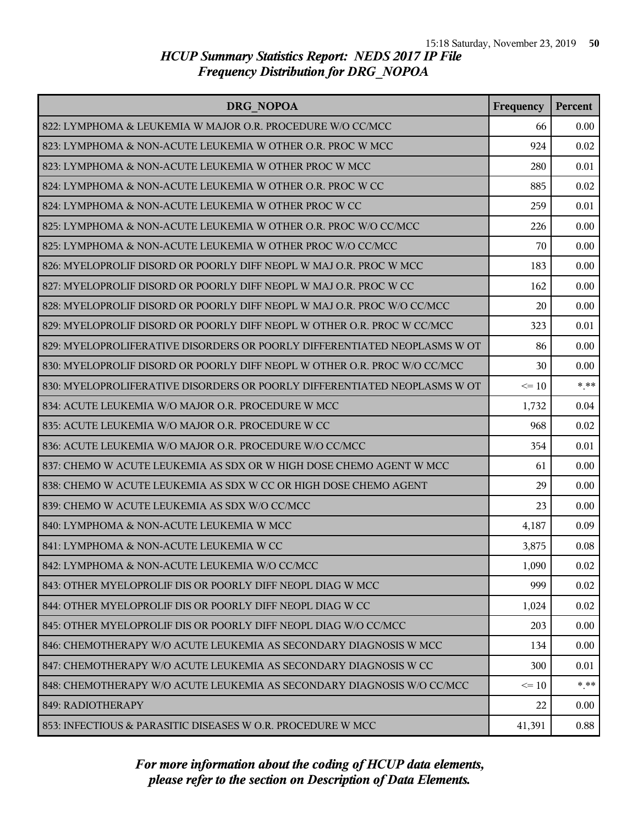| DRG NOPOA                                                                 | Frequency | <b>Percent</b> |
|---------------------------------------------------------------------------|-----------|----------------|
| 822: LYMPHOMA & LEUKEMIA W MAJOR O.R. PROCEDURE W/O CC/MCC                | 66        | 0.00           |
| 823: LYMPHOMA & NON-ACUTE LEUKEMIA W OTHER O.R. PROC W MCC                | 924       | 0.02           |
| 823: LYMPHOMA & NON-ACUTE LEUKEMIA W OTHER PROC W MCC                     | 280       | 0.01           |
| 824: LYMPHOMA & NON-ACUTE LEUKEMIA W OTHER O.R. PROC W CC                 | 885       | 0.02           |
| 824: LYMPHOMA & NON-ACUTE LEUKEMIA W OTHER PROC W CC                      | 259       | 0.01           |
| 825: LYMPHOMA & NON-ACUTE LEUKEMIA W OTHER O.R. PROC W/O CC/MCC           | 226       | 0.00           |
| 825: LYMPHOMA & NON-ACUTE LEUKEMIA W OTHER PROC W/O CC/MCC                | 70        | 0.00           |
| 826: MYELOPROLIF DISORD OR POORLY DIFF NEOPL W MAJ O.R. PROC W MCC        | 183       | 0.00           |
| 827: MYELOPROLIF DISORD OR POORLY DIFF NEOPL W MAJ O.R. PROC W CC         | 162       | 0.00           |
| 828: MYELOPROLIF DISORD OR POORLY DIFF NEOPL W MAJ O.R. PROC W/O CC/MCC   | 20        | 0.00           |
| 829: MYELOPROLIF DISORD OR POORLY DIFF NEOPL W OTHER O.R. PROC W CC/MCC   | 323       | 0.01           |
| 829: MYELOPROLIFERATIVE DISORDERS OR POORLY DIFFERENTIATED NEOPLASMS W OT | 86        | 0.00           |
| 830: MYELOPROLIF DISORD OR POORLY DIFF NEOPL W OTHER O.R. PROC W/O CC/MCC | 30        | 0.00           |
| 830: MYELOPROLIFERATIVE DISORDERS OR POORLY DIFFERENTIATED NEOPLASMS W OT | $\leq 10$ | $***$          |
| 834: ACUTE LEUKEMIA W/O MAJOR O.R. PROCEDURE W MCC                        | 1,732     | 0.04           |
| 835: ACUTE LEUKEMIA W/O MAJOR O.R. PROCEDURE W CC                         | 968       | 0.02           |
| 836: ACUTE LEUKEMIA W/O MAJOR O.R. PROCEDURE W/O CC/MCC                   | 354       | 0.01           |
| 837: CHEMO W ACUTE LEUKEMIA AS SDX OR W HIGH DOSE CHEMO AGENT W MCC       | 61        | 0.00           |
| 838: CHEMO W ACUTE LEUKEMIA AS SDX W CC OR HIGH DOSE CHEMO AGENT          | 29        | 0.00           |
| 839: CHEMO W ACUTE LEUKEMIA AS SDX W/O CC/MCC                             | 23        | 0.00           |
| 840: LYMPHOMA & NON-ACUTE LEUKEMIA W MCC                                  | 4,187     | 0.09           |
| 841: LYMPHOMA & NON-ACUTE LEUKEMIA W CC                                   | 3,875     | 0.08           |
| 842: LYMPHOMA & NON-ACUTE LEUKEMIA W/O CC/MCC                             | 1,090     | 0.02           |
| 843: OTHER MYELOPROLIF DIS OR POORLY DIFF NEOPL DIAG W MCC                | 999       | 0.02           |
| 844: OTHER MYELOPROLIF DIS OR POORLY DIFF NEOPL DIAG W CC                 | 1,024     | 0.02           |
| 845: OTHER MYELOPROLIF DIS OR POORLY DIFF NEOPL DIAG W/O CC/MCC           | 203       | 0.00           |
| 846: CHEMOTHERAPY W/O ACUTE LEUKEMIA AS SECONDARY DIAGNOSIS W MCC         | 134       | 0.00           |
| 847: CHEMOTHERAPY W/O ACUTE LEUKEMIA AS SECONDARY DIAGNOSIS W CC          | 300       | 0.01           |
| 848: CHEMOTHERAPY W/O ACUTE LEUKEMIA AS SECONDARY DIAGNOSIS W/O CC/MCC    | $\leq 10$ | $* * *$        |
| 849: RADIOTHERAPY                                                         | 22        | 0.00           |
| 853: INFECTIOUS & PARASITIC DISEASES W O.R. PROCEDURE W MCC               | 41,391    | 0.88           |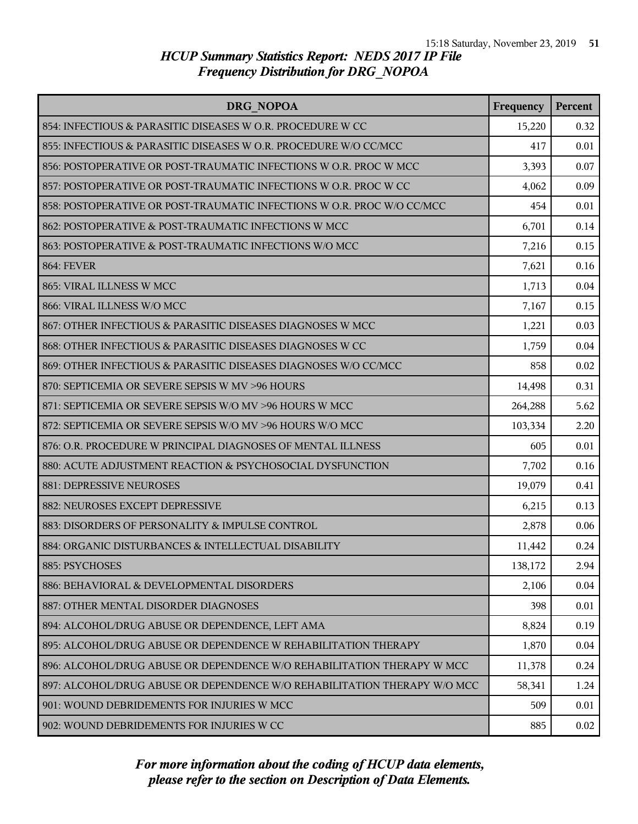| <b>DRG NOPOA</b>                                                         | Frequency | Percent |
|--------------------------------------------------------------------------|-----------|---------|
| 854: INFECTIOUS & PARASITIC DISEASES W O.R. PROCEDURE W CC               | 15,220    | 0.32    |
| 855: INFECTIOUS & PARASITIC DISEASES W O.R. PROCEDURE W/O CC/MCC         | 417       | 0.01    |
| 856: POSTOPERATIVE OR POST-TRAUMATIC INFECTIONS W O.R. PROC W MCC        | 3,393     | 0.07    |
| 857: POSTOPERATIVE OR POST-TRAUMATIC INFECTIONS W O.R. PROC W CC         | 4,062     | 0.09    |
| 858: POSTOPERATIVE OR POST-TRAUMATIC INFECTIONS W O.R. PROC W/O CC/MCC   | 454       | 0.01    |
| 862: POSTOPERATIVE & POST-TRAUMATIC INFECTIONS W MCC                     | 6,701     | 0.14    |
| 863: POSTOPERATIVE & POST-TRAUMATIC INFECTIONS W/O MCC                   | 7,216     | 0.15    |
| <b>864: FEVER</b>                                                        | 7,621     | 0.16    |
| 865: VIRAL ILLNESS W MCC                                                 | 1,713     | 0.04    |
| 866: VIRAL ILLNESS W/O MCC                                               | 7,167     | 0.15    |
| 867: OTHER INFECTIOUS & PARASITIC DISEASES DIAGNOSES W MCC               | 1,221     | 0.03    |
| 868: OTHER INFECTIOUS & PARASITIC DISEASES DIAGNOSES W CC                | 1,759     | 0.04    |
| 869: OTHER INFECTIOUS & PARASITIC DISEASES DIAGNOSES W/O CC/MCC          | 858       | 0.02    |
| 870: SEPTICEMIA OR SEVERE SEPSIS W MV >96 HOURS                          | 14,498    | 0.31    |
| 871: SEPTICEMIA OR SEVERE SEPSIS W/O MV >96 HOURS W MCC                  | 264,288   | 5.62    |
| 872: SEPTICEMIA OR SEVERE SEPSIS W/O MV >96 HOURS W/O MCC                | 103,334   | 2.20    |
| 876: O.R. PROCEDURE W PRINCIPAL DIAGNOSES OF MENTAL ILLNESS              | 605       | 0.01    |
| 880: ACUTE ADJUSTMENT REACTION & PSYCHOSOCIAL DYSFUNCTION                | 7,702     | 0.16    |
| 881: DEPRESSIVE NEUROSES                                                 | 19,079    | 0.41    |
| 882: NEUROSES EXCEPT DEPRESSIVE                                          | 6,215     | 0.13    |
| 883: DISORDERS OF PERSONALITY & IMPULSE CONTROL                          | 2,878     | 0.06    |
| 884: ORGANIC DISTURBANCES & INTELLECTUAL DISABILITY                      | 11,442    | 0.24    |
| 885: PSYCHOSES                                                           | 138,172   | 2.94    |
| 886: BEHAVIORAL & DEVELOPMENTAL DISORDERS                                | 2,106     | 0.04    |
| 887: OTHER MENTAL DISORDER DIAGNOSES                                     | 398       | 0.01    |
| 894: ALCOHOL/DRUG ABUSE OR DEPENDENCE, LEFT AMA                          | 8,824     | 0.19    |
| 895: ALCOHOL/DRUG ABUSE OR DEPENDENCE W REHABILITATION THERAPY           | 1,870     | 0.04    |
| 896: ALCOHOL/DRUG ABUSE OR DEPENDENCE W/O REHABILITATION THERAPY W MCC   | 11,378    | 0.24    |
| 897: ALCOHOL/DRUG ABUSE OR DEPENDENCE W/O REHABILITATION THERAPY W/O MCC | 58,341    | 1.24    |
| 901: WOUND DEBRIDEMENTS FOR INJURIES W MCC                               | 509       | 0.01    |
| 902: WOUND DEBRIDEMENTS FOR INJURIES W CC                                | 885       | 0.02    |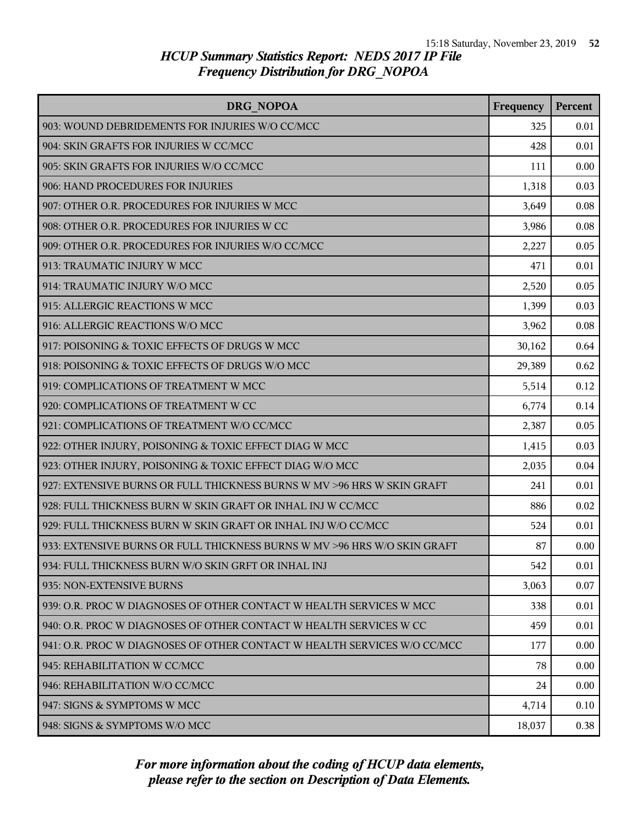| <b>DRG NOPOA</b>                                                         | Frequency | <b>Percent</b> |
|--------------------------------------------------------------------------|-----------|----------------|
| 903: WOUND DEBRIDEMENTS FOR INJURIES W/O CC/MCC                          | 325       | 0.01           |
| 904: SKIN GRAFTS FOR INJURIES W CC/MCC                                   | 428       | 0.01           |
| 905: SKIN GRAFTS FOR INJURIES W/O CC/MCC                                 | 111       | 0.00           |
| 906: HAND PROCEDURES FOR INJURIES                                        | 1,318     | 0.03           |
| 907: OTHER O.R. PROCEDURES FOR INJURIES W MCC                            | 3,649     | 0.08           |
| 908: OTHER O.R. PROCEDURES FOR INJURIES W CC                             | 3,986     | 0.08           |
| 909: OTHER O.R. PROCEDURES FOR INJURIES W/O CC/MCC                       | 2,227     | 0.05           |
| 913: TRAUMATIC INJURY W MCC                                              | 471       | 0.01           |
| 914: TRAUMATIC INJURY W/O MCC                                            | 2,520     | 0.05           |
| 915: ALLERGIC REACTIONS W MCC                                            | 1,399     | 0.03           |
| 916: ALLERGIC REACTIONS W/O MCC                                          | 3,962     | 0.08           |
| 917: POISONING & TOXIC EFFECTS OF DRUGS W MCC                            | 30,162    | 0.64           |
| 918: POISONING & TOXIC EFFECTS OF DRUGS W/O MCC                          | 29,389    | 0.62           |
| 919: COMPLICATIONS OF TREATMENT W MCC                                    | 5,514     | 0.12           |
| 920: COMPLICATIONS OF TREATMENT W CC                                     | 6,774     | 0.14           |
| 921: COMPLICATIONS OF TREATMENT W/O CC/MCC                               | 2,387     | 0.05           |
| 922: OTHER INJURY, POISONING & TOXIC EFFECT DIAG W MCC                   | 1,415     | 0.03           |
| 923: OTHER INJURY, POISONING & TOXIC EFFECT DIAG W/O MCC                 | 2,035     | 0.04           |
| 927: EXTENSIVE BURNS OR FULL THICKNESS BURNS W MV > 96 HRS W SKIN GRAFT  | 241       | 0.01           |
| 928: FULL THICKNESS BURN W SKIN GRAFT OR INHAL INJ W CC/MCC              | 886       | 0.02           |
| 929: FULL THICKNESS BURN W SKIN GRAFT OR INHAL INJ W/O CC/MCC            | 524       | 0.01           |
| 933: EXTENSIVE BURNS OR FULL THICKNESS BURNS W MV >96 HRS W/O SKIN GRAFT | 87        | 0.00           |
| 934: FULL THICKNESS BURN W/O SKIN GRFT OR INHAL INJ                      | 542       | 0.01           |
| 935: NON-EXTENSIVE BURNS                                                 | 3,063     | 0.07           |
| 939: O.R. PROC W DIAGNOSES OF OTHER CONTACT W HEALTH SERVICES W MCC      | 338       | 0.01           |
| 940: O.R. PROC W DIAGNOSES OF OTHER CONTACT W HEALTH SERVICES W CC       | 459       | 0.01           |
| 941: O.R. PROC W DIAGNOSES OF OTHER CONTACT W HEALTH SERVICES W/O CC/MCC | 177       | 0.00           |
| 945: REHABILITATION W CC/MCC                                             | 78        | 0.00           |
| 946: REHABILITATION W/O CC/MCC                                           | 24        | 0.00           |
| 947: SIGNS & SYMPTOMS W MCC                                              | 4,714     | 0.10           |
| 948: SIGNS & SYMPTOMS W/O MCC                                            | 18,037    | 0.38           |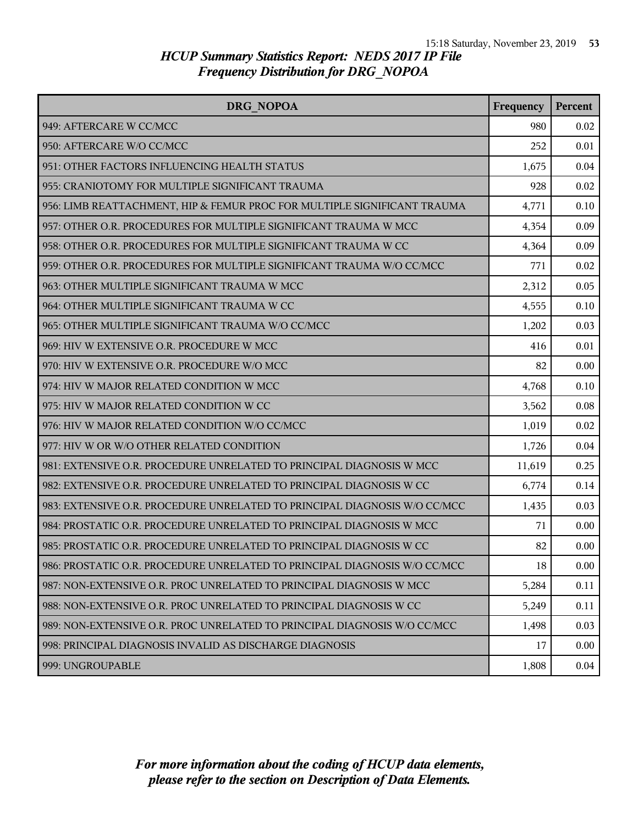| DRG NOPOA                                                                 | Frequency | Percent |
|---------------------------------------------------------------------------|-----------|---------|
| 949: AFTERCARE W CC/MCC                                                   | 980       | 0.02    |
| 950: AFTERCARE W/O CC/MCC                                                 | 252       | 0.01    |
| 951: OTHER FACTORS INFLUENCING HEALTH STATUS                              | 1,675     | 0.04    |
| 955: CRANIOTOMY FOR MULTIPLE SIGNIFICANT TRAUMA                           | 928       | 0.02    |
| 956: LIMB REATTACHMENT, HIP & FEMUR PROC FOR MULTIPLE SIGNIFICANT TRAUMA  | 4,771     | 0.10    |
| 957: OTHER O.R. PROCEDURES FOR MULTIPLE SIGNIFICANT TRAUMA W MCC          | 4,354     | 0.09    |
| 958: OTHER O.R. PROCEDURES FOR MULTIPLE SIGNIFICANT TRAUMA W CC           | 4,364     | 0.09    |
| 959: OTHER O.R. PROCEDURES FOR MULTIPLE SIGNIFICANT TRAUMA W/O CC/MCC     | 771       | 0.02    |
| 963: OTHER MULTIPLE SIGNIFICANT TRAUMA W MCC                              | 2,312     | 0.05    |
| 964: OTHER MULTIPLE SIGNIFICANT TRAUMA W CC                               | 4,555     | 0.10    |
| 965: OTHER MULTIPLE SIGNIFICANT TRAUMA W/O CC/MCC                         | 1,202     | 0.03    |
| 969: HIV W EXTENSIVE O.R. PROCEDURE W MCC                                 | 416       | 0.01    |
| 970: HIV W EXTENSIVE O.R. PROCEDURE W/O MCC                               | 82        | 0.00    |
| 974: HIV W MAJOR RELATED CONDITION W MCC                                  | 4,768     | 0.10    |
| 975: HIV W MAJOR RELATED CONDITION W CC                                   | 3,562     | 0.08    |
| 976: HIV W MAJOR RELATED CONDITION W/O CC/MCC                             | 1,019     | 0.02    |
| 977: HIV W OR W/O OTHER RELATED CONDITION                                 | 1,726     | 0.04    |
| 981: EXTENSIVE O.R. PROCEDURE UNRELATED TO PRINCIPAL DIAGNOSIS W MCC      | 11,619    | 0.25    |
| 982: EXTENSIVE O.R. PROCEDURE UNRELATED TO PRINCIPAL DIAGNOSIS W CC       | 6,774     | 0.14    |
| 983: EXTENSIVE O.R. PROCEDURE UNRELATED TO PRINCIPAL DIAGNOSIS W/O CC/MCC | 1,435     | 0.03    |
| 984: PROSTATIC O.R. PROCEDURE UNRELATED TO PRINCIPAL DIAGNOSIS W MCC      | 71        | 0.00    |
| 985: PROSTATIC O.R. PROCEDURE UNRELATED TO PRINCIPAL DIAGNOSIS W CC       | 82        | 0.00    |
| 986: PROSTATIC O.R. PROCEDURE UNRELATED TO PRINCIPAL DIAGNOSIS W/O CC/MCC | 18        | 0.00    |
| 987: NON-EXTENSIVE O.R. PROC UNRELATED TO PRINCIPAL DIAGNOSIS W MCC       | 5,284     | 0.11    |
| 988: NON-EXTENSIVE O.R. PROC UNRELATED TO PRINCIPAL DIAGNOSIS W CC        | 5,249     | 0.11    |
| 989: NON-EXTENSIVE O.R. PROC UNRELATED TO PRINCIPAL DIAGNOSIS W/O CC/MCC  | 1,498     | 0.03    |
| 998: PRINCIPAL DIAGNOSIS INVALID AS DISCHARGE DIAGNOSIS                   | 17        | 0.00    |
| 999: UNGROUPABLE                                                          | 1,808     | 0.04    |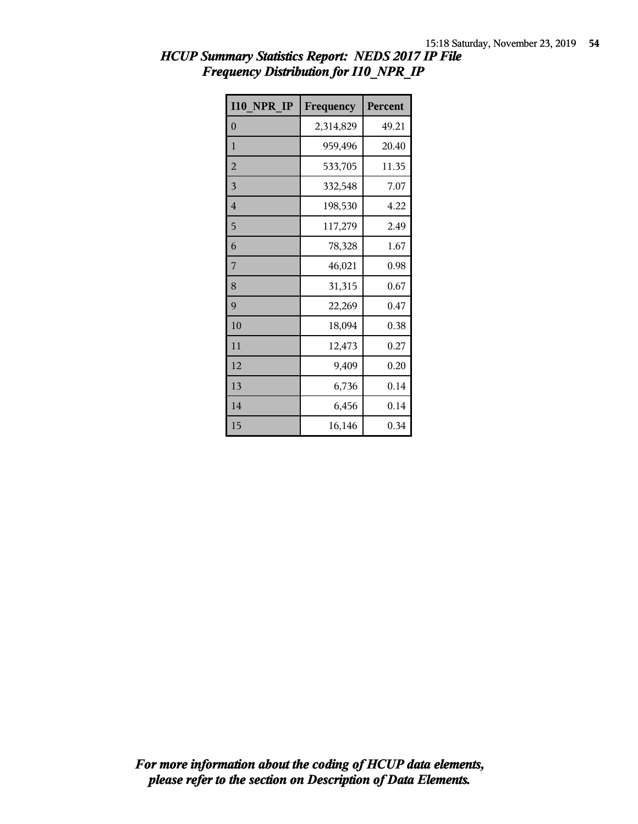| <b>I10 NPR IP</b> | Frequency | Percent |
|-------------------|-----------|---------|
| 0                 | 2,314,829 | 49.21   |
| $\mathbf{1}$      | 959,496   | 20.40   |
| $\overline{2}$    | 533,705   | 11.35   |
| 3                 | 332,548   | 7.07    |
| 4                 | 198,530   | 4.22    |
| 5                 | 117,279   | 2.49    |
| 6                 | 78,328    | 1.67    |
| 7                 | 46,021    | 0.98    |
| 8                 | 31,315    | 0.67    |
| 9                 | 22,269    | 0.47    |
| 10                | 18,094    | 0.38    |
| 11                | 12,473    | 0.27    |
| 12                | 9,409     | 0.20    |
| 13                | 6,736     | 0.14    |
| 14                | 6,456     | 0.14    |
| 15                | 16,146    | 0.34    |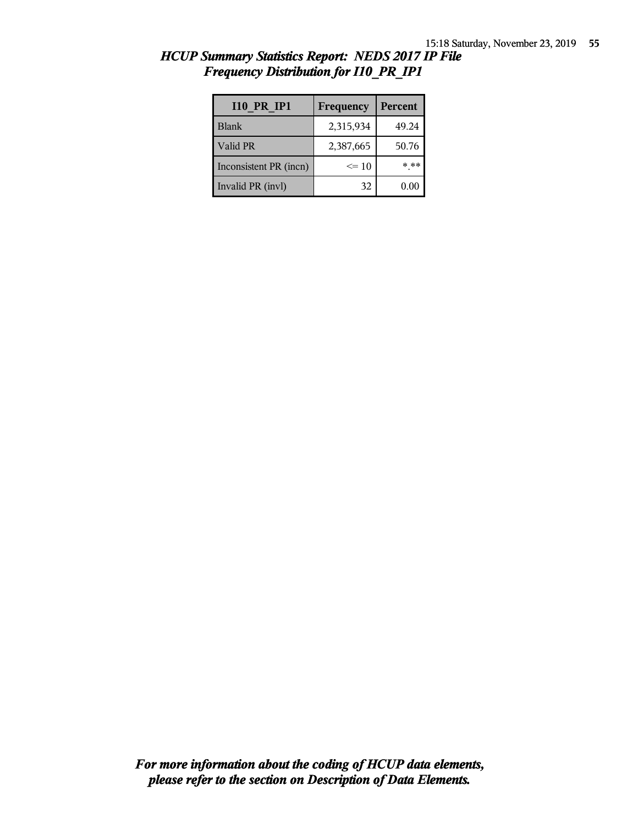| <b>I10 PR IP1</b>      | Frequency | <b>Percent</b> |
|------------------------|-----------|----------------|
| <b>Blank</b>           | 2,315,934 | 49.24          |
| Valid PR               | 2,387,665 | 50.76          |
| Inconsistent PR (incn) | $\leq 10$ | * **           |
| Invalid PR (invl)      | 32        | 0.00           |

| HCUP Summary Statistics Report: NEDS 2017 IP File |  |  |  |
|---------------------------------------------------|--|--|--|
| <b>Frequency Distribution for I10 PR IP1</b>      |  |  |  |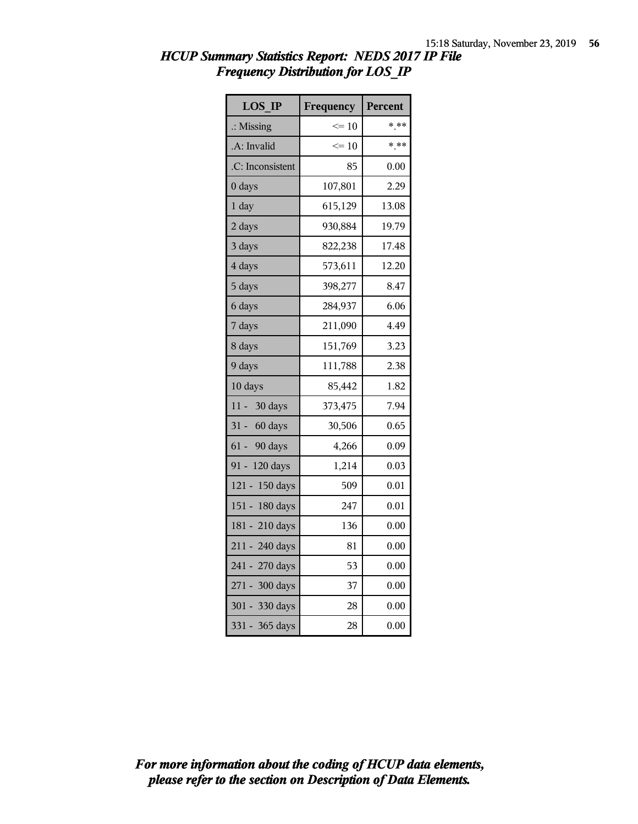| <b>LOS IP</b>        | Frequency       | Percent |
|----------------------|-----------------|---------|
| $\therefore$ Missing | $\Leftarrow$ 10 | $***$   |
| .A: Invalid          | $\leq 10$       | $***$   |
| .C: Inconsistent     | 85              | 0.00    |
| 0 days               | 107,801         | 2.29    |
| 1 day                | 615,129         | 13.08   |
| 2 days               | 930,884         | 19.79   |
| 3 days               | 822,238         | 17.48   |
| 4 days               | 573,611         | 12.20   |
| 5 days               | 398,277         | 8.47    |
| 6 days               | 284,937         | 6.06    |
| 7 days               | 211,090         | 4.49    |
| 8 days               | 151,769         | 3.23    |
| 9 days               | 111,788         | 2.38    |
| 10 days              | 85,442          | 1.82    |
| 11 - 30 days         | 373,475         | 7.94    |
| 31 - 60 days         | 30,506          | 0.65    |
| $61 -$<br>90 days    | 4,266           | 0.09    |
| 91 - 120 days        | 1,214           | 0.03    |
| 121 - 150 days       | 509             | 0.01    |
| 151 - 180 days       | 247             | 0.01    |
| 181 - 210 days       | 136             | 0.00    |
| 211 - 240 days       | 81              | 0.00    |
| 241 - 270 days       | 53              | 0.00    |
| 271 - 300 days       | 37              | 0.00    |
| 301 - 330 days       | 28              | 0.00    |
| 331 - 365 days       | 28              | 0.00    |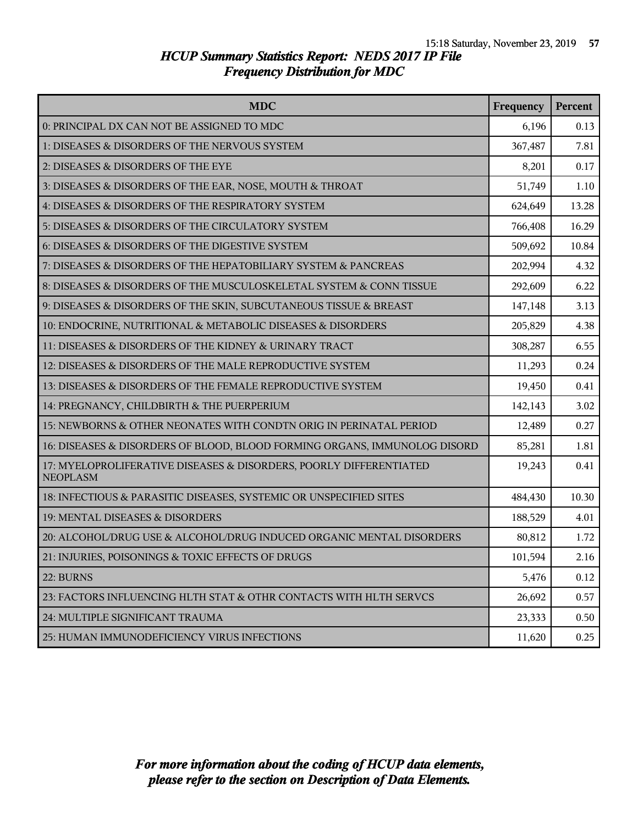| <b>MDC</b>                                                                            | Frequency | Percent |
|---------------------------------------------------------------------------------------|-----------|---------|
| 0: PRINCIPAL DX CAN NOT BE ASSIGNED TO MDC                                            | 6,196     | 0.13    |
| 1: DISEASES & DISORDERS OF THE NERVOUS SYSTEM                                         | 367,487   | 7.81    |
| 2: DISEASES & DISORDERS OF THE EYE                                                    | 8,201     | 0.17    |
| 3: DISEASES & DISORDERS OF THE EAR, NOSE, MOUTH & THROAT                              | 51,749    | 1.10    |
| 4: DISEASES & DISORDERS OF THE RESPIRATORY SYSTEM                                     | 624,649   | 13.28   |
| 5: DISEASES & DISORDERS OF THE CIRCULATORY SYSTEM                                     | 766,408   | 16.29   |
| 6: DISEASES & DISORDERS OF THE DIGESTIVE SYSTEM                                       | 509,692   | 10.84   |
| 7: DISEASES & DISORDERS OF THE HEPATOBILIARY SYSTEM & PANCREAS                        | 202,994   | 4.32    |
| 8: DISEASES & DISORDERS OF THE MUSCULOSKELETAL SYSTEM & CONN TISSUE                   | 292,609   | 6.22    |
| 9: DISEASES & DISORDERS OF THE SKIN, SUBCUTANEOUS TISSUE & BREAST                     | 147,148   | 3.13    |
| 10: ENDOCRINE, NUTRITIONAL & METABOLIC DISEASES & DISORDERS                           | 205,829   | 4.38    |
| 11: DISEASES & DISORDERS OF THE KIDNEY & URINARY TRACT                                | 308,287   | 6.55    |
| 12: DISEASES & DISORDERS OF THE MALE REPRODUCTIVE SYSTEM                              | 11,293    | 0.24    |
| 13: DISEASES & DISORDERS OF THE FEMALE REPRODUCTIVE SYSTEM                            | 19,450    | 0.41    |
| 14: PREGNANCY, CHILDBIRTH & THE PUERPERIUM                                            | 142,143   | 3.02    |
| 15: NEWBORNS & OTHER NEONATES WITH CONDTN ORIG IN PERINATAL PERIOD                    | 12,489    | 0.27    |
| 16: DISEASES & DISORDERS OF BLOOD, BLOOD FORMING ORGANS, IMMUNOLOG DISORD             | 85,281    | 1.81    |
| 17: MYELOPROLIFERATIVE DISEASES & DISORDERS, POORLY DIFFERENTIATED<br><b>NEOPLASM</b> | 19,243    | 0.41    |
| 18: INFECTIOUS & PARASITIC DISEASES, SYSTEMIC OR UNSPECIFIED SITES                    | 484,430   | 10.30   |
| 19: MENTAL DISEASES & DISORDERS                                                       | 188,529   | 4.01    |
| 20: ALCOHOL/DRUG USE & ALCOHOL/DRUG INDUCED ORGANIC MENTAL DISORDERS                  | 80,812    | 1.72    |
| 21: INJURIES, POISONINGS & TOXIC EFFECTS OF DRUGS                                     | 101,594   | 2.16    |
| 22: BURNS                                                                             | 5,476     | 0.12    |
| 23: FACTORS INFLUENCING HLTH STAT & OTHR CONTACTS WITH HLTH SERVCS                    | 26,692    | 0.57    |
| 24: MULTIPLE SIGNIFICANT TRAUMA                                                       | 23,333    | 0.50    |
| 25: HUMAN IMMUNODEFICIENCY VIRUS INFECTIONS                                           | 11,620    | 0.25    |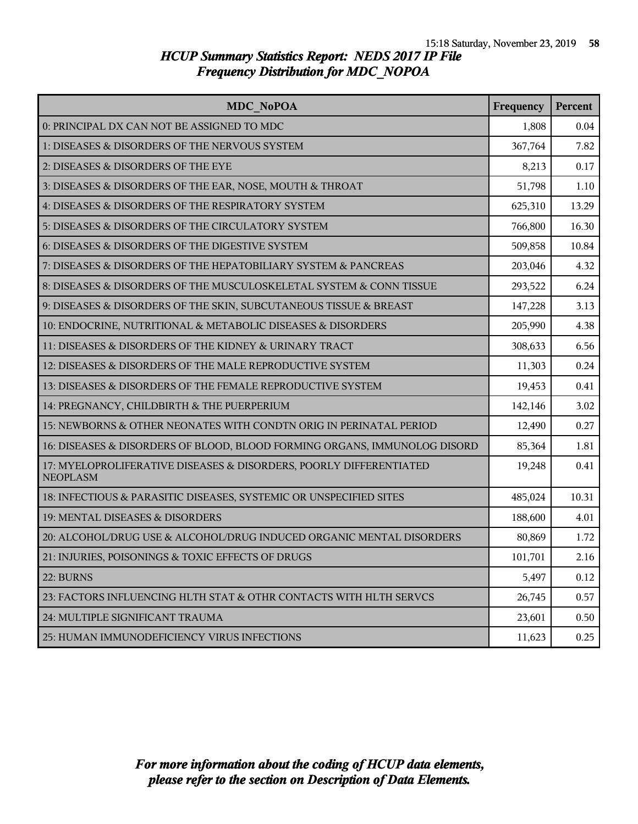| MDC NoPOA                                                                             | Frequency | Percent |
|---------------------------------------------------------------------------------------|-----------|---------|
| 0: PRINCIPAL DX CAN NOT BE ASSIGNED TO MDC                                            | 1,808     | 0.04    |
| 1: DISEASES & DISORDERS OF THE NERVOUS SYSTEM                                         | 367,764   | 7.82    |
| 2: DISEASES & DISORDERS OF THE EYE                                                    | 8,213     | 0.17    |
| 3: DISEASES & DISORDERS OF THE EAR, NOSE, MOUTH & THROAT                              | 51,798    | 1.10    |
| 4: DISEASES & DISORDERS OF THE RESPIRATORY SYSTEM                                     | 625,310   | 13.29   |
| 5: DISEASES & DISORDERS OF THE CIRCULATORY SYSTEM                                     | 766,800   | 16.30   |
| 6: DISEASES & DISORDERS OF THE DIGESTIVE SYSTEM                                       | 509,858   | 10.84   |
| 7: DISEASES & DISORDERS OF THE HEPATOBILIARY SYSTEM & PANCREAS                        | 203,046   | 4.32    |
| 8: DISEASES & DISORDERS OF THE MUSCULOSKELETAL SYSTEM & CONN TISSUE                   | 293,522   | 6.24    |
| 9: DISEASES & DISORDERS OF THE SKIN, SUBCUTANEOUS TISSUE & BREAST                     | 147,228   | 3.13    |
| 10: ENDOCRINE, NUTRITIONAL & METABOLIC DISEASES & DISORDERS                           | 205,990   | 4.38    |
| 11: DISEASES & DISORDERS OF THE KIDNEY & URINARY TRACT                                | 308,633   | 6.56    |
| 12: DISEASES & DISORDERS OF THE MALE REPRODUCTIVE SYSTEM                              | 11,303    | 0.24    |
| 13: DISEASES & DISORDERS OF THE FEMALE REPRODUCTIVE SYSTEM                            | 19,453    | 0.41    |
| 14: PREGNANCY, CHILDBIRTH & THE PUERPERIUM                                            | 142,146   | 3.02    |
| 15: NEWBORNS & OTHER NEONATES WITH CONDTN ORIG IN PERINATAL PERIOD                    | 12,490    | 0.27    |
| 16: DISEASES & DISORDERS OF BLOOD, BLOOD FORMING ORGANS, IMMUNOLOG DISORD             | 85,364    | 1.81    |
| 17: MYELOPROLIFERATIVE DISEASES & DISORDERS, POORLY DIFFERENTIATED<br><b>NEOPLASM</b> | 19,248    | 0.41    |
| 18: INFECTIOUS & PARASITIC DISEASES, SYSTEMIC OR UNSPECIFIED SITES                    | 485,024   | 10.31   |
| 19: MENTAL DISEASES & DISORDERS                                                       | 188,600   | 4.01    |
| 20: ALCOHOL/DRUG USE & ALCOHOL/DRUG INDUCED ORGANIC MENTAL DISORDERS                  | 80,869    | 1.72    |
| 21: INJURIES, POISONINGS & TOXIC EFFECTS OF DRUGS                                     | 101,701   | 2.16    |
| 22: BURNS                                                                             | 5,497     | 0.12    |
| 23: FACTORS INFLUENCING HLTH STAT & OTHR CONTACTS WITH HLTH SERVCS                    | 26,745    | 0.57    |
| 24: MULTIPLE SIGNIFICANT TRAUMA                                                       | 23,601    | 0.50    |
| 25: HUMAN IMMUNODEFICIENCY VIRUS INFECTIONS                                           | 11,623    | 0.25    |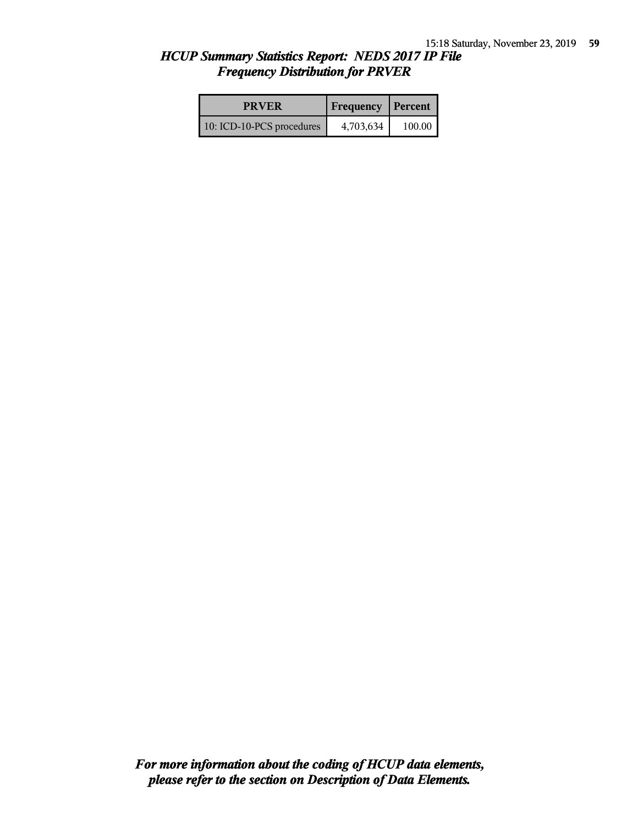| <b>PRVER</b>              | <b>Frequency Percent</b> |        |
|---------------------------|--------------------------|--------|
| 10: ICD-10-PCS procedures | 4,703,634                | 100.00 |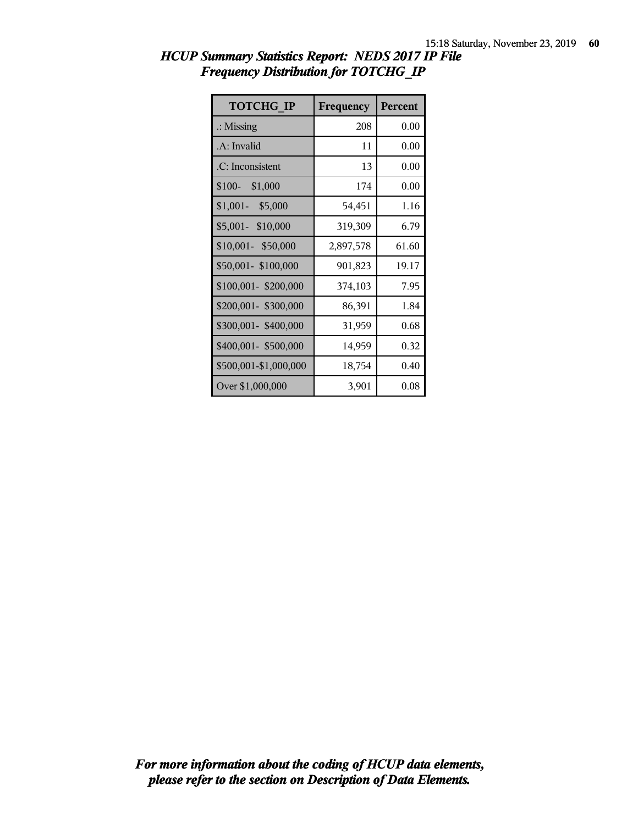| <b>TOTCHG IP</b>      | Frequency | <b>Percent</b> |
|-----------------------|-----------|----------------|
| $\therefore$ Missing  | 208       | 0.00           |
| .A: Invalid           | 11        | 0.00           |
| .C: Inconsistent      | 13        | 0.00           |
| $$100-$<br>\$1,000    | 174       | 0.00           |
| $$1,001-$<br>\$5,000  | 54,451    | 1.16           |
| \$5,001- \$10,000     | 319,309   | 6.79           |
| \$10,001- \$50,000    | 2,897,578 | 61.60          |
| \$50,001-\$100,000    | 901,823   | 19.17          |
| \$100,001-\$200,000   | 374,103   | 7.95           |
| \$200,001- \$300,000  | 86,391    | 1.84           |
| \$300,001-\$400,000   | 31,959    | 0.68           |
| \$400,001- \$500,000  | 14,959    | 0.32           |
| \$500,001-\$1,000,000 | 18,754    | 0.40           |
| Over \$1,000,000      | 3,901     | 0.08           |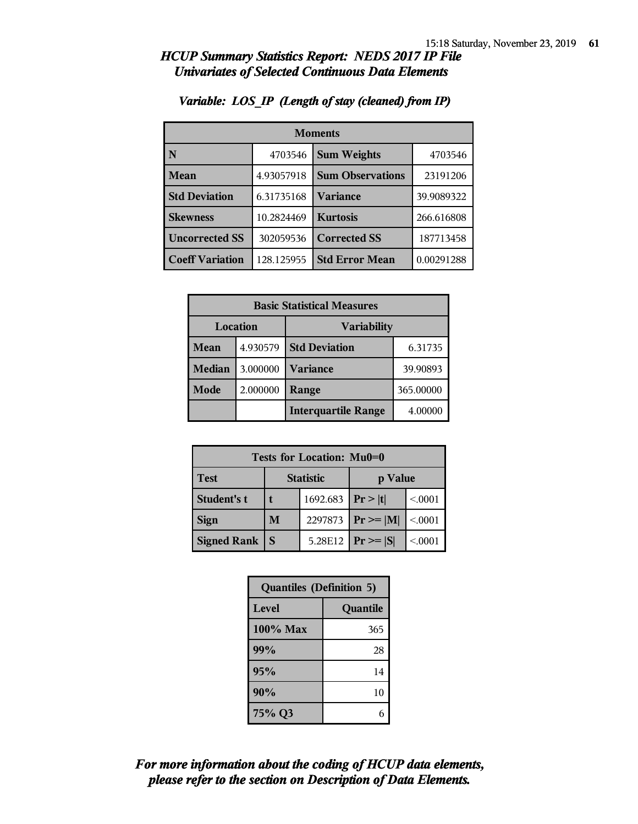| <b>Moments</b>         |            |                               |            |
|------------------------|------------|-------------------------------|------------|
| N                      | 4703546    | <b>Sum Weights</b><br>4703546 |            |
| Mean                   | 4.93057918 | <b>Sum Observations</b>       | 23191206   |
| <b>Std Deviation</b>   | 6.31735168 | <b>Variance</b>               | 39.9089322 |
| <b>Skewness</b>        | 10.2824469 | <b>Kurtosis</b>               | 266.616808 |
| <b>Uncorrected SS</b>  | 302059536  | <b>Corrected SS</b>           | 187713458  |
| <b>Coeff Variation</b> | 128.125955 | <b>Std Error Mean</b>         | 0.00291288 |

#### *Variable: LOS\_IP (Length of stay (cleaned) from IP)*

| <b>Basic Statistical Measures</b> |          |                            |          |
|-----------------------------------|----------|----------------------------|----------|
| Location<br><b>Variability</b>    |          |                            |          |
| Mean                              | 4.930579 | <b>Std Deviation</b>       | 6.31735  |
| <b>Median</b>                     | 3.000000 | <b>Variance</b>            | 39.90893 |
| Mode                              | 2.000000 | 365.00000<br>Range         |          |
|                                   |          | <b>Interquartile Range</b> | 4.00000  |

| <b>Tests for Location: Mu0=0</b> |                             |  |                        |         |
|----------------------------------|-----------------------------|--|------------------------|---------|
| <b>Test</b>                      | <b>Statistic</b><br>p Value |  |                        |         |
| Student's t                      | 1692.683   $Pr >  t $       |  |                        | < 0.001 |
| <b>Sign</b>                      | M                           |  | 2297873   $Pr \ge  M $ | < 0.001 |
| <b>Signed Rank</b>               |                             |  | 5.28E12 $ Pr \ge  S $  | < 0.001 |

| <b>Quantiles (Definition 5)</b> |          |  |
|---------------------------------|----------|--|
| Level                           | Quantile |  |
| 100% Max                        | 365      |  |
| 99%                             | 28       |  |
| 95%                             | 14       |  |
| 90%                             | 10       |  |
| 75% Q3                          | 6        |  |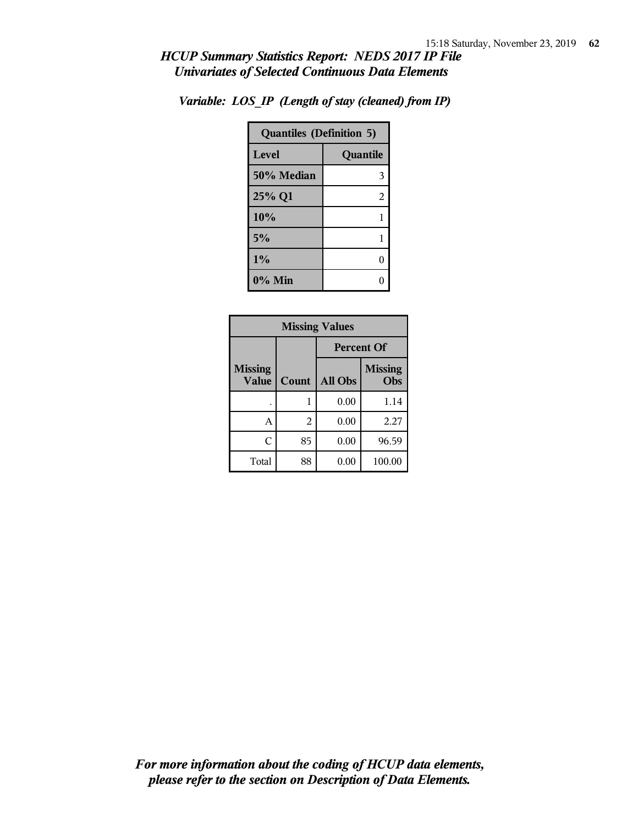| <b>Quantiles (Definition 5)</b> |          |  |
|---------------------------------|----------|--|
| Level                           | Quantile |  |
| 50% Median                      | 3        |  |
| 25% Q1                          | 2        |  |
| 10%                             |          |  |
| 5%                              | 1        |  |
| 1%                              | 0        |  |
| $0\%$ Min                       |          |  |

*Variable: LOS\_IP (Length of stay (cleaned) from IP)*

| <b>Missing Values</b>          |                |                   |                       |  |
|--------------------------------|----------------|-------------------|-----------------------|--|
|                                |                | <b>Percent Of</b> |                       |  |
| <b>Missing</b><br><b>Value</b> | Count          | All Obs           | <b>Missing</b><br>Obs |  |
|                                |                | 0.00              | 1.14                  |  |
| А                              | $\overline{2}$ | 0.00              | 2.27                  |  |
| C                              | 85             | 0.00              | 96.59                 |  |
| Total                          | 88             | 0.00              | 100.00                |  |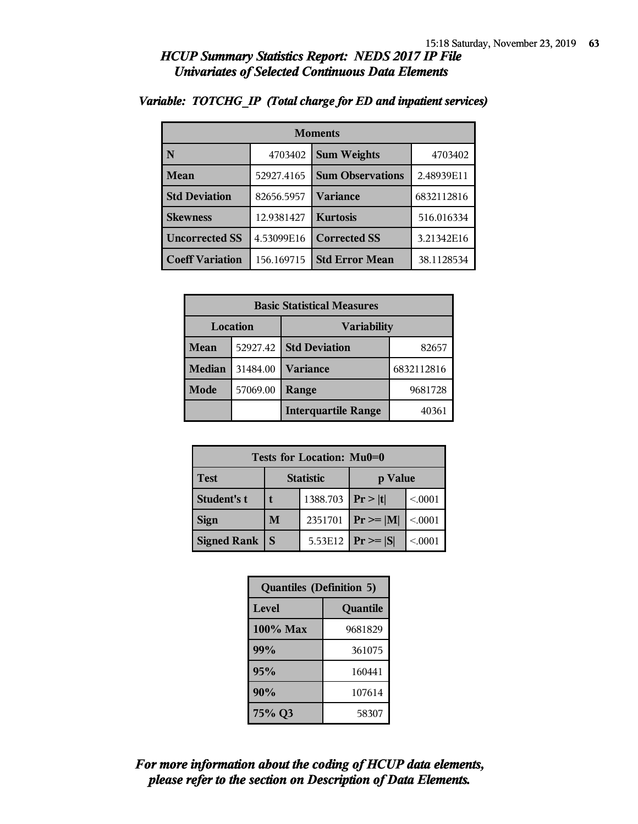| <b>Moments</b>         |            |                               |            |
|------------------------|------------|-------------------------------|------------|
| N                      | 4703402    | <b>Sum Weights</b><br>4703402 |            |
| Mean                   | 52927.4165 | <b>Sum Observations</b>       | 2.48939E11 |
| <b>Std Deviation</b>   | 82656.5957 | <b>Variance</b>               | 6832112816 |
| <b>Skewness</b>        | 12.9381427 | <b>Kurtosis</b>               | 516.016334 |
| <b>Uncorrected SS</b>  | 4.53099E16 | <b>Corrected SS</b>           | 3.21342E16 |
| <b>Coeff Variation</b> | 156.169715 | <b>Std Error Mean</b>         | 38.1128534 |

#### *Variable: TOTCHG\_IP (Total charge for ED and inpatient services)*

| <b>Basic Statistical Measures</b> |          |                            |            |  |
|-----------------------------------|----------|----------------------------|------------|--|
| Location<br><b>Variability</b>    |          |                            |            |  |
| Mean                              | 52927.42 | <b>Std Deviation</b>       | 82657      |  |
| <b>Median</b>                     | 31484.00 | <b>Variance</b>            | 6832112816 |  |
| Mode                              | 57069.00 | 9681728<br>Range           |            |  |
|                                   |          | <b>Interquartile Range</b> | 40361      |  |

| Tests for Location: Mu0=0 |                             |         |                 |         |
|---------------------------|-----------------------------|---------|-----------------|---------|
| <b>Test</b>               | <b>Statistic</b><br>p Value |         |                 |         |
| Student's t               | 1388.703                    |         | Pr> t           | < 0.001 |
| <b>Sign</b>               | M<br>2351701                |         | $Pr \geq  M $   | < 0.001 |
| <b>Signed Rank</b>        | S                           | 5.53E12 | $ Pr \ge =  S $ | < 0001  |

| <b>Quantiles (Definition 5)</b> |          |  |  |
|---------------------------------|----------|--|--|
| Level                           | Quantile |  |  |
| $100\%$ Max                     | 9681829  |  |  |
| 99%<br>361075                   |          |  |  |
| 95%<br>160441                   |          |  |  |
| 90%<br>107614                   |          |  |  |
| 75% Q3                          | 58307    |  |  |